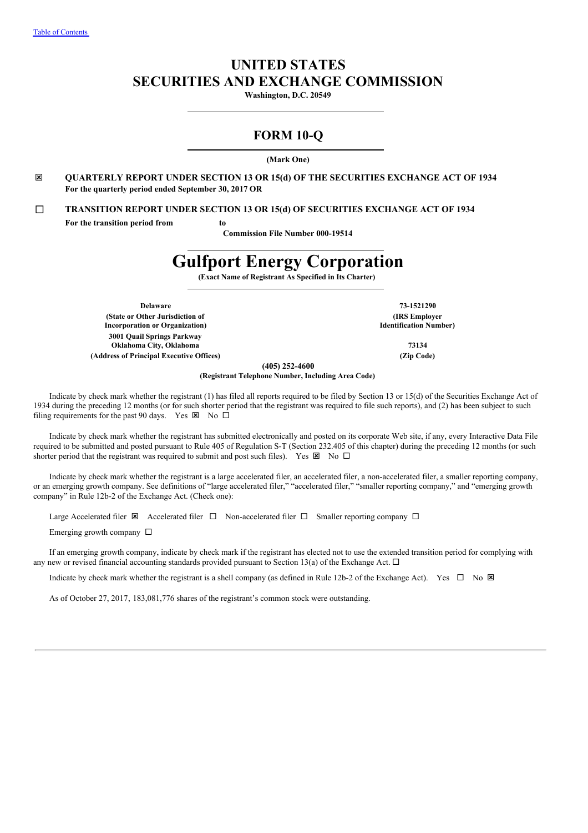# **UNITED STATES SECURITIES AND EXCHANGE COMMISSION**

**Washington, D.C. 20549**

# **FORM 10-Q**

**(Mark One)**

ý **QUARTERLY REPORT UNDER SECTION 13 OR 15(d) OF THE SECURITIES EXCHANGE ACT OF 1934 For the quarterly period ended September 30, 2017 OR**

¨ **TRANSITION REPORT UNDER SECTION 13 OR 15(d) OF SECURITIES EXCHANGE ACT OF 1934**

**For the transition period from to**

**Commission File Number 000-19514**

# **Gulfport Energy Corporation**

**(Exact Name of Registrant As Specified in Its Charter)**

**Delaware 73-1521290 (State or Other Jurisdiction of Incorporation or Organization) 3001 Quail Springs Parkway Oklahoma City, Oklahoma 73134 (Address of Principal Executive Offices) (Zip Code)**

**(IRS Employer Identification Number)**

**(405) 252-4600**

**(Registrant Telephone Number, Including Area Code)**

Indicate by check mark whether the registrant (1) has filed all reports required to be filed by Section 13 or 15(d) of the Securities Exchange Act of 1934 during the preceding 12 months (or for such shorter period that the registrant was required to file such reports), and (2) has been subject to such filing requirements for the past 90 days. Yes  $\boxtimes$  No  $\square$ 

Indicate by check mark whether the registrant has submitted electronically and posted on its corporate Web site, if any, every Interactive Data File required to be submitted and posted pursuant to Rule 405 of Regulation S-T (Section 232.405 of this chapter) during the preceding 12 months (or such shorter period that the registrant was required to submit and post such files). Yes  $\boxtimes$  No  $\square$ 

Indicate by check mark whether the registrant is a large accelerated filer, an accelerated filer, a non-accelerated filer, a smaller reporting company, or an emerging growth company. See definitions of "large accelerated filer," "accelerated filer," "smaller reporting company," and "emerging growth company" in Rule 12b-2 of the Exchange Act. (Check one):

Large Accelerated filer  $\boxtimes$  Accelerated filer  $\Box$  Non-accelerated filer  $\Box$  Smaller reporting company  $\Box$ 

Emerging growth company  $\Box$ 

If an emerging growth company, indicate by check mark if the registrant has elected not to use the extended transition period for complying with any new or revised financial accounting standards provided pursuant to Section 13(a) of the Exchange Act.  $\Box$ 

Indicate by check mark whether the registrant is a shell company (as defined in Rule 12b-2 of the Exchange Act). Yes  $\Box$  No  $\boxtimes$ 

As of October 27, 2017, 183,081,776 shares of the registrant's common stock were outstanding.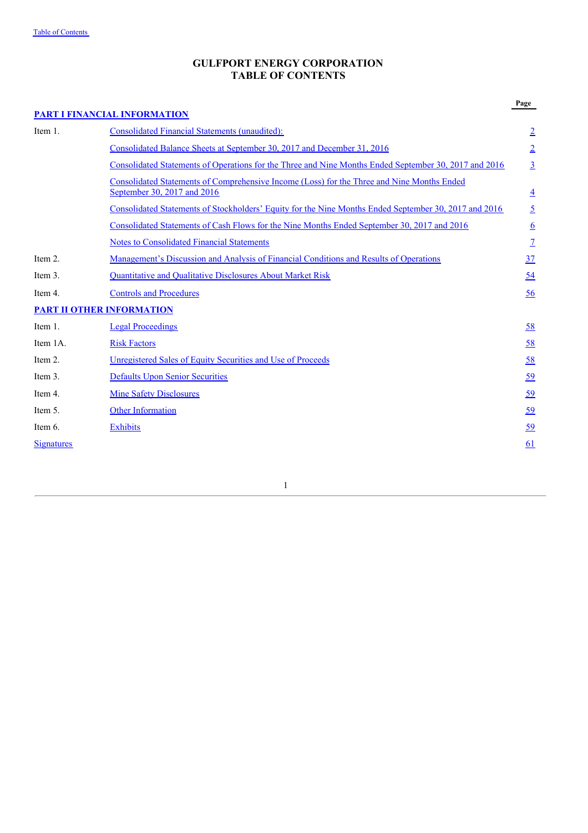# **GULFPORT ENERGY CORPORATION TABLE OF CONTENTS**

|                   | <b>PART I FINANCIAL INFORMATION</b>                                                                                       | Page            |
|-------------------|---------------------------------------------------------------------------------------------------------------------------|-----------------|
| Item 1.           | <b>Consolidated Financial Statements (unaudited):</b>                                                                     | $\overline{2}$  |
|                   | Consolidated Balance Sheets at September 30, 2017 and December 31, 2016                                                   | $\overline{2}$  |
|                   | Consolidated Statements of Operations for the Three and Nine Months Ended September 30, 2017 and 2016                     | $\overline{3}$  |
|                   | Consolidated Statements of Comprehensive Income (Loss) for the Three and Nine Months Ended<br>September 30, 2017 and 2016 | $\overline{4}$  |
|                   | Consolidated Statements of Stockholders' Equity for the Nine Months Ended September 30, 2017 and 2016                     | $\overline{2}$  |
|                   | Consolidated Statements of Cash Flows for the Nine Months Ended September 30, 2017 and 2016                               | $\underline{6}$ |
|                   | <b>Notes to Consolidated Financial Statements</b>                                                                         | $\overline{1}$  |
| Item 2.           | <u>Management's Discussion and Analysis of Financial Conditions and Results of Operations</u>                             | 37              |
| Item 3.           | <b>Quantitative and Qualitative Disclosures About Market Risk</b>                                                         | 54              |
| Item 4.           | <b>Controls and Procedures</b>                                                                                            | 56              |
|                   | <b>PART II OTHER INFORMATION</b>                                                                                          |                 |
| Item 1.           | <b>Legal Proceedings</b>                                                                                                  | 58              |
| Item 1A.          | <b>Risk Factors</b>                                                                                                       | 58              |
| Item 2.           | Unregistered Sales of Equity Securities and Use of Proceeds                                                               | <u>58</u>       |
| Item 3.           | <b>Defaults Upon Senior Securities</b>                                                                                    | <u>59</u>       |
| Item 4.           | <b>Mine Safety Disclosures</b>                                                                                            | <u>59</u>       |
| Item 5.           | <b>Other Information</b>                                                                                                  | <u>59</u>       |
| Item 6.           | <b>Exhibits</b>                                                                                                           | <u>59</u>       |
| <b>Signatures</b> |                                                                                                                           | 61              |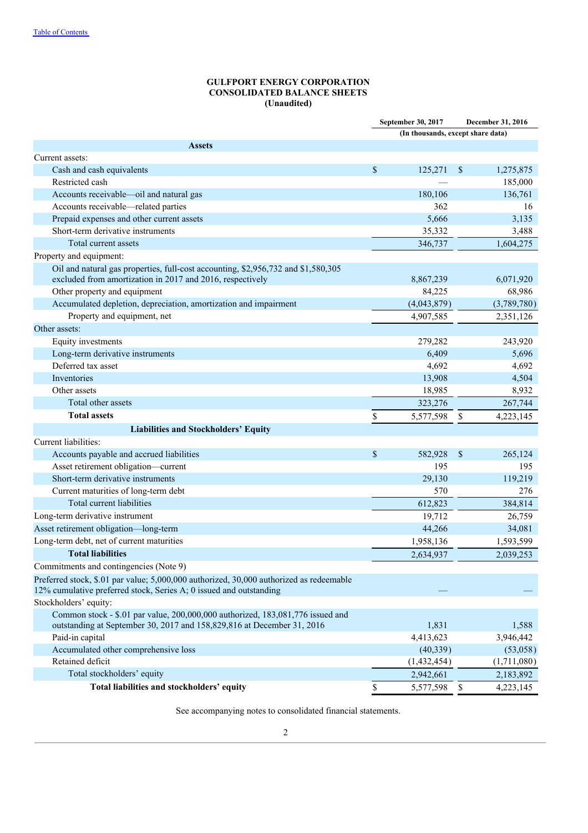# **GULFPORT ENERGY CORPORATION CONSOLIDATED BALANCE SHEETS (Unaudited)**

|                                                                                                                                                |                                   | September 30, 2017 | December 31, 2016 |  |  |
|------------------------------------------------------------------------------------------------------------------------------------------------|-----------------------------------|--------------------|-------------------|--|--|
|                                                                                                                                                | (In thousands, except share data) |                    |                   |  |  |
| <b>Assets</b>                                                                                                                                  |                                   |                    |                   |  |  |
| Current assets:                                                                                                                                |                                   |                    |                   |  |  |
| Cash and cash equivalents                                                                                                                      | $\mathcal{S}$                     | 125,271            | \$<br>1,275,875   |  |  |
| Restricted cash                                                                                                                                |                                   |                    | 185,000           |  |  |
| Accounts receivable-oil and natural gas                                                                                                        |                                   | 180,106            | 136,761           |  |  |
| Accounts receivable—related parties                                                                                                            |                                   | 362                | 16                |  |  |
| Prepaid expenses and other current assets                                                                                                      |                                   | 5,666              | 3,135             |  |  |
| Short-term derivative instruments                                                                                                              |                                   | 35,332             | 3,488             |  |  |
| Total current assets                                                                                                                           |                                   | 346,737            | 1,604,275         |  |  |
| Property and equipment:                                                                                                                        |                                   |                    |                   |  |  |
| Oil and natural gas properties, full-cost accounting, \$2,956,732 and \$1,580,305<br>excluded from amortization in 2017 and 2016, respectively |                                   | 8,867,239          | 6,071,920         |  |  |
| Other property and equipment                                                                                                                   |                                   | 84,225             | 68,986            |  |  |
| Accumulated depletion, depreciation, amortization and impairment                                                                               |                                   | (4,043,879)        | (3,789,780)       |  |  |
| Property and equipment, net                                                                                                                    |                                   | 4,907,585          | 2,351,126         |  |  |
| Other assets:                                                                                                                                  |                                   |                    |                   |  |  |
| Equity investments                                                                                                                             |                                   | 279,282            | 243,920           |  |  |
| Long-term derivative instruments                                                                                                               |                                   | 6,409              | 5,696             |  |  |
| Deferred tax asset                                                                                                                             |                                   | 4,692              | 4,692             |  |  |
| Inventories                                                                                                                                    |                                   | 13,908             | 4,504             |  |  |
| Other assets                                                                                                                                   |                                   | 18,985             | 8,932             |  |  |
| Total other assets                                                                                                                             |                                   | 323,276            | 267,744           |  |  |
| <b>Total assets</b>                                                                                                                            | \$                                | 5,577,598          | \$<br>4,223,145   |  |  |
| <b>Liabilities and Stockholders' Equity</b>                                                                                                    |                                   |                    |                   |  |  |
| Current liabilities:                                                                                                                           |                                   |                    |                   |  |  |
| Accounts payable and accrued liabilities                                                                                                       | \$                                | 582,928            | \$<br>265,124     |  |  |
| Asset retirement obligation-current                                                                                                            |                                   | 195                | 195               |  |  |
| Short-term derivative instruments                                                                                                              |                                   | 29,130             | 119,219           |  |  |
| Current maturities of long-term debt                                                                                                           |                                   | 570                | 276               |  |  |
| Total current liabilities                                                                                                                      |                                   | 612,823            | 384,814           |  |  |
| Long-term derivative instrument                                                                                                                |                                   | 19,712             | 26,759            |  |  |
| Asset retirement obligation-long-term                                                                                                          |                                   | 44,266             | 34,081            |  |  |
| Long-term debt, net of current maturities                                                                                                      |                                   | 1,958,136          | 1,593,599         |  |  |
| <b>Total liabilities</b>                                                                                                                       |                                   | 2,634,937          | 2,039,253         |  |  |
| Commitments and contingencies (Note 9)                                                                                                         |                                   |                    |                   |  |  |
| Preferred stock, \$.01 par value; 5,000,000 authorized, 30,000 authorized as redeemable                                                        |                                   |                    |                   |  |  |
| 12% cumulative preferred stock, Series A; 0 issued and outstanding                                                                             |                                   |                    |                   |  |  |
| Stockholders' equity:                                                                                                                          |                                   |                    |                   |  |  |
| Common stock - \$.01 par value, 200,000,000 authorized, 183,081,776 issued and                                                                 |                                   |                    |                   |  |  |
| outstanding at September 30, 2017 and 158,829,816 at December 31, 2016                                                                         |                                   | 1,831              | 1,588             |  |  |
| Paid-in capital                                                                                                                                |                                   | 4,413,623          | 3,946,442         |  |  |
| Accumulated other comprehensive loss                                                                                                           |                                   | (40, 339)          | (53,058)          |  |  |
| Retained deficit                                                                                                                               |                                   | (1,432,454)        | (1,711,080)       |  |  |
| Total stockholders' equity                                                                                                                     |                                   | 2,942,661          | 2,183,892         |  |  |
| Total liabilities and stockholders' equity                                                                                                     | \$                                | 5,577,598          | \$<br>4,223,145   |  |  |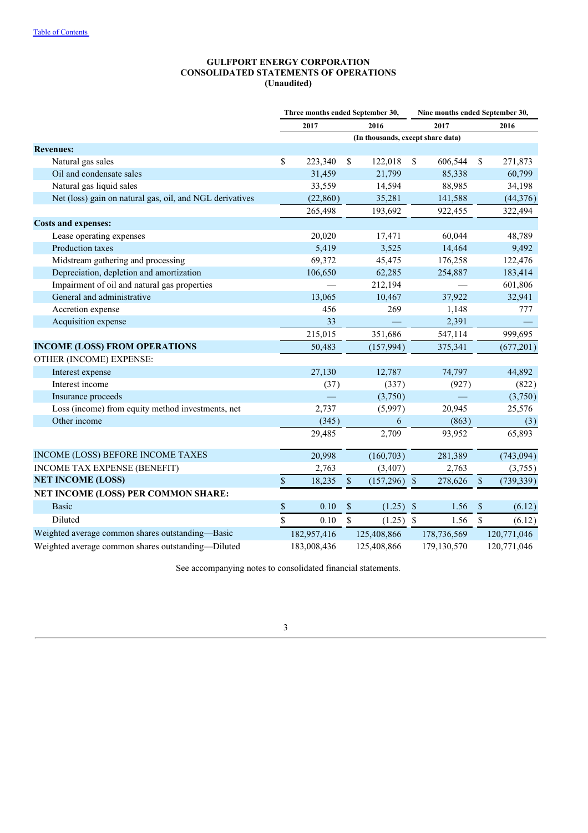# **GULFPORT ENERGY CORPORATION CONSOLIDATED STATEMENTS OF OPERATIONS (Unaudited)**

|                                                          |                                   |             |               | Three months ended September 30, |              |             | Nine months ended September 30, |             |  |
|----------------------------------------------------------|-----------------------------------|-------------|---------------|----------------------------------|--------------|-------------|---------------------------------|-------------|--|
|                                                          |                                   | 2017        |               | 2016                             |              | 2017        | 2016                            |             |  |
|                                                          | (In thousands, except share data) |             |               |                                  |              |             |                                 |             |  |
| <b>Revenues:</b>                                         |                                   |             |               |                                  |              |             |                                 |             |  |
| Natural gas sales                                        | $\mathbb{S}$                      | 223,340     | \$            | 122,018                          | \$           | 606,544     | \$                              | 271,873     |  |
| Oil and condensate sales                                 |                                   | 31,459      |               | 21,799                           |              | 85,338      |                                 | 60,799      |  |
| Natural gas liquid sales                                 |                                   | 33,559      |               | 14,594                           |              | 88,985      |                                 | 34,198      |  |
| Net (loss) gain on natural gas, oil, and NGL derivatives |                                   | (22, 860)   |               | 35,281                           |              | 141,588     |                                 | (44, 376)   |  |
|                                                          |                                   | 265,498     |               | 193,692                          |              | 922,455     |                                 | 322,494     |  |
| <b>Costs and expenses:</b>                               |                                   |             |               |                                  |              |             |                                 |             |  |
| Lease operating expenses                                 |                                   | 20,020      |               | 17,471                           |              | 60,044      |                                 | 48,789      |  |
| Production taxes                                         |                                   | 5,419       |               | 3,525                            |              | 14,464      |                                 | 9,492       |  |
| Midstream gathering and processing                       |                                   | 69,372      |               | 45,475                           |              | 176,258     |                                 | 122,476     |  |
| Depreciation, depletion and amortization                 |                                   | 106,650     |               | 62,285                           |              | 254,887     |                                 | 183,414     |  |
| Impairment of oil and natural gas properties             |                                   |             |               | 212,194                          |              |             |                                 | 601,806     |  |
| General and administrative                               |                                   | 13,065      |               | 10,467                           |              | 37,922      |                                 | 32,941      |  |
| Accretion expense                                        |                                   | 456         |               | 269                              |              | 1,148       |                                 | 777         |  |
| Acquisition expense                                      |                                   | 33          |               |                                  |              | 2,391       |                                 |             |  |
|                                                          |                                   | 215,015     |               | 351,686                          |              | 547,114     |                                 | 999,695     |  |
| <b>INCOME (LOSS) FROM OPERATIONS</b>                     |                                   | 50,483      |               | (157, 994)                       |              | 375,341     |                                 | (677, 201)  |  |
| OTHER (INCOME) EXPENSE:                                  |                                   |             |               |                                  |              |             |                                 |             |  |
| Interest expense                                         |                                   | 27,130      |               | 12,787                           |              | 74,797      |                                 | 44,892      |  |
| Interest income                                          |                                   | (37)        |               | (337)                            |              | (927)       |                                 | (822)       |  |
| Insurance proceeds                                       |                                   |             |               | (3,750)                          |              |             |                                 | (3,750)     |  |
| Loss (income) from equity method investments, net        |                                   | 2,737       |               | (5,997)                          |              | 20,945      |                                 | 25,576      |  |
| Other income                                             |                                   | (345)       |               | 6                                |              | (863)       |                                 | (3)         |  |
|                                                          |                                   | 29,485      |               | 2,709                            |              | 93,952      |                                 | 65,893      |  |
| INCOME (LOSS) BEFORE INCOME TAXES                        |                                   | 20,998      |               | (160, 703)                       |              | 281,389     |                                 | (743, 094)  |  |
| INCOME TAX EXPENSE (BENEFIT)                             |                                   | 2,763       |               | (3, 407)                         |              | 2,763       |                                 | (3,755)     |  |
| <b>NET INCOME (LOSS)</b>                                 | $\mathbf{\hat{S}}$                | 18,235      | $\mathsf{\$}$ | (157,296)                        | $\mathbb{S}$ | 278,626     | $\boldsymbol{\mathsf{S}}$       | (739, 339)  |  |
| NET INCOME (LOSS) PER COMMON SHARE:                      |                                   |             |               |                                  |              |             |                                 |             |  |
| <b>Basic</b>                                             | \$                                | 0.10        | \$            | (1.25)                           | $\sqrt{3}$   | 1.56        | \$                              | (6.12)      |  |
| Diluted                                                  | \$                                | 0.10        | \$            | (1.25)                           | $\mathbb{S}$ | 1.56        | \$                              | (6.12)      |  |
| Weighted average common shares outstanding-Basic         |                                   | 182,957,416 |               | 125,408,866                      |              | 178,736,569 |                                 | 120,771,046 |  |
| Weighted average common shares outstanding-Diluted       |                                   | 183,008,436 |               | 125,408,866                      |              | 179,130,570 |                                 | 120,771,046 |  |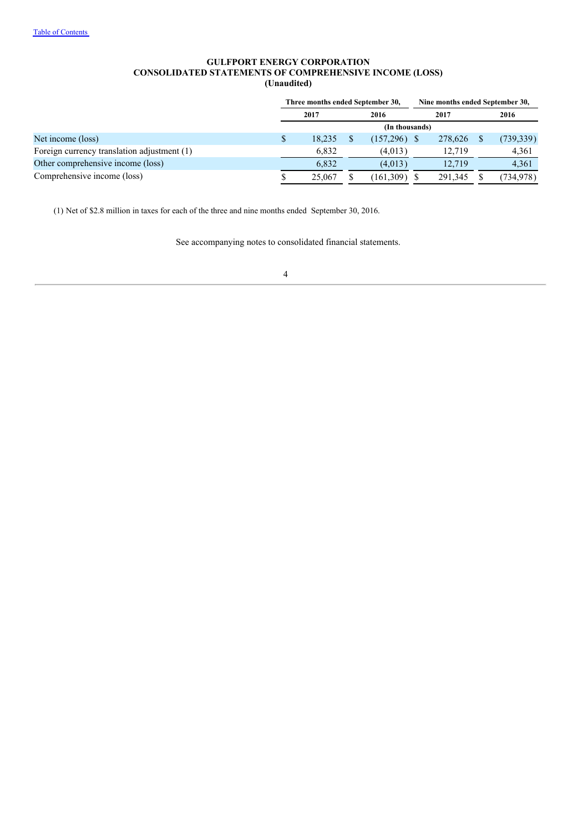# **GULFPORT ENERGY CORPORATION CONSOLIDATED STATEMENTS OF COMPREHENSIVE INCOME (LOSS) (Unaudited)**

| Three months ended September 30, |              |  |            |  |                |      |                                 |
|----------------------------------|--------------|--|------------|--|----------------|------|---------------------------------|
|                                  | 2017<br>2016 |  | 2017       |  |                | 2016 |                                 |
| (In thousands)                   |              |  |            |  |                |      |                                 |
|                                  | 18.235       |  |            |  | 278,626        |      | (739, 339)                      |
|                                  | 6.832        |  | (4,013)    |  | 12.719         |      | 4,361                           |
|                                  | 6.832        |  | (4,013)    |  | 12.719         |      | 4,361                           |
|                                  | 25,067       |  | (161, 309) |  | 291.345        |      | (734,978)                       |
|                                  |              |  |            |  | $(157,296)$ \$ |      | Nine months ended September 30, |

(1) Net of \$2.8 million in taxes for each of the three and nine months ended September 30, 2016.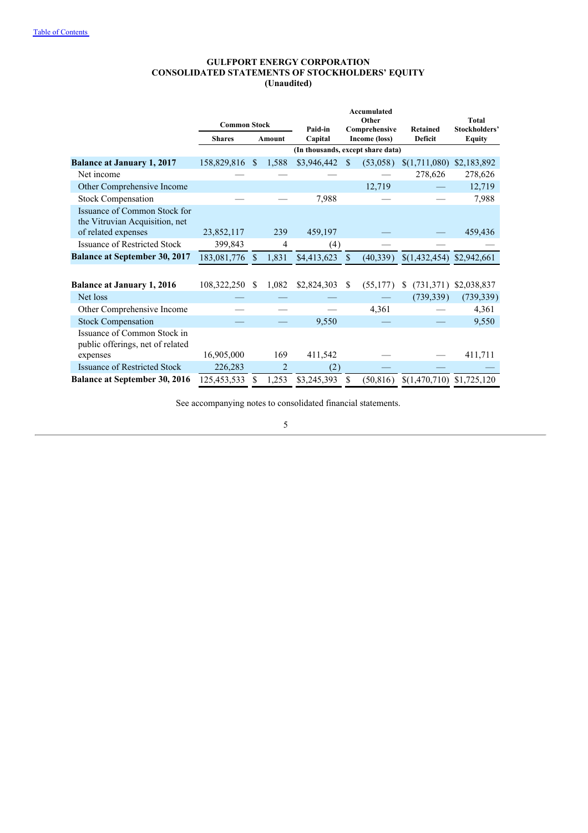#### **GULFPORT ENERGY CORPORATION CONSOLIDATED STATEMENTS OF STOCKHOLDERS' EQUITY (Unaudited)**

|                                                                 |                     |              |                |                                   |               | <b>Accumulated</b>             |                                   |                                |
|-----------------------------------------------------------------|---------------------|--------------|----------------|-----------------------------------|---------------|--------------------------------|-----------------------------------|--------------------------------|
|                                                                 | <b>Common Stock</b> |              |                |                                   |               | Other                          |                                   | <b>Total</b>                   |
|                                                                 | <b>Shares</b>       |              | Amount         | Paid-in<br>Capital                |               | Comprehensive<br>Income (loss) | <b>Retained</b><br><b>Deficit</b> | Stockholders'<br><b>Equity</b> |
|                                                                 |                     |              |                | (In thousands, except share data) |               |                                |                                   |                                |
| <b>Balance at January 1, 2017</b>                               | 158,829,816         | <sup>S</sup> | 1,588          | \$3,946,442                       | \$.           | (53,058)                       | \$(1,711,080)                     | \$2,183,892                    |
| Net income                                                      |                     |              |                |                                   |               |                                | 278,626                           | 278,626                        |
| Other Comprehensive Income                                      |                     |              |                |                                   |               | 12,719                         |                                   | 12,719                         |
| <b>Stock Compensation</b>                                       |                     |              |                | 7,988                             |               |                                |                                   | 7,988                          |
| Issuance of Common Stock for<br>the Vitruvian Acquisition, net  |                     |              |                |                                   |               |                                |                                   |                                |
| of related expenses                                             | 23,852,117          |              | 239            | 459,197                           |               |                                |                                   | 459,436                        |
| <b>Issuance of Restricted Stock</b>                             | 399,843             |              | 4              | (4)                               |               |                                |                                   |                                |
| <b>Balance at September 30, 2017</b>                            | 183,081,776         | \$.          | 1,831          | \$4,413,623                       | <sup>\$</sup> | (40, 339)                      | \$(1,432,454)                     | \$2,942,661                    |
|                                                                 |                     |              |                |                                   |               |                                |                                   |                                |
| <b>Balance at January 1, 2016</b>                               | 108,322,250         | \$.          | 1,082          | \$2,824,303                       | -S            | (55, 177)                      | (731, 371)<br>S                   | \$2,038,837                    |
| Net loss                                                        |                     |              |                |                                   |               |                                | (739, 339)                        | (739, 339)                     |
| Other Comprehensive Income                                      |                     |              |                |                                   |               | 4,361                          |                                   | 4,361                          |
| <b>Stock Compensation</b>                                       |                     |              |                | 9,550                             |               |                                |                                   | 9,550                          |
| Issuance of Common Stock in<br>public offerings, net of related |                     |              |                |                                   |               |                                |                                   |                                |
| expenses                                                        | 16,905,000          |              | 169            | 411,542                           |               |                                |                                   | 411,711                        |
| <b>Issuance of Restricted Stock</b>                             | 226,283             |              | $\overline{2}$ | (2)                               |               |                                |                                   |                                |
| <b>Balance at September 30, 2016</b>                            | 125,453,533         | \$           | 1,253          | \$3,245,393                       | \$            | (50, 816)                      | $$(1,470,710)$ $$1,725,120$       |                                |

See accompanying notes to consolidated financial statements.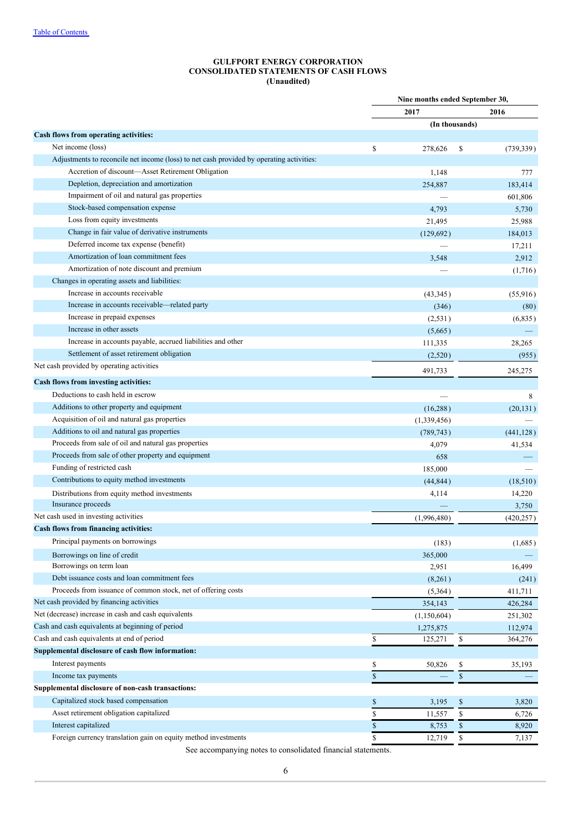#### **GULFPORT ENERGY CORPORATION CONSOLIDATED STATEMENTS OF CASH FLOWS (Unaudited)**

|                                                                                          |      | Nine months ended September 30, |            |
|------------------------------------------------------------------------------------------|------|---------------------------------|------------|
|                                                                                          |      | 2017                            | 2016       |
|                                                                                          |      | (In thousands)                  |            |
| Cash flows from operating activities:                                                    |      |                                 |            |
| Net income (loss)                                                                        | \$   | 278,626<br>\$                   | (739, 339) |
| Adjustments to reconcile net income (loss) to net cash provided by operating activities: |      |                                 |            |
| Accretion of discount-Asset Retirement Obligation                                        |      | 1,148                           | 777        |
| Depletion, depreciation and amortization                                                 |      | 254,887                         | 183,414    |
| Impairment of oil and natural gas properties                                             |      |                                 | 601,806    |
| Stock-based compensation expense                                                         |      | 4,793                           | 5,730      |
| Loss from equity investments                                                             |      | 21,495                          | 25,988     |
| Change in fair value of derivative instruments                                           |      | (129, 692)                      | 184,013    |
| Deferred income tax expense (benefit)                                                    |      |                                 | 17,211     |
| Amortization of loan commitment fees                                                     |      | 3,548                           | 2,912      |
| Amortization of note discount and premium                                                |      |                                 | (1,716)    |
| Changes in operating assets and liabilities:                                             |      |                                 |            |
| Increase in accounts receivable                                                          |      | (43,345)                        | (55, 916)  |
| Increase in accounts receivable—related party                                            |      | (346)                           | (80)       |
| Increase in prepaid expenses                                                             |      | (2, 531)                        | (6,835)    |
| Increase in other assets                                                                 |      | (5,665)                         |            |
| Increase in accounts payable, accrued liabilities and other                              |      | 111,335                         | 28,265     |
| Settlement of asset retirement obligation                                                |      | (2,520)                         | (955)      |
| Net cash provided by operating activities                                                |      | 491,733                         | 245,275    |
| Cash flows from investing activities:                                                    |      |                                 |            |
| Deductions to cash held in escrow                                                        |      |                                 | 8          |
| Additions to other property and equipment                                                |      | (16, 288)                       | (20, 131)  |
| Acquisition of oil and natural gas properties                                            |      | (1, 339, 456)                   |            |
| Additions to oil and natural gas properties                                              |      | (789, 743)                      | (441, 128) |
| Proceeds from sale of oil and natural gas properties                                     |      | 4,079                           | 41,534     |
| Proceeds from sale of other property and equipment                                       |      | 658                             |            |
| Funding of restricted cash                                                               |      |                                 |            |
| Contributions to equity method investments                                               |      | 185,000                         | (18,510)   |
| Distributions from equity method investments                                             |      | (44, 844)<br>4,114              | 14,220     |
| Insurance proceeds                                                                       |      |                                 |            |
| Net cash used in investing activities                                                    |      |                                 | 3,750      |
| Cash flows from financing activities:                                                    |      | (1,996,480)                     | (420, 257) |
| Principal payments on borrowings                                                         |      |                                 |            |
|                                                                                          |      | (183)                           | (1,685)    |
| Borrowings on line of credit                                                             |      | 365,000                         |            |
| Borrowings on term loan                                                                  |      | 2,951                           | 16,499     |
| Debt issuance costs and loan commitment fees                                             |      | (8,261)                         | (241)      |
| Proceeds from issuance of common stock, net of offering costs                            |      | (5,364)                         | 411,711    |
| Net cash provided by financing activities                                                |      | 354,143                         | 426,284    |
| Net (decrease) increase in cash and cash equivalents                                     |      | (1,150,604)                     | 251,302    |
| Cash and cash equivalents at beginning of period                                         |      | 1,275,875                       | 112,974    |
| Cash and cash equivalents at end of period                                               | \$   | \$<br>125,271                   | 364,276    |
| Supplemental disclosure of cash flow information:                                        |      |                                 |            |
| Interest payments                                                                        | \$   | \$<br>50,826                    | 35,193     |
| Income tax payments                                                                      | \$   | \$                              |            |
| Supplemental disclosure of non-cash transactions:                                        |      |                                 |            |
| Capitalized stock based compensation                                                     | \$   | 3,195<br>\$                     | 3,820      |
| Asset retirement obligation capitalized                                                  | \$   | 11,557<br>\$                    | 6,726      |
| Interest capitalized                                                                     | $\$$ | 8,753<br>\$                     | 8,920      |
| Foreign currency translation gain on equity method investments                           | \$   | 12,719<br>\$                    | 7,137      |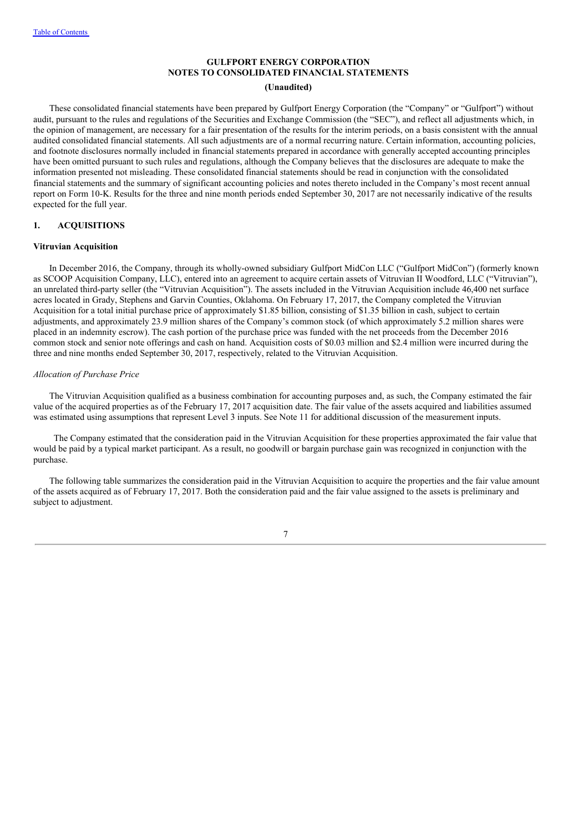# **GULFPORT ENERGY CORPORATION NOTES TO CONSOLIDATED FINANCIAL STATEMENTS**

#### **(Unaudited)**

These consolidated financial statements have been prepared by Gulfport Energy Corporation (the "Company" or "Gulfport") without audit, pursuant to the rules and regulations of the Securities and Exchange Commission (the "SEC"), and reflect all adjustments which, in the opinion of management, are necessary for a fair presentation of the results for the interim periods, on a basis consistent with the annual audited consolidated financial statements. All such adjustments are of a normal recurring nature. Certain information, accounting policies, and footnote disclosures normally included in financial statements prepared in accordance with generally accepted accounting principles have been omitted pursuant to such rules and regulations, although the Company believes that the disclosures are adequate to make the information presented not misleading. These consolidated financial statements should be read in conjunction with the consolidated financial statements and the summary of significant accounting policies and notes thereto included in the Company's most recent annual report on Form 10-K. Results for the three and nine month periods ended September 30, 2017 are not necessarily indicative of the results expected for the full year.

#### **1. ACQUISITIONS**

#### **Vitruvian Acquisition**

In December 2016, the Company, through its wholly-owned subsidiary Gulfport MidCon LLC ("Gulfport MidCon") (formerly known as SCOOP Acquisition Company, LLC), entered into an agreement to acquire certain assets of Vitruvian II Woodford, LLC ("Vitruvian"), an unrelated third-party seller (the "Vitruvian Acquisition"). The assets included in the Vitruvian Acquisition include 46,400 net surface acres located in Grady, Stephens and Garvin Counties, Oklahoma. On February 17, 2017, the Company completed the Vitruvian Acquisition for a total initial purchase price of approximately \$1.85 billion, consisting of \$1.35 billion in cash, subject to certain adjustments, and approximately 23.9 million shares of the Company's common stock (of which approximately 5.2 million shares were placed in an indemnity escrow). The cash portion of the purchase price was funded with the net proceeds from the December 2016 common stock and senior note offerings and cash on hand. Acquisition costs of \$0.03 million and \$2.4 million were incurred during the three and nine months ended September 30, 2017, respectively, related to the Vitruvian Acquisition.

#### *Allocation of Purchase Price*

The Vitruvian Acquisition qualified as a business combination for accounting purposes and, as such, the Company estimated the fair value of the acquired properties as of the February 17, 2017 acquisition date. The fair value of the assets acquired and liabilities assumed was estimated using assumptions that represent Level 3 inputs. See Note 11 for additional discussion of the measurement inputs.

The Company estimated that the consideration paid in the Vitruvian Acquisition for these properties approximated the fair value that would be paid by a typical market participant. As a result, no goodwill or bargain purchase gain was recognized in conjunction with the purchase.

The following table summarizes the consideration paid in the Vitruvian Acquisition to acquire the properties and the fair value amount of the assets acquired as of February 17, 2017. Both the consideration paid and the fair value assigned to the assets is preliminary and subject to adjustment.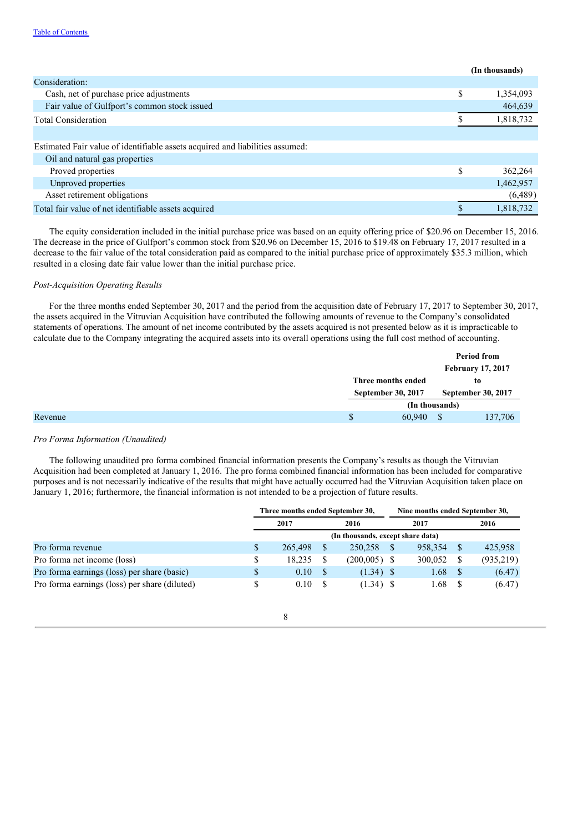|                                                                               | (In thousands)  |
|-------------------------------------------------------------------------------|-----------------|
| Consideration:                                                                |                 |
| Cash, net of purchase price adjustments                                       | \$<br>1,354,093 |
| Fair value of Gulfport's common stock issued                                  | 464,639         |
| <b>Total Consideration</b>                                                    | 1,818,732       |
|                                                                               |                 |
| Estimated Fair value of identifiable assets acquired and liabilities assumed: |                 |
| Oil and natural gas properties                                                |                 |
| Proved properties                                                             | \$<br>362,264   |
| Unproved properties                                                           | 1,462,957       |
| Asset retirement obligations                                                  | (6,489)         |
| Total fair value of net identifiable assets acquired                          | 1.818.732       |
|                                                                               |                 |

The equity consideration included in the initial purchase price was based on an equity offering price of \$20.96 on December 15, 2016. The decrease in the price of Gulfport's common stock from \$20.96 on December 15, 2016 to \$19.48 on February 17, 2017 resulted in a decrease to the fair value of the total consideration paid as compared to the initial purchase price of approximately \$35.3 million, which resulted in a closing date fair value lower than the initial purchase price.

#### *Post-Acquisition Operating Results*

For the three months ended September 30, 2017 and the period from the acquisition date of February 17, 2017 to September 30, 2017, the assets acquired in the Vitruvian Acquisition have contributed the following amounts of revenue to the Company's consolidated statements of operations. The amount of net income contributed by the assets acquired is not presented below as it is impracticable to calculate due to the Company integrating the acquired assets into its overall operations using the full cost method of accounting.

|         |  |                                          |                |  | <b>Period from</b>        |
|---------|--|------------------------------------------|----------------|--|---------------------------|
|         |  |                                          |                |  | <b>February 17, 2017</b>  |
|         |  | Three months ended<br>September 30, 2017 |                |  | to                        |
|         |  |                                          |                |  | <b>September 30, 2017</b> |
|         |  |                                          | (In thousands) |  |                           |
| Revenue |  | S                                        | 60.940         |  | 137,706                   |

# *Pro Forma Information (Unaudited)*

The following unaudited pro forma combined financial information presents the Company's results as though the Vitruvian Acquisition had been completed at January 1, 2016. The pro forma combined financial information has been included for comparative purposes and is not necessarily indicative of the results that might have actually occurred had the Vitruvian Acquisition taken place on January 1, 2016; furthermore, the financial information is not intended to be a projection of future results.

|                                               |                                   | Three months ended September 30, |  |                | Nine months ended September 30, |         |  |           |  |
|-----------------------------------------------|-----------------------------------|----------------------------------|--|----------------|---------------------------------|---------|--|-----------|--|
|                                               |                                   | 2017                             |  | 2016           |                                 | 2017    |  | 2016      |  |
|                                               | (In thousands, except share data) |                                  |  |                |                                 |         |  |           |  |
| Pro forma revenue                             | \$                                | 265,498                          |  | 250,258        |                                 | 958.354 |  | 425,958   |  |
| Pro forma net income (loss)                   | \$                                | 18.235                           |  | $(200,005)$ \$ |                                 | 300,052 |  | (935,219) |  |
| Pro forma earnings (loss) per share (basic)   | \$                                | 0.10                             |  | $(1.34)$ \$    |                                 | 1.68    |  | (6.47)    |  |
| Pro forma earnings (loss) per share (diluted) | S                                 | 0.10                             |  | $(1.34)$ \$    |                                 | 1.68    |  | (6.47)    |  |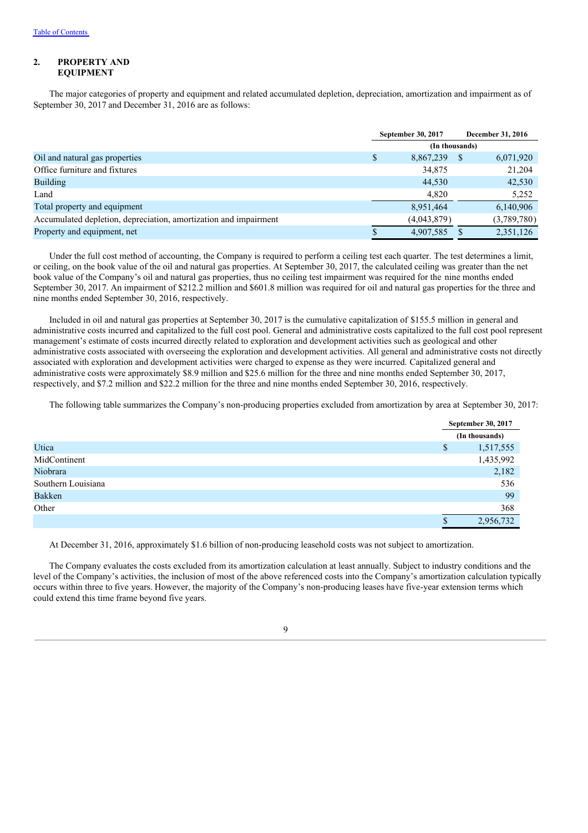## **2. PROPERTY AND EQUIPMENT**

The major categories of property and equipment and related accumulated depletion, depreciation, amortization and impairment as of September 30, 2017 and December 31, 2016 are as follows:

|                                                                  |   | September 30, 2017 |   | December 31, 2016 |
|------------------------------------------------------------------|---|--------------------|---|-------------------|
|                                                                  |   |                    |   |                   |
| Oil and natural gas properties                                   | S | 8,867,239          | S | 6,071,920         |
| Office furniture and fixtures                                    |   | 34,875             |   | 21,204            |
| <b>Building</b>                                                  |   | 44,530             |   | 42,530            |
| Land                                                             |   | 4,820              |   | 5,252             |
| Total property and equipment                                     |   | 8,951,464          |   | 6,140,906         |
| Accumulated depletion, depreciation, amortization and impairment |   | (4,043,879)        |   | (3,789,780)       |
| Property and equipment, net                                      |   | 4,907,585          |   | 2,351,126         |

Under the full cost method of accounting, the Company is required to perform a ceiling test each quarter. The test determines a limit, or ceiling, on the book value of the oil and natural gas properties. At September 30, 2017, the calculated ceiling was greater than the net book value of the Company's oil and natural gas properties, thus no ceiling test impairment was required for the nine months ended September 30, 2017. An impairment of \$212.2 million and \$601.8 million was required for oil and natural gas properties for the three and nine months ended September 30, 2016, respectively.

Included in oil and natural gas properties at September 30, 2017 is the cumulative capitalization of \$155.5 million in general and administrative costs incurred and capitalized to the full cost pool. General and administrative costs capitalized to the full cost pool represent management's estimate of costs incurred directly related to exploration and development activities such as geological and other administrative costs associated with overseeing the exploration and development activities. All general and administrative costs not directly associated with exploration and development activities were charged to expense as they were incurred. Capitalized general and administrative costs were approximately \$8.9 million and \$25.6 million for the three and nine months ended September 30, 2017, respectively, and \$7.2 million and \$22.2 million for the three and nine months ended September 30, 2016, respectively.

The following table summarizes the Company's non-producing properties excluded from amortization by area at September 30, 2017:

|                    |   | September 30, 2017 |
|--------------------|---|--------------------|
|                    |   | (In thousands)     |
| Utica              | S | 1,517,555          |
| MidContinent       |   | 1,435,992          |
| Niobrara           |   | 2,182              |
| Southern Louisiana |   | 536                |
| Bakken             |   | 99                 |
| Other              |   | 368                |
|                    | D | 2,956,732          |

At December 31, 2016, approximately \$1.6 billion of non-producing leasehold costs was not subject to amortization.

The Company evaluates the costs excluded from its amortization calculation at least annually. Subject to industry conditions and the level of the Company's activities, the inclusion of most of the above referenced costs into the Company's amortization calculation typically occurs within three to five years. However, the majority of the Company's non-producing leases have five-year extension terms which could extend this time frame beyond five years.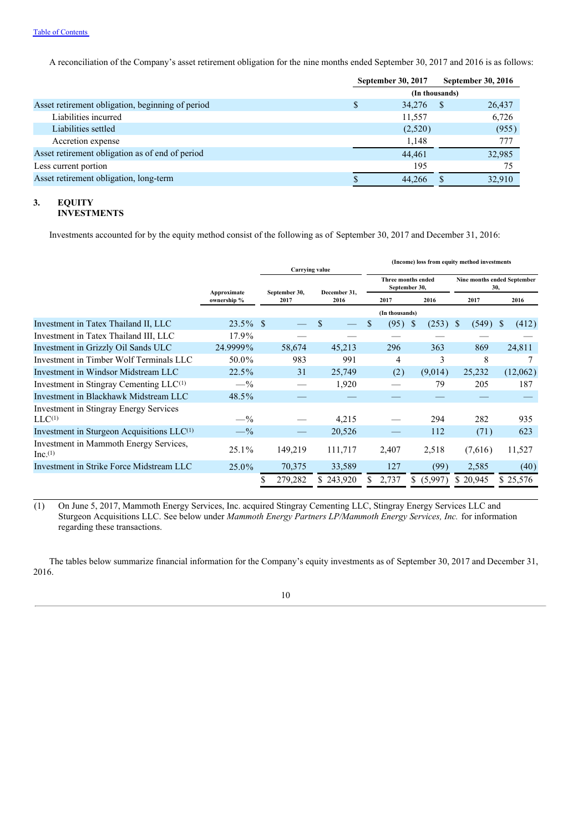A reconciliation of the Company's asset retirement obligation for the nine months ended September 30, 2017 and 2016 is as follows:

|                                                  |                | September 30, 2017 |    | September 30, 2016 |  |  |
|--------------------------------------------------|----------------|--------------------|----|--------------------|--|--|
|                                                  | (In thousands) |                    |    |                    |  |  |
| Asset retirement obligation, beginning of period | S              | 34,276             | -S | 26,437             |  |  |
| Liabilities incurred                             |                | 11,557             |    | 6,726              |  |  |
| Liabilities settled                              |                | (2,520)            |    | (955)              |  |  |
| Accretion expense                                |                | 1,148              |    | 777                |  |  |
| Asset retirement obligation as of end of period  |                | 44,461             |    | 32,985             |  |  |
| Less current portion                             |                | 195                |    | 75                 |  |  |
| Asset retirement obligation, long-term           |                | 44.266             |    | 32,910             |  |  |

#### **3. EQUITY INVESTMENTS**

Investments accounted for by the equity method consist of the following as of September 30, 2017 and December 31, 2016:

|                                                       | Carrying value             |  |                       |    |              |     |                | (Income) loss from equity method investments |            |                                    |              |          |
|-------------------------------------------------------|----------------------------|--|-----------------------|----|--------------|-----|----------------|----------------------------------------------|------------|------------------------------------|--------------|----------|
|                                                       |                            |  |                       |    | December 31. |     |                | Three months ended<br>September 30,          |            | Nine months ended September<br>30, |              |          |
|                                                       | Approximate<br>ownership % |  | September 30,<br>2017 |    | 2016         |     | 2017           |                                              | 2016       | 2017                               |              | 2016     |
|                                                       |                            |  |                       |    |              |     | (In thousands) |                                              |            |                                    |              |          |
| Investment in Tatex Thailand II, LLC                  | $23.5\%$ \$                |  |                       | \$ |              | \$. | (95)           | -S                                           | $(253)$ \$ | (549)                              | <sup>S</sup> | (412)    |
| Investment in Tatex Thailand III, LLC                 | 17.9%                      |  |                       |    |              |     |                |                                              |            |                                    |              |          |
| Investment in Grizzly Oil Sands ULC                   | 24.9999%                   |  | 58,674                |    | 45,213       |     | 296            |                                              | 363        | 869                                |              | 24,811   |
| Investment in Timber Wolf Terminals LLC               | 50.0%                      |  | 983                   |    | 991          |     | 4              |                                              | 3          | 8                                  |              |          |
| Investment in Windsor Midstream LLC                   | $22.5\%$                   |  | 31                    |    | 25,749       |     | (2)            |                                              | (9,014)    | 25,232                             |              | (12,062) |
| Investment in Stingray Cementing LLC <sup>(1)</sup>   | $- \frac{9}{6}$            |  |                       |    | 1,920        |     |                |                                              | 79         | 205                                |              | 187      |
| Investment in Blackhawk Midstream LLC                 | $48.5\%$                   |  |                       |    |              |     |                |                                              |            |                                    |              |          |
| <b>Investment in Stingray Energy Services</b>         |                            |  |                       |    |              |     |                |                                              |            |                                    |              |          |
| $LLC^{(1)}$                                           | $-$ %                      |  |                       |    | 4,215        |     |                |                                              | 294        | 282                                |              | 935      |
| Investment in Sturgeon Acquisitions $LLC^{(1)}$       | $-$ %                      |  |                       |    | 20,526       |     |                |                                              | 112        | (71)                               |              | 623      |
| Investment in Mammoth Energy Services,<br>$Inc^{(1)}$ | $25.1\%$                   |  | 149,219               |    | 111,717      |     | 2,407          |                                              | 2,518      | (7,616)                            |              | 11,527   |
| Investment in Strike Force Midstream LLC              | $25.0\%$                   |  | 70,375                |    | 33,589       |     | 127            |                                              | (99)       | 2,585                              |              | (40)     |
|                                                       |                            |  | 279,282               |    | \$243,920    |     | 2,737          | S.                                           | (5,997)    | \$20,945                           |              | \$25,576 |

(1) On June 5, 2017, Mammoth Energy Services, Inc. acquired Stingray Cementing LLC, Stingray Energy Services LLC and Sturgeon Acquisitions LLC. See below under *Mammoth Energy Partners LP/Mammoth Energy Services, Inc.* for information regarding these transactions.

The tables below summarize financial information for the Company's equity investments as of September 30, 2017 and December 31, 2016.

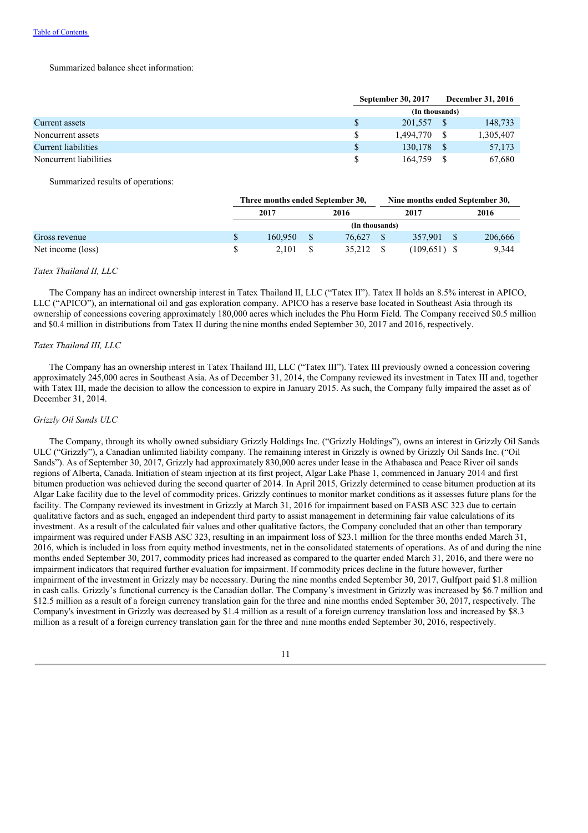#### Summarized balance sheet information:

|                        |               | <b>September 30, 2017</b> |  | <b>December 31, 2016</b> |  |  |  |
|------------------------|---------------|---------------------------|--|--------------------------|--|--|--|
|                        |               | (In thousands)            |  |                          |  |  |  |
| Current assets         | $\mathbb{S}$  | 201,557                   |  | 148,733                  |  |  |  |
| Noncurrent assets      | <sup>S</sup>  | 1.494.770                 |  | 1,305,407                |  |  |  |
| Current liabilities    | <sup>\$</sup> | 130.178                   |  | 57,173                   |  |  |  |
| Noncurrent liabilities |               | 164,759                   |  | 67,680                   |  |  |  |

Summarized results of operations:

|                   | Three months ended September 30, |  |                |  | Nine months ended September 30, |  |         |  |
|-------------------|----------------------------------|--|----------------|--|---------------------------------|--|---------|--|
|                   | 2017                             |  | 2016           |  | 2017                            |  | 2016    |  |
|                   |                                  |  | (In thousands) |  |                                 |  |         |  |
| Gross revenue     | 160.950                          |  | 76.627         |  | 357,901                         |  | 206,666 |  |
| Net income (loss) | 2.101                            |  | 35.212         |  | $(109,651)$ \$                  |  | 9.344   |  |

#### *Tatex Thailand II, LLC*

The Company has an indirect ownership interest in Tatex Thailand II, LLC ("Tatex II"). Tatex II holds an 8.5% interest in APICO, LLC ("APICO"), an international oil and gas exploration company. APICO has a reserve base located in Southeast Asia through its ownership of concessions covering approximately 180,000 acres which includes the Phu Horm Field. The Company received \$0.5 million and \$0.4 million in distributions from Tatex II during the nine months ended September 30, 2017 and 2016, respectively.

#### *Tatex Thailand III, LLC*

The Company has an ownership interest in Tatex Thailand III, LLC ("Tatex III"). Tatex III previously owned a concession covering approximately 245,000 acres in Southeast Asia. As of December 31, 2014, the Company reviewed its investment in Tatex III and, together with Tatex III, made the decision to allow the concession to expire in January 2015. As such, the Company fully impaired the asset as of December 31, 2014.

#### *Grizzly Oil Sands ULC*

The Company, through its wholly owned subsidiary Grizzly Holdings Inc. ("Grizzly Holdings"), owns an interest in Grizzly Oil Sands ULC ("Grizzly"), a Canadian unlimited liability company. The remaining interest in Grizzly is owned by Grizzly Oil Sands Inc. ("Oil Sands"). As of September 30, 2017, Grizzly had approximately 830,000 acres under lease in the Athabasca and Peace River oil sands regions of Alberta, Canada. Initiation of steam injection at its first project, Algar Lake Phase 1, commenced in January 2014 and first bitumen production was achieved during the second quarter of 2014. In April 2015, Grizzly determined to cease bitumen production at its Algar Lake facility due to the level of commodity prices. Grizzly continues to monitor market conditions as it assesses future plans for the facility. The Company reviewed its investment in Grizzly at March 31, 2016 for impairment based on FASB ASC 323 due to certain qualitative factors and as such, engaged an independent third party to assist management in determining fair value calculations of its investment. As a result of the calculated fair values and other qualitative factors, the Company concluded that an other than temporary impairment was required under FASB ASC 323, resulting in an impairment loss of \$23.1 million for the three months ended March 31, 2016, which is included in loss from equity method investments, net in the consolidated statements of operations. As of and during the nine months ended September 30, 2017, commodity prices had increased as compared to the quarter ended March 31, 2016, and there were no impairment indicators that required further evaluation for impairment. If commodity prices decline in the future however, further impairment of the investment in Grizzly may be necessary. During the nine months ended September 30, 2017, Gulfport paid \$1.8 million in cash calls. Grizzly's functional currency is the Canadian dollar. The Company's investment in Grizzly was increased by \$6.7 million and \$12.5 million as a result of a foreign currency translation gain for the three and nine months ended September 30, 2017, respectively. The Company's investment in Grizzly was decreased by \$1.4 million as a result of a foreign currency translation loss and increased by \$8.3 million as a result of a foreign currency translation gain for the three and nine months ended September 30, 2016, respectively.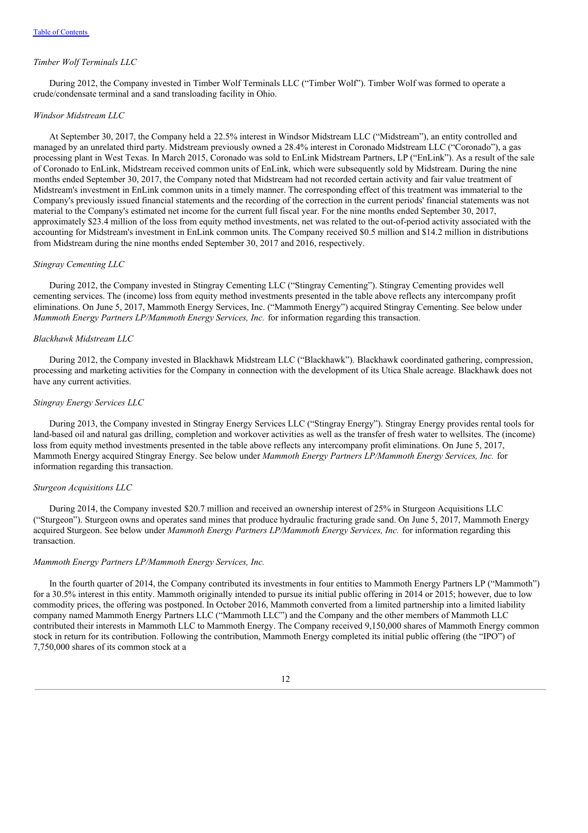#### *Timber Wolf Terminals LLC*

During 2012, the Company invested in Timber Wolf Terminals LLC ("Timber Wolf"). Timber Wolf was formed to operate a crude/condensate terminal and a sand transloading facility in Ohio.

#### *Windsor Midstream LLC*

At September 30, 2017, the Company held a 22.5% interest in Windsor Midstream LLC ("Midstream"), an entity controlled and managed by an unrelated third party. Midstream previously owned a 28.4% interest in Coronado Midstream LLC ("Coronado"), a gas processing plant in West Texas. In March 2015, Coronado was sold to EnLink Midstream Partners, LP ("EnLink"). As a result of the sale of Coronado to EnLink, Midstream received common units of EnLink, which were subsequently sold by Midstream. During the nine months ended September 30, 2017, the Company noted that Midstream had not recorded certain activity and fair value treatment of Midstream's investment in EnLink common units in a timely manner. The corresponding effect of this treatment was immaterial to the Company's previously issued financial statements and the recording of the correction in the current periods' financial statements was not material to the Company's estimated net income for the current full fiscal year. For the nine months ended September 30, 2017, approximately \$23.4 million of the loss from equity method investments, net was related to the out-of-period activity associated with the accounting for Midstream's investment in EnLink common units. The Company received \$0.5 million and \$14.2 million in distributions from Midstream during the nine months ended September 30, 2017 and 2016, respectively.

#### *Stingray Cementing LLC*

During 2012, the Company invested in Stingray Cementing LLC ("Stingray Cementing"). Stingray Cementing provides well cementing services. The (income) loss from equity method investments presented in the table above reflects any intercompany profit eliminations. On June 5, 2017, Mammoth Energy Services, Inc. ("Mammoth Energy") acquired Stingray Cementing. See below under *Mammoth Energy Partners LP/Mammoth Energy Services, Inc.* for information regarding this transaction.

#### *Blackhawk Midstream LLC*

During 2012, the Company invested in Blackhawk Midstream LLC ("Blackhawk"). Blackhawk coordinated gathering, compression, processing and marketing activities for the Company in connection with the development of its Utica Shale acreage. Blackhawk does not have any current activities.

#### *Stingray Energy Services LLC*

During 2013, the Company invested in Stingray Energy Services LLC ("Stingray Energy"). Stingray Energy provides rental tools for land-based oil and natural gas drilling, completion and workover activities as well as the transfer of fresh water to wellsites. The (income) loss from equity method investments presented in the table above reflects any intercompany profit eliminations. On June 5, 2017, Mammoth Energy acquired Stingray Energy. See below under *Mammoth Energy Partners LP/Mammoth Energy Services, Inc.* for information regarding this transaction.

#### *Sturgeon Acquisitions LLC*

During 2014, the Company invested \$20.7 million and received an ownership interest of 25% in Sturgeon Acquisitions LLC ("Sturgeon"). Sturgeon owns and operates sand mines that produce hydraulic fracturing grade sand. On June 5, 2017, Mammoth Energy acquired Sturgeon. See below under *Mammoth Energy Partners LP/Mammoth Energy Services, Inc.* for information regarding this transaction.

#### *Mammoth Energy Partners LP/Mammoth Energy Services, Inc.*

In the fourth quarter of 2014, the Company contributed its investments in four entities to Mammoth Energy Partners LP ("Mammoth") for a 30.5% interest in this entity. Mammoth originally intended to pursue its initial public offering in 2014 or 2015; however, due to low commodity prices, the offering was postponed. In October 2016, Mammoth converted from a limited partnership into a limited liability company named Mammoth Energy Partners LLC ("Mammoth LLC") and the Company and the other members of Mammoth LLC contributed their interests in Mammoth LLC to Mammoth Energy. The Company received 9,150,000 shares of Mammoth Energy common stock in return for its contribution. Following the contribution, Mammoth Energy completed its initial public offering (the "IPO") of 7,750,000 shares of its common stock at a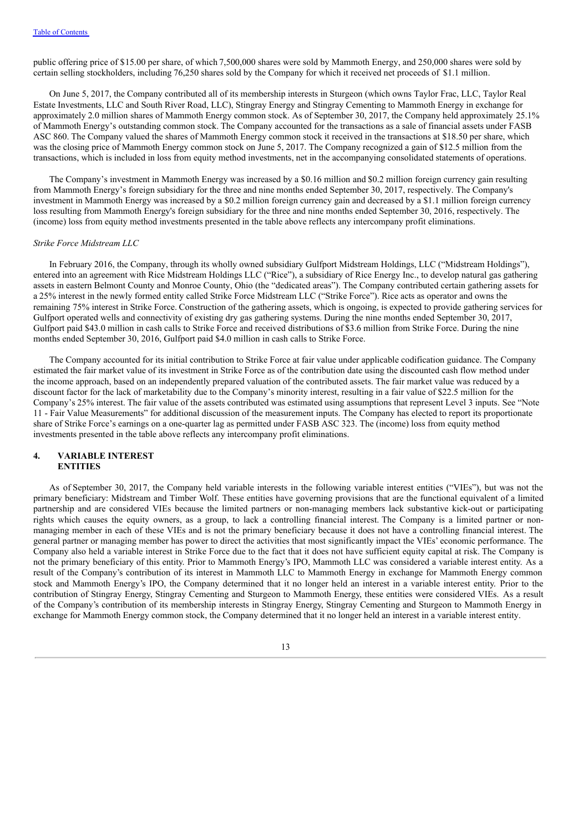public offering price of \$15.00 per share, of which 7,500,000 shares were sold by Mammoth Energy, and 250,000 shares were sold by certain selling stockholders, including 76,250 shares sold by the Company for which it received net proceeds of \$1.1 million.

On June 5, 2017, the Company contributed all of its membership interests in Sturgeon (which owns Taylor Frac, LLC, Taylor Real Estate Investments, LLC and South River Road, LLC), Stingray Energy and Stingray Cementing to Mammoth Energy in exchange for approximately 2.0 million shares of Mammoth Energy common stock. As of September 30, 2017, the Company held approximately 25.1% of Mammoth Energy's outstanding common stock. The Company accounted for the transactions as a sale of financial assets under FASB ASC 860. The Company valued the shares of Mammoth Energy common stock it received in the transactions at \$18.50 per share, which was the closing price of Mammoth Energy common stock on June 5, 2017. The Company recognized a gain of \$12.5 million from the transactions, which is included in loss from equity method investments, net in the accompanying consolidated statements of operations.

The Company's investment in Mammoth Energy was increased by a \$0.16 million and \$0.2 million foreign currency gain resulting from Mammoth Energy's foreign subsidiary for the three and nine months ended September 30, 2017, respectively. The Company's investment in Mammoth Energy was increased by a \$0.2 million foreign currency gain and decreased by a \$1.1 million foreign currency loss resulting from Mammoth Energy's foreign subsidiary for the three and nine months ended September 30, 2016, respectively. The (income) loss from equity method investments presented in the table above reflects any intercompany profit eliminations.

# *Strike Force Midstream LLC*

In February 2016, the Company, through its wholly owned subsidiary Gulfport Midstream Holdings, LLC ("Midstream Holdings"), entered into an agreement with Rice Midstream Holdings LLC ("Rice"), a subsidiary of Rice Energy Inc., to develop natural gas gathering assets in eastern Belmont County and Monroe County, Ohio (the "dedicated areas"). The Company contributed certain gathering assets for a 25% interest in the newly formed entity called Strike Force Midstream LLC ("Strike Force"). Rice acts as operator and owns the remaining 75% interest in Strike Force. Construction of the gathering assets, which is ongoing, is expected to provide gathering services for Gulfport operated wells and connectivity of existing dry gas gathering systems. During the nine months ended September 30, 2017, Gulfport paid \$43.0 million in cash calls to Strike Force and received distributions of \$3.6 million from Strike Force. During the nine months ended September 30, 2016, Gulfport paid \$4.0 million in cash calls to Strike Force.

The Company accounted for its initial contribution to Strike Force at fair value under applicable codification guidance. The Company estimated the fair market value of its investment in Strike Force as of the contribution date using the discounted cash flow method under the income approach, based on an independently prepared valuation of the contributed assets. The fair market value was reduced by a discount factor for the lack of marketability due to the Company's minority interest, resulting in a fair value of \$22.5 million for the Company's 25% interest. The fair value of the assets contributed was estimated using assumptions that represent Level 3 inputs. See "Note 11 - Fair Value Measurements" for additional discussion of the measurement inputs. The Company has elected to report its proportionate share of Strike Force's earnings on a one-quarter lag as permitted under FASB ASC 323. The (income) loss from equity method investments presented in the table above reflects any intercompany profit eliminations.

#### **4. VARIABLE INTEREST ENTITIES**

As of September 30, 2017, the Company held variable interests in the following variable interest entities ("VIEs"), but was not the primary beneficiary: Midstream and Timber Wolf. These entities have governing provisions that are the functional equivalent of a limited partnership and are considered VIEs because the limited partners or non-managing members lack substantive kick-out or participating rights which causes the equity owners, as a group, to lack a controlling financial interest. The Company is a limited partner or nonmanaging member in each of these VIEs and is not the primary beneficiary because it does not have a controlling financial interest. The general partner or managing member has power to direct the activities that most significantly impact the VIEs' economic performance. The Company also held a variable interest in Strike Force due to the fact that it does not have sufficient equity capital at risk. The Company is not the primary beneficiary of this entity. Prior to Mammoth Energy's IPO, Mammoth LLC was considered a variable interest entity. As a result of the Company's contribution of its interest in Mammoth LLC to Mammoth Energy in exchange for Mammoth Energy common stock and Mammoth Energy's IPO, the Company determined that it no longer held an interest in a variable interest entity. Prior to the contribution of Stingray Energy, Stingray Cementing and Sturgeon to Mammoth Energy, these entities were considered VIEs. As a result of the Company's contribution of its membership interests in Stingray Energy, Stingray Cementing and Sturgeon to Mammoth Energy in exchange for Mammoth Energy common stock, the Company determined that it no longer held an interest in a variable interest entity.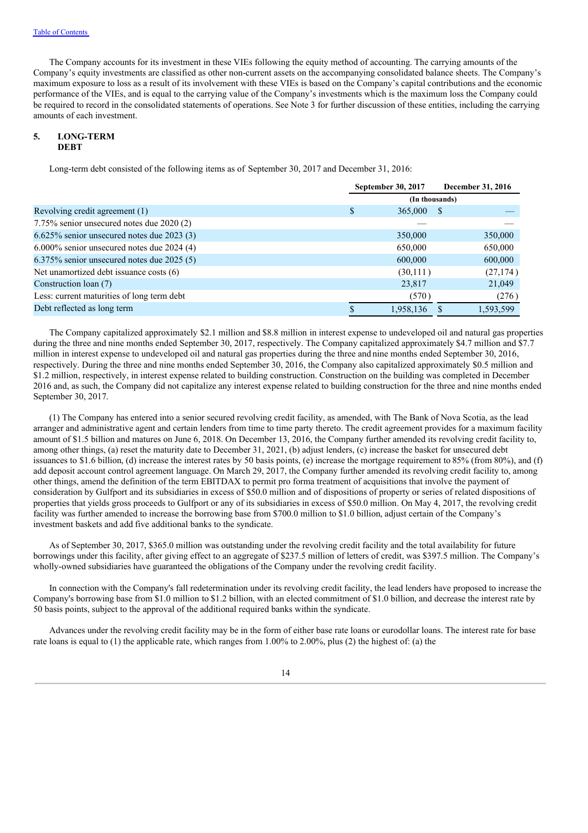The Company accounts for its investment in these VIEs following the equity method of accounting. The carrying amounts of the Company's equity investments are classified as other non-current assets on the accompanying consolidated balance sheets. The Company's maximum exposure to loss as a result of its involvement with these VIEs is based on the Company's capital contributions and the economic performance of the VIEs, and is equal to the carrying value of the Company's investments which is the maximum loss the Company could be required to record in the consolidated statements of operations. See Note 3 for further discussion of these entities, including the carrying amounts of each investment.

# **5. LONG-TERM DEBT**

Long-term debt consisted of the following items as of September 30, 2017 and December 31, 2016:

|                                               | September 30, 2017 |                |  | December 31, 2016 |
|-----------------------------------------------|--------------------|----------------|--|-------------------|
|                                               |                    | (In thousands) |  |                   |
| Revolving credit agreement (1)                | S                  | 365,000        |  |                   |
| 7.75% senior unsecured notes due 2020 (2)     |                    |                |  |                   |
| $6.625\%$ senior unsecured notes due 2023 (3) |                    | 350,000        |  | 350,000           |
| $6.000\%$ senior unsecured notes due 2024 (4) |                    | 650,000        |  | 650,000           |
| $6.375\%$ senior unsecured notes due 2025 (5) |                    | 600,000        |  | 600,000           |
| Net unamortized debt issuance costs (6)       |                    | (30,111)       |  | (27, 174)         |
| Construction loan (7)                         |                    | 23,817         |  | 21,049            |
| Less: current maturities of long term debt    |                    | (570)          |  | (276)             |
| Debt reflected as long term                   |                    | 1,958,136      |  | 1,593,599         |

The Company capitalized approximately \$2.1 million and \$8.8 million in interest expense to undeveloped oil and natural gas properties during the three and nine months ended September 30, 2017, respectively. The Company capitalized approximately \$4.7 million and \$7.7 million in interest expense to undeveloped oil and natural gas properties during the three andnine months ended September 30, 2016, respectively. During the three and nine months ended September 30, 2016, the Company also capitalized approximately \$0.5 million and \$1.2 million, respectively, in interest expense related to building construction. Construction on the building was completed in December 2016 and, as such, the Company did not capitalize any interest expense related to building construction for the three and nine months ended September 30, 2017.

(1) The Company has entered into a senior secured revolving credit facility, as amended, with The Bank of Nova Scotia, as the lead arranger and administrative agent and certain lenders from time to time party thereto. The credit agreement provides for a maximum facility amount of \$1.5 billion and matures on June 6, 2018. On December 13, 2016, the Company further amended its revolving credit facility to, among other things, (a) reset the maturity date to December 31, 2021, (b) adjust lenders, (c) increase the basket for unsecured debt issuances to \$1.6 billion, (d) increase the interest rates by 50 basis points, (e) increase the mortgage requirement to85% (from 80%), and (f) add deposit account control agreement language. On March 29, 2017, the Company further amended its revolving credit facility to, among other things, amend the definition of the term EBITDAX to permit pro forma treatment of acquisitions that involve the payment of consideration by Gulfport and its subsidiaries in excess of \$50.0 million and of dispositions of property or series of related dispositions of properties that yields gross proceeds to Gulfport or any of its subsidiaries in excess of \$50.0 million. On May 4, 2017, the revolving credit facility was further amended to increase the borrowing base from \$700.0 million to \$1.0 billion, adjust certain of the Company's investment baskets and add five additional banks to the syndicate.

As of September 30, 2017, \$365.0 million was outstanding under the revolving credit facility and the total availability for future borrowings under this facility, after giving effect to an aggregate of \$237.5 million of letters of credit, was \$397.5 million. The Company's wholly-owned subsidiaries have guaranteed the obligations of the Company under the revolving credit facility.

In connection with the Company's fall redetermination under its revolving credit facility, the lead lenders have proposed to increase the Company's borrowing base from \$1.0 million to \$1.2 billion, with an elected commitment of \$1.0 billion, and decrease the interest rate by 50 basis points, subject to the approval of the additional required banks within the syndicate.

Advances under the revolving credit facility may be in the form of either base rate loans or eurodollar loans. The interest rate for base rate loans is equal to (1) the applicable rate, which ranges from 1.00% to 2.00%, plus (2) the highest of: (a) the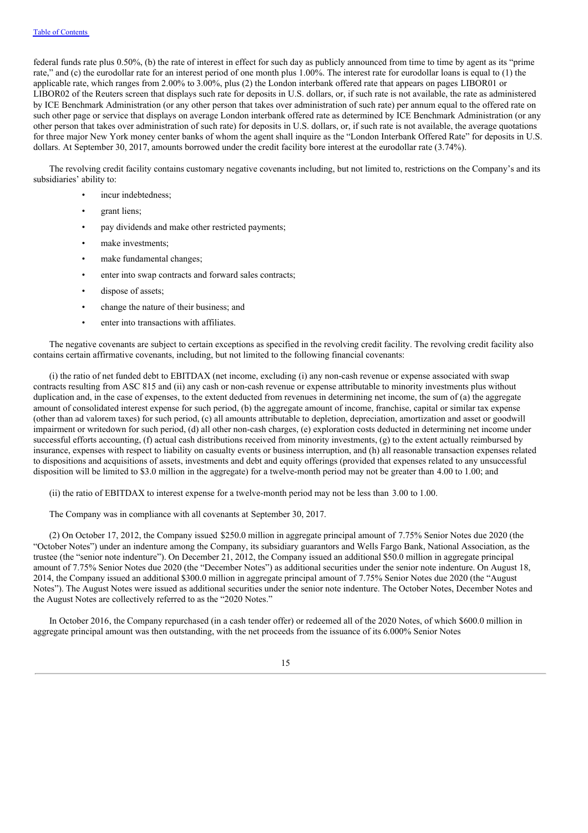federal funds rate plus 0.50%, (b) the rate of interest in effect for such day as publicly announced from time to time by agent as its "prime rate," and (c) the eurodollar rate for an interest period of one month plus 1.00%. The interest rate for eurodollar loans is equal to (1) the applicable rate, which ranges from 2.00% to 3.00%, plus (2) the London interbank offered rate that appears on pages LIBOR01 or LIBOR02 of the Reuters screen that displays such rate for deposits in U.S. dollars, or, if such rate is not available, the rate as administered by ICE Benchmark Administration (or any other person that takes over administration of such rate) per annum equal to the offered rate on such other page or service that displays on average London interbank offered rate as determined by ICE Benchmark Administration (or any other person that takes over administration of such rate) for deposits in U.S. dollars, or, if such rate is not available, the average quotations for three major New York money center banks of whom the agent shall inquire as the "London Interbank Offered Rate" for deposits in U.S. dollars. At September 30, 2017, amounts borrowed under the credit facility bore interest at the eurodollar rate (3.74%).

The revolving credit facility contains customary negative covenants including, but not limited to, restrictions on the Company's and its subsidiaries' ability to:

- incur indebtedness:
- grant liens;
- pay dividends and make other restricted payments;
- make investments;
- make fundamental changes:
- enter into swap contracts and forward sales contracts;
- dispose of assets:
- change the nature of their business; and
- enter into transactions with affiliates.

The negative covenants are subject to certain exceptions as specified in the revolving credit facility. The revolving credit facility also contains certain affirmative covenants, including, but not limited to the following financial covenants:

(i) the ratio of net funded debt to EBITDAX (net income, excluding (i) any non-cash revenue or expense associated with swap contracts resulting from ASC 815 and (ii) any cash or non-cash revenue or expense attributable to minority investments plus without duplication and, in the case of expenses, to the extent deducted from revenues in determining net income, the sum of (a) the aggregate amount of consolidated interest expense for such period, (b) the aggregate amount of income, franchise, capital or similar tax expense (other than ad valorem taxes) for such period, (c) all amounts attributable to depletion, depreciation, amortization and asset or goodwill impairment or writedown for such period, (d) all other non-cash charges, (e) exploration costs deducted in determining net income under successful efforts accounting, (f) actual cash distributions received from minority investments, (g) to the extent actually reimbursed by insurance, expenses with respect to liability on casualty events or business interruption, and (h) all reasonable transaction expenses related to dispositions and acquisitions of assets, investments and debt and equity offerings (provided that expenses related to any unsuccessful disposition will be limited to \$3.0 million in the aggregate) for a twelve-month period may not be greater than 4.00 to 1.00; and

(ii) the ratio of EBITDAX to interest expense for a twelve-month period may not be less than 3.00 to 1.00.

The Company was in compliance with all covenants at September 30, 2017.

(2) On October 17, 2012, the Company issued \$250.0 million in aggregate principal amount of 7.75% Senior Notes due 2020 (the "October Notes") under an indenture among the Company, its subsidiary guarantors and Wells Fargo Bank, National Association, as the trustee (the "senior note indenture"). On December 21, 2012, the Company issued an additional \$50.0 million in aggregate principal amount of 7.75% Senior Notes due 2020 (the "December Notes") as additional securities under the senior note indenture. On August 18, 2014, the Company issued an additional \$300.0 million in aggregate principal amount of 7.75% Senior Notes due 2020 (the "August Notes"). The August Notes were issued as additional securities under the senior note indenture. The October Notes, December Notes and the August Notes are collectively referred to as the "2020 Notes."

In October 2016, the Company repurchased (in a cash tender offer) or redeemed all of the 2020 Notes, of which \$600.0 million in aggregate principal amount was then outstanding, with the net proceeds from the issuance of its 6.000% Senior Notes

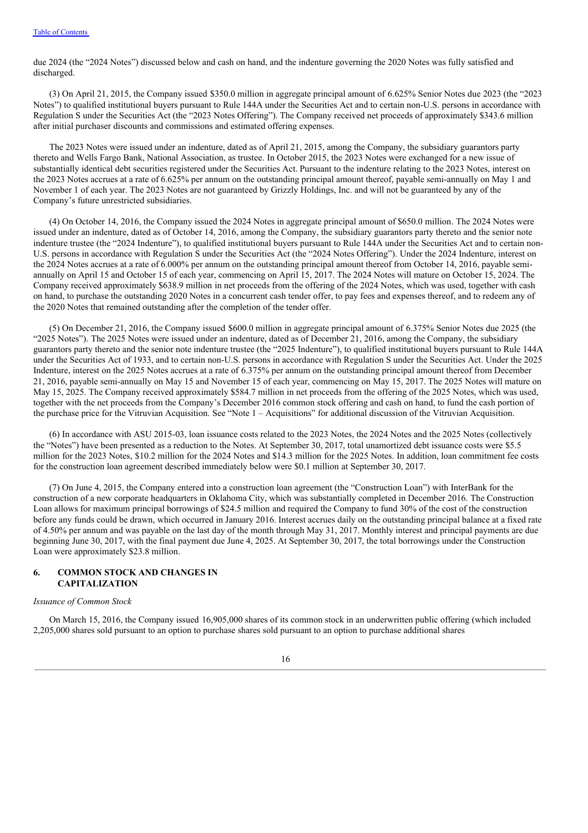due 2024 (the "2024 Notes") discussed below and cash on hand, and the indenture governing the 2020 Notes was fully satisfied and discharged.

(3) On April 21, 2015, the Company issued \$350.0 million in aggregate principal amount of 6.625% Senior Notes due 2023 (the "2023 Notes") to qualified institutional buyers pursuant to Rule 144A under the Securities Act and to certain non-U.S. persons in accordance with Regulation S under the Securities Act (the "2023 Notes Offering"). The Company received net proceeds of approximately \$343.6 million after initial purchaser discounts and commissions and estimated offering expenses.

The 2023 Notes were issued under an indenture, dated as of April 21, 2015, among the Company, the subsidiary guarantors party thereto and Wells Fargo Bank, National Association, as trustee. In October 2015, the 2023 Notes were exchanged for a new issue of substantially identical debt securities registered under the Securities Act. Pursuant to the indenture relating to the 2023 Notes, interest on the 2023 Notes accrues at a rate of 6.625% per annum on the outstanding principal amount thereof, payable semi-annually on May 1 and November 1 of each year. The 2023 Notes are not guaranteed by Grizzly Holdings, Inc. and will not be guaranteed by any of the Company's future unrestricted subsidiaries.

(4) On October 14, 2016, the Company issued the 2024 Notes in aggregate principal amount of \$650.0 million. The 2024 Notes were issued under an indenture, dated as of October 14, 2016, among the Company, the subsidiary guarantors party thereto and the senior note indenture trustee (the "2024 Indenture"), to qualified institutional buyers pursuant to Rule 144A under the Securities Act and to certain non-U.S. persons in accordance with Regulation S under the Securities Act (the "2024 Notes Offering"). Under the 2024 Indenture, interest on the 2024 Notes accrues at a rate of 6.000% per annum on the outstanding principal amount thereof from October 14, 2016, payable semiannually on April 15 and October 15 of each year, commencing on April 15, 2017. The 2024 Notes will mature on October 15, 2024. The Company received approximately \$638.9 million in net proceeds from the offering of the 2024 Notes, which was used, together with cash on hand, to purchase the outstanding 2020 Notes in a concurrent cash tender offer, to pay fees and expenses thereof, and to redeem any of the 2020 Notes that remained outstanding after the completion of the tender offer.

(5) On December 21, 2016, the Company issued \$600.0 million in aggregate principal amount of 6.375% Senior Notes due 2025 (the "2025 Notes"). The 2025 Notes were issued under an indenture, dated as of December 21, 2016, among the Company, the subsidiary guarantors party thereto and the senior note indenture trustee (the "2025 Indenture"), to qualified institutional buyers pursuant to Rule 144A under the Securities Act of 1933, and to certain non-U.S. persons in accordance with Regulation S under the Securities Act. Under the 2025 Indenture, interest on the 2025 Notes accrues at a rate of 6.375% per annum on the outstanding principal amount thereof from December 21, 2016, payable semi-annually on May 15 and November 15 of each year, commencing on May 15, 2017. The 2025 Notes will mature on May 15, 2025. The Company received approximately \$584.7 million in net proceeds from the offering of the 2025 Notes, which was used, together with the net proceeds from the Company's December 2016 common stock offering and cash on hand, to fund the cash portion of the purchase price for the Vitruvian Acquisition. See "Note 1 – Acquisitions" for additional discussion of the Vitruvian Acquisition.

(6) In accordance with ASU 2015-03, loan issuance costs related to the 2023 Notes, the 2024 Notes and the 2025 Notes (collectively the "Notes") have been presented as a reduction to the Notes. At September 30, 2017, total unamortized debt issuance costs were \$5.5 million for the 2023 Notes, \$10.2 million for the 2024 Notes and \$14.3 million for the 2025 Notes. In addition, loan commitment fee costs for the construction loan agreement described immediately below were \$0.1 million at September 30, 2017.

(7) On June 4, 2015, the Company entered into a construction loan agreement (the "Construction Loan") with InterBank for the construction of a new corporate headquarters in Oklahoma City, which was substantially completed in December 2016. The Construction Loan allows for maximum principal borrowings of \$24.5 million and required the Company to fund 30% of the cost of the construction before any funds could be drawn, which occurred in January 2016. Interest accrues daily on the outstanding principal balance at a fixed rate of 4.50% per annum and was payable on the last day of the month through May 31, 2017. Monthly interest and principal payments are due beginning June 30, 2017, with the final payment due June 4, 2025. At September 30, 2017, the total borrowings under the Construction Loan were approximately \$23.8 million.

#### **6. COMMON STOCK AND CHANGES IN CAPITALIZATION**

#### *Issuance of Common Stock*

On March 15, 2016, the Company issued 16,905,000 shares of its common stock in an underwritten public offering (which included 2,205,000 shares sold pursuant to an option to purchase shares sold pursuant to an option to purchase additional shares

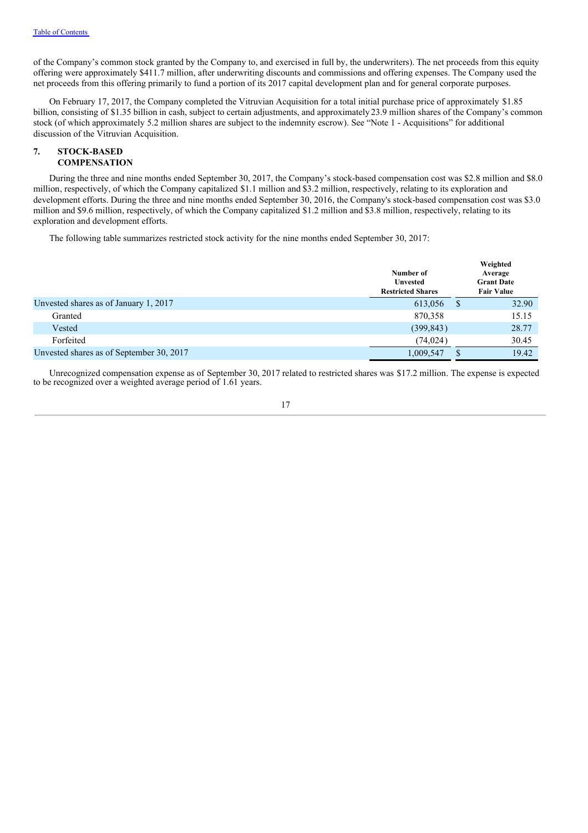of the Company's common stock granted by the Company to, and exercised in full by, the underwriters). The net proceeds from this equity offering were approximately \$411.7 million, after underwriting discounts and commissions and offering expenses. The Company used the net proceeds from this offering primarily to fund a portion of its 2017 capital development plan and for general corporate purposes.

On February 17, 2017, the Company completed the Vitruvian Acquisition for a total initial purchase price of approximately \$1.85 billion, consisting of \$1.35 billion in cash, subject to certain adjustments, and approximately23.9 million shares of the Company's common stock (of which approximately 5.2 million shares are subject to the indemnity escrow). See "Note 1 - Acquisitions" for additional discussion of the Vitruvian Acquisition.

#### **7. STOCK-BASED COMPENSATION**

During the three and nine months ended September 30, 2017, the Company's stock-based compensation cost was \$2.8 million and \$8.0 million, respectively, of which the Company capitalized \$1.1 million and \$3.2 million, respectively, relating to its exploration and development efforts. During the three and nine months ended September 30, 2016, the Company's stock-based compensation cost was \$3.0 million and \$9.6 million, respectively, of which the Company capitalized \$1.2 million and \$3.8 million, respectively, relating to its exploration and development efforts.

The following table summarizes restricted stock activity for the nine months ended September 30, 2017:

|                                          | Number of<br><b>Unvested</b><br><b>Restricted Shares</b> |              | Weighted<br>Average<br><b>Grant Date</b><br><b>Fair Value</b> |
|------------------------------------------|----------------------------------------------------------|--------------|---------------------------------------------------------------|
| Unvested shares as of January 1, 2017    | 613,056                                                  | <sup>S</sup> | 32.90                                                         |
| Granted                                  | 870,358                                                  |              | 15.15                                                         |
| Vested                                   | (399, 843)                                               |              | 28.77                                                         |
| Forfeited                                | (74.024)                                                 |              | 30.45                                                         |
| Unvested shares as of September 30, 2017 | 1,009,547                                                |              | 19.42                                                         |

Unrecognized compensation expense as of September 30, 2017 related to restricted shares was \$17.2 million. The expense is expected to be recognized over a weighted average period of 1.61 years.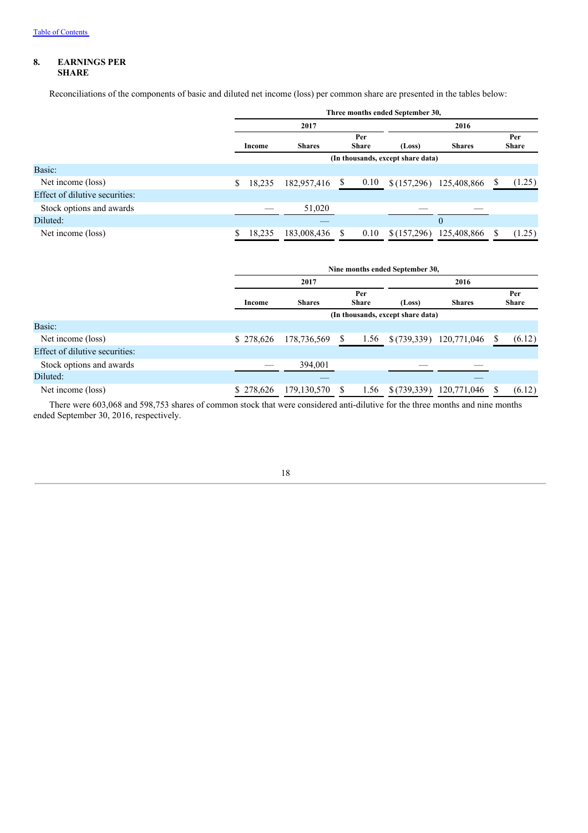# **8. EARNINGS PER SHARE**

Reconciliations of the components of basic and diluted net income (loss) per common share are presented in the tables below:

|                                |             | Three months ended September 30,     |           |             |                |   |                     |  |  |  |
|--------------------------------|-------------|--------------------------------------|-----------|-------------|----------------|---|---------------------|--|--|--|
|                                |             | 2017                                 |           | 2016        |                |   |                     |  |  |  |
|                                | Income      | Per<br><b>Share</b><br><b>Shares</b> |           | (Loss)      | <b>Shares</b>  |   | Per<br><b>Share</b> |  |  |  |
|                                |             | (In thousands, except share data)    |           |             |                |   |                     |  |  |  |
| Basic:                         |             |                                      |           |             |                |   |                     |  |  |  |
| Net income (loss)              | S<br>18,235 | 182,957,416                          | 0.10<br>S | \$(157,296) | 125,408,866    |   | (1.25)              |  |  |  |
| Effect of dilutive securities: |             |                                      |           |             |                |   |                     |  |  |  |
| Stock options and awards       |             | 51,020                               |           |             |                |   |                     |  |  |  |
| Diluted:                       |             |                                      |           |             | $\overline{0}$ |   |                     |  |  |  |
| Net income (loss)              | 18,235      | 183,008,436                          | 0.10      | \$(157,296) | 125,408,866    | S | (1.25)              |  |  |  |

|                                |           | Nine months ended September 30,   |  |                     |             |                         |   |                     |  |  |  |
|--------------------------------|-----------|-----------------------------------|--|---------------------|-------------|-------------------------|---|---------------------|--|--|--|
|                                |           | 2017                              |  |                     |             |                         |   |                     |  |  |  |
|                                | Income    | <b>Shares</b>                     |  | Per<br><b>Share</b> | (Loss)      | <b>Shares</b>           |   | Per<br><b>Share</b> |  |  |  |
|                                |           | (In thousands, except share data) |  |                     |             |                         |   |                     |  |  |  |
| Basic:                         |           |                                   |  |                     |             |                         |   |                     |  |  |  |
| Net income (loss)              | \$278,626 | 178,736,569                       |  | 1.56                |             | \$(739,339) 120,771,046 | S | (6.12)              |  |  |  |
| Effect of dilutive securities: |           |                                   |  |                     |             |                         |   |                     |  |  |  |
| Stock options and awards       |           | 394.001                           |  |                     |             |                         |   |                     |  |  |  |
| Diluted:                       |           |                                   |  |                     |             |                         |   |                     |  |  |  |
| Net income (loss)              | \$278,626 | 179, 130, 570                     |  | 1.56                | \$(739,339) | 120,771,046             |   | (6.12)              |  |  |  |

There were 603,068 and 598,753 shares of common stock that were considered anti-dilutive for the three months and nine months ended September 30, 2016, respectively.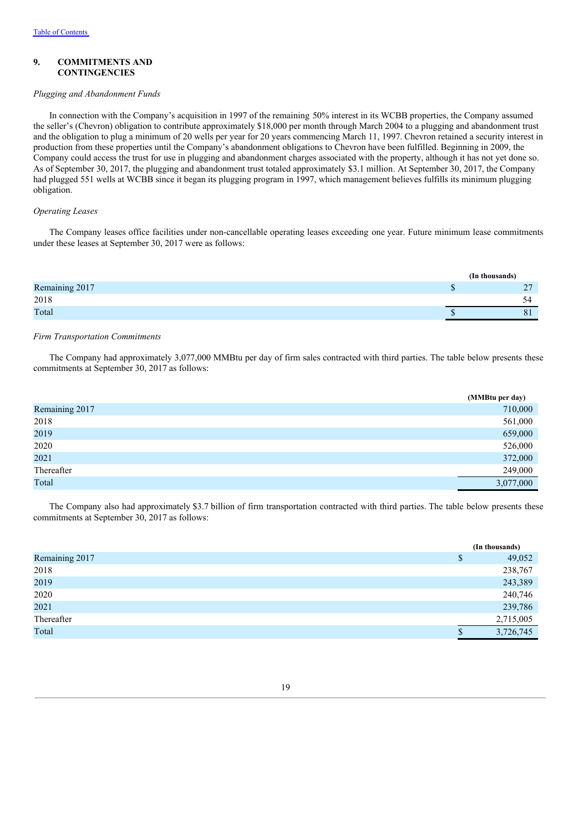#### **9. COMMITMENTS AND CONTINGENCIES**

#### *Plugging and Abandonment Funds*

In connection with the Company's acquisition in 1997 of the remaining 50% interest in its WCBB properties, the Company assumed the seller's (Chevron) obligation to contribute approximately \$18,000 per month through March 2004 to a plugging and abandonment trust and the obligation to plug a minimum of 20 wells per year for 20 years commencing March 11, 1997. Chevron retained a security interest in production from these properties until the Company's abandonment obligations to Chevron have been fulfilled. Beginning in 2009, the Company could access the trust for use in plugging and abandonment charges associated with the property, although it has not yet done so. As of September 30, 2017, the plugging and abandonment trust totaled approximately \$3.1 million. At September 30, 2017, the Company had plugged 551 wells at WCBB since it began its plugging program in 1997, which management believes fulfills its minimum plugging obligation.

# *Operating Leases*

The Company leases office facilities under non-cancellable operating leases exceeding one year. Future minimum lease commitments under these leases at September 30, 2017 were as follows:

|                | (In thousands) |
|----------------|----------------|
| Remaining 2017 |                |
| 2018           |                |
| Total          |                |
|                |                |

#### *Firm Transportation Commitments*

The Company had approximately 3,077,000 MMBtu per day of firm sales contracted with third parties. The table below presents these commitments at September 30, 2017 as follows:

|                | (MMBtu per day) |
|----------------|-----------------|
| Remaining 2017 | 710,000         |
| 2018           | 561,000         |
| 2019           | 659,000         |
| 2020           | 526,000         |
| 2021           | 372,000         |
| Thereafter     | 249,000         |
| Total          | 3,077,000       |

The Company also had approximately \$3.7 billion of firm transportation contracted with third parties. The table below presents these commitments at September 30, 2017 as follows:

|                | (In thousands) |
|----------------|----------------|
| Remaining 2017 | \$<br>49,052   |
| 2018           | 238,767        |
| 2019           | 243,389        |
| 2020           | 240,746        |
| 2021           | 239,786        |
| Thereafter     | 2,715,005      |
| Total          | 3,726,745      |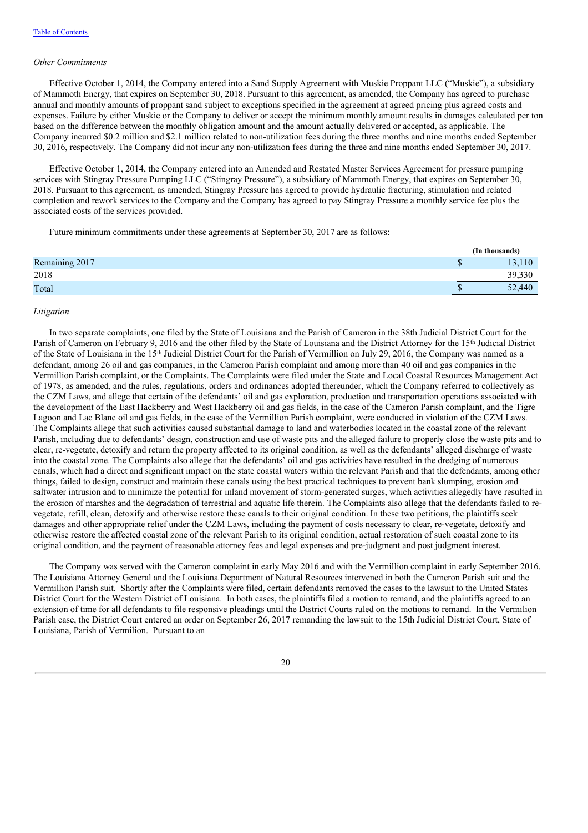#### *Other Commitments*

Effective October 1, 2014, the Company entered into a Sand Supply Agreement with Muskie Proppant LLC ("Muskie"), a subsidiary of Mammoth Energy, that expires on September 30, 2018. Pursuant to this agreement, as amended, the Company has agreed to purchase annual and monthly amounts of proppant sand subject to exceptions specified in the agreement at agreed pricing plus agreed costs and expenses. Failure by either Muskie or the Company to deliver or accept the minimum monthly amount results in damages calculated per ton based on the difference between the monthly obligation amount and the amount actually delivered or accepted, as applicable. The Company incurred \$0.2 million and \$2.1 million related to non-utilization fees during the three months and nine months ended September 30, 2016, respectively. The Company did not incur any non-utilization fees during the three and nine months ended September 30, 2017.

Effective October 1, 2014, the Company entered into an Amended and Restated Master Services Agreement for pressure pumping services with Stingray Pressure Pumping LLC ("Stingray Pressure"), a subsidiary of Mammoth Energy, that expires on September 30, 2018. Pursuant to this agreement, as amended, Stingray Pressure has agreed to provide hydraulic fracturing, stimulation and related completion and rework services to the Company and the Company has agreed to pay Stingray Pressure a monthly service fee plus the associated costs of the services provided.

Future minimum commitments under these agreements at September 30, 2017 are as follows:

|                | (In thousands) |
|----------------|----------------|
| Remaining 2017 | 13,110         |
| 2018           | 39,330         |
| Total          | 52,440         |
|                |                |

#### *Litigation*

In two separate complaints, one filed by the State of Louisiana and the Parish of Cameron in the 38th Judicial District Court for the Parish of Cameron on February 9, 2016 and the other filed by the State of Louisiana and the District Attorney for the 15<sup>th</sup> Judicial District of the State of Louisiana in the 15<sup>th</sup> Judicial District Court for the Parish of Vermillion on July 29, 2016, the Company was named as a defendant, among 26 oil and gas companies, in the Cameron Parish complaint and among more than 40 oil and gas companies in the Vermillion Parish complaint, or the Complaints. The Complaints were filed under the State and Local Coastal Resources Management Act of 1978, as amended, and the rules, regulations, orders and ordinances adopted thereunder, which the Company referred to collectively as the CZM Laws, and allege that certain of the defendants' oil and gas exploration, production and transportation operations associated with the development of the East Hackberry and West Hackberry oil and gas fields, in the case of the Cameron Parish complaint, and the Tigre Lagoon and Lac Blanc oil and gas fields, in the case of the Vermillion Parish complaint, were conducted in violation of the CZM Laws. The Complaints allege that such activities caused substantial damage to land and waterbodies located in the coastal zone of the relevant Parish, including due to defendants' design, construction and use of waste pits and the alleged failure to properly close the waste pits and to clear, re-vegetate, detoxify and return the property affected to its original condition, as well as the defendants' alleged discharge of waste into the coastal zone. The Complaints also allege that the defendants' oil and gas activities have resulted in the dredging of numerous canals, which had a direct and significant impact on the state coastal waters within the relevant Parish and that the defendants, among other things, failed to design, construct and maintain these canals using the best practical techniques to prevent bank slumping, erosion and saltwater intrusion and to minimize the potential for inland movement of storm-generated surges, which activities allegedly have resulted in the erosion of marshes and the degradation of terrestrial and aquatic life therein. The Complaints also allege that the defendants failed to revegetate, refill, clean, detoxify and otherwise restore these canals to their original condition. In these two petitions, the plaintiffs seek damages and other appropriate relief under the CZM Laws, including the payment of costs necessary to clear, re-vegetate, detoxify and otherwise restore the affected coastal zone of the relevant Parish to its original condition, actual restoration of such coastal zone to its original condition, and the payment of reasonable attorney fees and legal expenses and pre-judgment and post judgment interest.

The Company was served with the Cameron complaint in early May 2016 and with the Vermillion complaint in early September 2016. The Louisiana Attorney General and the Louisiana Department of Natural Resources intervened in both the Cameron Parish suit and the Vermillion Parish suit. Shortly after the Complaints were filed, certain defendants removed the cases to the lawsuit to the United States District Court for the Western District of Louisiana. In both cases, the plaintiffs filed a motion to remand, and the plaintiffs agreed to an extension of time for all defendants to file responsive pleadings until the District Courts ruled on the motions to remand. In the Vermilion Parish case, the District Court entered an order on September 26, 2017 remanding the lawsuit to the 15th Judicial District Court, State of Louisiana, Parish of Vermilion. Pursuant to an

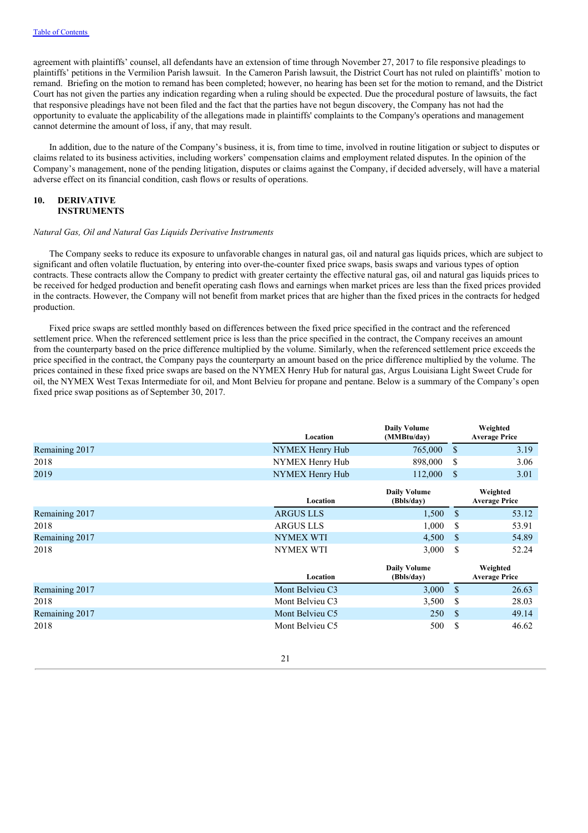agreement with plaintiffs' counsel, all defendants have an extension of time through November 27, 2017 to file responsive pleadings to plaintiffs' petitions in the Vermilion Parish lawsuit. In the Cameron Parish lawsuit, the District Court has not ruled on plaintiffs' motion to remand. Briefing on the motion to remand has been completed; however, no hearing has been set for the motion to remand, and the District Court has not given the parties any indication regarding when a ruling should be expected. Due the procedural posture of lawsuits, the fact that responsive pleadings have not been filed and the fact that the parties have not begun discovery, the Company has not had the opportunity to evaluate the applicability of the allegations made in plaintiffs' complaints to the Company's operations and management cannot determine the amount of loss, if any, that may result.

In addition, due to the nature of the Company's business, it is, from time to time, involved in routine litigation or subject to disputes or claims related to its business activities, including workers' compensation claims and employment related disputes. In the opinion of the Company's management, none of the pending litigation, disputes or claims against the Company, if decided adversely, will have a material adverse effect on its financial condition, cash flows or results of operations.

# **10. DERIVATIVE INSTRUMENTS**

#### *Natural Gas, Oil and Natural Gas Liquids Derivative Instruments*

The Company seeks to reduce its exposure to unfavorable changes in natural gas, oil and natural gas liquids prices, which are subject to significant and often volatile fluctuation, by entering into over-the-counter fixed price swaps, basis swaps and various types of option contracts. These contracts allow the Company to predict with greater certainty the effective natural gas, oil and natural gas liquids prices to be received for hedged production and benefit operating cash flows and earnings when market prices are less than the fixed prices provided in the contracts. However, the Company will not benefit from market prices that are higher than the fixed prices in the contracts for hedged production.

Fixed price swaps are settled monthly based on differences between the fixed price specified in the contract and the referenced settlement price. When the referenced settlement price is less than the price specified in the contract, the Company receives an amount from the counterparty based on the price difference multiplied by the volume. Similarly, when the referenced settlement price exceeds the price specified in the contract, the Company pays the counterparty an amount based on the price difference multiplied by the volume. The prices contained in these fixed price swaps are based on the NYMEX Henry Hub for natural gas, Argus Louisiana Light Sweet Crude for oil, the NYMEX West Texas Intermediate for oil, and Mont Belvieu for propane and pentane. Below is a summary of the Company's open fixed price swap positions as of September 30, 2017.

|                | Location         | <b>Daily Volume</b><br>(MMBtu/day) |               | Weighted<br><b>Average Price</b> |
|----------------|------------------|------------------------------------|---------------|----------------------------------|
| Remaining 2017 | NYMEX Henry Hub  | 765,000                            | S             | 3.19                             |
| 2018           | NYMEX Henry Hub  | 898,000                            | \$            | 3.06                             |
| 2019           | NYMEX Henry Hub  | 112,000                            | S             | 3.01                             |
|                | Location         | <b>Daily Volume</b><br>(Bbls/day)  |               | Weighted<br><b>Average Price</b> |
| Remaining 2017 | <b>ARGUS LLS</b> | 1,500                              | <sup>\$</sup> | 53.12                            |
| 2018           | <b>ARGUS LLS</b> | 1,000                              | <sup>\$</sup> | 53.91                            |
| Remaining 2017 | <b>NYMEX WTI</b> | 4,500                              | <sup>\$</sup> | 54.89                            |
| 2018           | <b>NYMEX WTI</b> | 3,000                              | \$            | 52.24                            |
|                | Location         | <b>Daily Volume</b><br>(Bbls/day)  |               | Weighted<br><b>Average Price</b> |
| Remaining 2017 | Mont Belvieu C3  | 3,000                              | <sup>\$</sup> | 26.63                            |
| 2018           | Mont Belvieu C3  | 3,500                              | \$            | 28.03                            |
| Remaining 2017 | Mont Belvieu C5  | 250                                | $\mathcal{S}$ | 49.14                            |
| 2018           | Mont Belvieu C5  | 500                                | <sup>\$</sup> | 46.62                            |

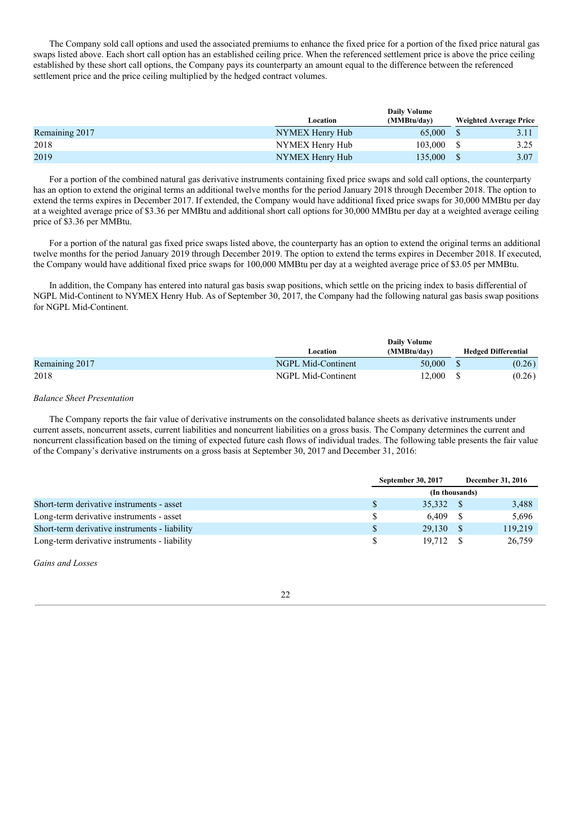The Company sold call options and used the associated premiums to enhance the fixed price for a portion of the fixed price natural gas swaps listed above. Each short call option has an established ceiling price. When the referenced settlement price is above the price ceiling established by these short call options, the Company pays its counterparty an amount equal to the difference between the referenced settlement price and the price ceiling multiplied by the hedged contract volumes.

|                |                 | <b>Daily Volume</b> |                               |      |  |
|----------------|-----------------|---------------------|-------------------------------|------|--|
|                | Location        | (MMBtu/day)         | <b>Weighted Average Price</b> |      |  |
| Remaining 2017 | NYMEX Henry Hub | 65,000              |                               |      |  |
| 2018           | NYMEX Henry Hub | 103,000             |                               | 3.25 |  |
| 2019           | NYMEX Henry Hub | 135,000             |                               | 3.07 |  |

For a portion of the combined natural gas derivative instruments containing fixed price swaps and sold call options, the counterparty has an option to extend the original terms an additional twelve months for the period January 2018 through December 2018. The option to extend the terms expires in December 2017. If extended, the Company would have additional fixed price swaps for 30,000 MMBtu per day at a weighted average price of \$3.36 per MMBtu and additional short call options for 30,000 MMBtu per day at a weighted average ceiling price of \$3.36 per MMBtu.

For a portion of the natural gas fixed price swaps listed above, the counterparty has an option to extend the original terms an additional twelve months for the period January 2019 through December 2019. The option to extend the terms expires in December 2018. If executed, the Company would have additional fixed price swaps for 100,000 MMBtu per day at a weighted average price of \$3.05 per MMBtu.

In addition, the Company has entered into natural gas basis swap positions, which settle on the pricing index to basis differential of NGPL Mid-Continent to NYMEX Henry Hub. As of September 30, 2017, the Company had the following natural gas basis swap positions for NGPL Mid-Continent.

|                |                    | <b>Daily Volume</b> |                            |
|----------------|--------------------|---------------------|----------------------------|
|                | Location           | (MMBtu/day)         | <b>Hedged Differential</b> |
| Remaining 2017 | NGPL Mid-Continent | 50,000              | (0.26)                     |
| 2018           | NGPL Mid-Continent | 12.000              | (0.26)                     |

#### *Balance Sheet Presentation*

The Company reports the fair value of derivative instruments on the consolidated balance sheets as derivative instruments under current assets, noncurrent assets, current liabilities and noncurrent liabilities on a gross basis. The Company determines the current and noncurrent classification based on the timing of expected future cash flows of individual trades. The following table presents the fair value of the Company's derivative instruments on a gross basis at September 30, 2017 and December 31, 2016:

|                                               | September 30, 2017 | December 31, 2016 |
|-----------------------------------------------|--------------------|-------------------|
|                                               | (In thousands)     |                   |
| Short-term derivative instruments - asset     | 35.332             | 3,488             |
| Long-term derivative instruments - asset      | 6.409              | 5.696             |
| Short-term derivative instruments - liability | 29.130             | 119,219           |
| Long-term derivative instruments - liability  | 19.712             | 26,759            |

*Gains and Losses*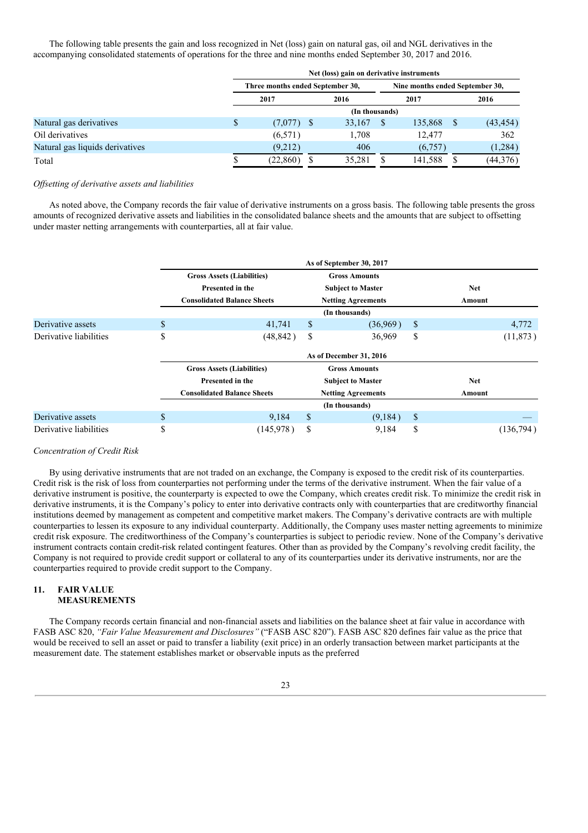The following table presents the gain and loss recognized in Net (loss) gain on natural gas, oil and NGL derivatives in the accompanying consolidated statements of operations for the three and nine months ended September 30, 2017 and 2016.

|                                 |   |                                                                     |  | Net (loss) gain on derivative instruments |  |         |  |           |  |  |  |
|---------------------------------|---|---------------------------------------------------------------------|--|-------------------------------------------|--|---------|--|-----------|--|--|--|
|                                 |   | Three months ended September 30,<br>Nine months ended September 30, |  |                                           |  |         |  |           |  |  |  |
|                                 |   | 2017                                                                |  | 2016                                      |  | 2017    |  | 2016      |  |  |  |
|                                 |   |                                                                     |  | (In thousands)                            |  |         |  |           |  |  |  |
| Natural gas derivatives         | S | $(7,077)$ \$                                                        |  | 33,167                                    |  | 135,868 |  | (43, 454) |  |  |  |
| Oil derivatives                 |   | (6,571)                                                             |  | 1.708                                     |  | 12.477  |  | 362       |  |  |  |
| Natural gas liquids derivatives |   | (9,212)                                                             |  | 406                                       |  | (6,757) |  | (1,284)   |  |  |  |
| Total                           |   | (22, 860)                                                           |  | 35,281                                    |  | 141,588 |  | (44,376)  |  |  |  |

#### *Of setting of derivative assets and liabilities*

As noted above, the Company records the fair value of derivative instruments on a gross basis. The following table presents the gross amounts of recognized derivative assets and liabilities in the consolidated balance sheets and the amounts that are subject to offsetting under master netting arrangements with counterparties, all at fair value.

|                        |                         |                                    |    | As of September 30, 2017  |    |            |           |  |  |  |  |  |
|------------------------|-------------------------|------------------------------------|----|---------------------------|----|------------|-----------|--|--|--|--|--|
|                        |                         | <b>Gross Assets (Liabilities)</b>  |    | <b>Gross Amounts</b>      |    |            |           |  |  |  |  |  |
|                        |                         | Presented in the                   |    | <b>Subject to Master</b>  |    | <b>Net</b> |           |  |  |  |  |  |
|                        |                         | <b>Consolidated Balance Sheets</b> |    | <b>Netting Agreements</b> |    | Amount     |           |  |  |  |  |  |
|                        |                         |                                    |    | (In thousands)            |    |            |           |  |  |  |  |  |
| Derivative assets      | \$                      | 41,741                             | \$ | (36,969)                  | \$ |            | 4,772     |  |  |  |  |  |
| Derivative liabilities | \$                      | (48, 842)                          | \$ | 36,969                    | \$ |            | (11, 873) |  |  |  |  |  |
|                        | As of December 31, 2016 |                                    |    |                           |    |            |           |  |  |  |  |  |
|                        |                         | <b>Gross Assets (Liabilities)</b>  |    | <b>Gross Amounts</b>      |    |            |           |  |  |  |  |  |
|                        |                         | <b>Presented in the</b>            |    | <b>Subject to Master</b>  |    | <b>Net</b> |           |  |  |  |  |  |
|                        |                         | <b>Consolidated Balance Sheets</b> |    | <b>Netting Agreements</b> |    | Amount     |           |  |  |  |  |  |
|                        |                         |                                    |    | (In thousands)            |    |            |           |  |  |  |  |  |
| Derivative assets      | \$                      | 9,184                              | \$ | (9,184)                   | \$ |            |           |  |  |  |  |  |
| Derivative liabilities | \$                      | (145, 978)                         | \$ | 9,184                     | \$ |            | (136,794) |  |  |  |  |  |

#### *Concentration of Credit Risk*

By using derivative instruments that are not traded on an exchange, the Company is exposed to the credit risk of its counterparties. Credit risk is the risk of loss from counterparties not performing under the terms of the derivative instrument. When the fair value of a derivative instrument is positive, the counterparty is expected to owe the Company, which creates credit risk. To minimize the credit risk in derivative instruments, it is the Company's policy to enter into derivative contracts only with counterparties that are creditworthy financial institutions deemed by management as competent and competitive market makers. The Company's derivative contracts are with multiple counterparties to lessen its exposure to any individual counterparty. Additionally, the Company uses master netting agreements to minimize credit risk exposure. The creditworthiness of the Company's counterparties is subject to periodic review. None of the Company's derivative instrument contracts contain credit-risk related contingent features. Other than as provided by the Company's revolving credit facility, the Company is not required to provide credit support or collateral to any of its counterparties under its derivative instruments, nor are the counterparties required to provide credit support to the Company.

#### **11. FAIR VALUE MEASUREMENTS**

The Company records certain financial and non-financial assets and liabilities on the balance sheet at fair value in accordance with FASB ASC 820, *"Fair Value Measurement and Disclosures"* ("FASB ASC 820"). FASB ASC 820 defines fair value as the price that would be received to sell an asset or paid to transfer a liability (exit price) in an orderly transaction between market participants at the measurement date. The statement establishes market or observable inputs as the preferred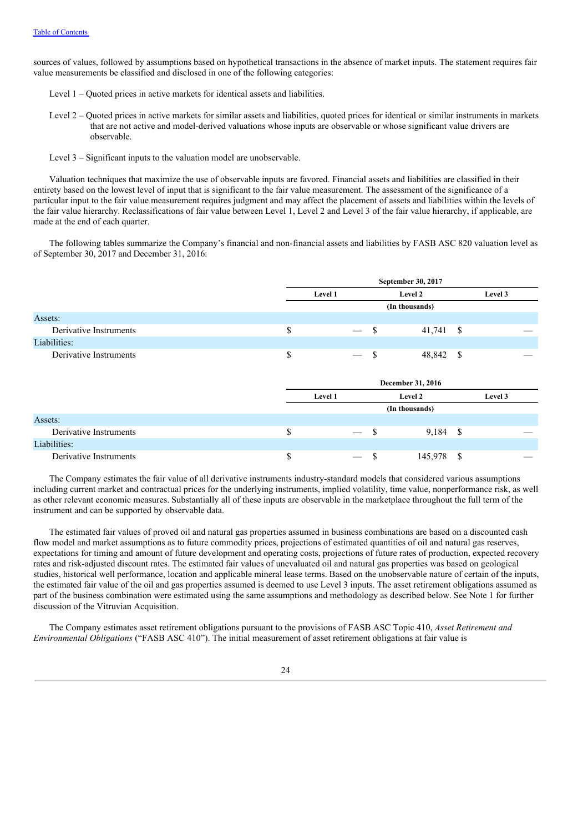sources of values, followed by assumptions based on hypothetical transactions in the absence of market inputs. The statement requires fair value measurements be classified and disclosed in one of the following categories:

- Level 1 Quoted prices in active markets for identical assets and liabilities.
- Level 2 Quoted prices in active markets for similar assets and liabilities, quoted prices for identical or similar instruments in markets that are not active and model-derived valuations whose inputs are observable or whose significant value drivers are observable.
- Level 3 Significant inputs to the valuation model are unobservable.

Valuation techniques that maximize the use of observable inputs are favored. Financial assets and liabilities are classified in their entirety based on the lowest level of input that is significant to the fair value measurement. The assessment of the significance of a particular input to the fair value measurement requires judgment and may affect the placement of assets and liabilities within the levels of the fair value hierarchy. Reclassifications of fair value between Level 1, Level 2 and Level 3 of the fair value hierarchy, if applicable, are made at the end of each quarter.

The following tables summarize the Company's financial and non-financial assets and liabilities by FASB ASC 820 valuation level as of September 30, 2017 and December 31, 2016:

|                        |                                       |               | September 30, 2017 |          |         |  |
|------------------------|---------------------------------------|---------------|--------------------|----------|---------|--|
|                        | Level 1                               |               | Level 2            |          | Level 3 |  |
|                        |                                       |               | (In thousands)     |          |         |  |
| Assets:                |                                       |               |                    |          |         |  |
| Derivative Instruments | \$<br>$\overline{\phantom{0}}$        | -\$           | 41,741             | -\$      |         |  |
| Liabilities:           |                                       |               |                    |          |         |  |
| Derivative Instruments | \$                                    | \$            | 48,842             | <b>S</b> |         |  |
|                        |                                       |               |                    |          |         |  |
|                        |                                       |               | December 31, 2016  |          |         |  |
|                        | Level 1                               | Level 2       | Level 3            |          |         |  |
|                        |                                       |               | (In thousands)     |          |         |  |
| Assets:                |                                       |               |                    |          |         |  |
| Derivative Instruments | \$<br>$\overline{\phantom{m}}$        | \$            | 9,184 \$           |          |         |  |
| Liabilities:           |                                       |               |                    |          |         |  |
| Derivative Instruments | \$<br>$\hspace{0.1mm}-\hspace{0.1mm}$ | <sup>\$</sup> | 145,978            | \$       |         |  |

The Company estimates the fair value of all derivative instruments industry-standard models that considered various assumptions including current market and contractual prices for the underlying instruments, implied volatility, time value, nonperformance risk, as well as other relevant economic measures. Substantially all of these inputs are observable in the marketplace throughout the full term of the instrument and can be supported by observable data.

The estimated fair values of proved oil and natural gas properties assumed in business combinations are based on a discounted cash flow model and market assumptions as to future commodity prices, projections of estimated quantities of oil and natural gas reserves, expectations for timing and amount of future development and operating costs, projections of future rates of production, expected recovery rates and risk-adjusted discount rates. The estimated fair values of unevaluated oil and natural gas properties was based on geological studies, historical well performance, location and applicable mineral lease terms. Based on the unobservable nature of certain of the inputs, the estimated fair value of the oil and gas properties assumed is deemed to use Level 3 inputs. The asset retirement obligations assumed as part of the business combination were estimated using the same assumptions and methodology as described below. See Note 1 for further discussion of the Vitruvian Acquisition.

The Company estimates asset retirement obligations pursuant to the provisions of FASB ASC Topic 410, *Asset Retirement and Environmental Obligations* ("FASB ASC 410"). The initial measurement of asset retirement obligations at fair value is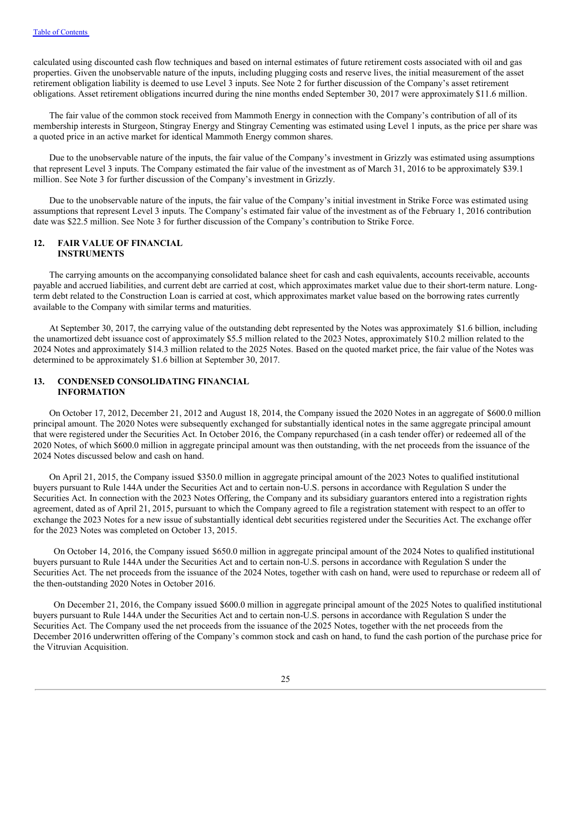calculated using discounted cash flow techniques and based on internal estimates of future retirement costs associated with oil and gas properties. Given the unobservable nature of the inputs, including plugging costs and reserve lives, the initial measurement of the asset retirement obligation liability is deemed to use Level 3 inputs. See Note 2 for further discussion of the Company's asset retirement obligations. Asset retirement obligations incurred during the nine months ended September 30, 2017 were approximately \$11.6 million.

The fair value of the common stock received from Mammoth Energy in connection with the Company's contribution of all of its membership interests in Sturgeon, Stingray Energy and Stingray Cementing was estimated using Level 1 inputs, as the price per share was a quoted price in an active market for identical Mammoth Energy common shares.

Due to the unobservable nature of the inputs, the fair value of the Company's investment in Grizzly was estimated using assumptions that represent Level 3 inputs. The Company estimated the fair value of the investment as of March 31, 2016 to be approximately \$39.1 million. See Note 3 for further discussion of the Company's investment in Grizzly.

Due to the unobservable nature of the inputs, the fair value of the Company's initial investment in Strike Force was estimated using assumptions that represent Level 3 inputs. The Company's estimated fair value of the investment as of the February 1, 2016 contribution date was \$22.5 million. See Note 3 for further discussion of the Company's contribution to Strike Force.

#### **12. FAIR VALUE OF FINANCIAL INSTRUMENTS**

The carrying amounts on the accompanying consolidated balance sheet for cash and cash equivalents, accounts receivable, accounts payable and accrued liabilities, and current debt are carried at cost, which approximates market value due to their short-term nature. Longterm debt related to the Construction Loan is carried at cost, which approximates market value based on the borrowing rates currently available to the Company with similar terms and maturities.

At September 30, 2017, the carrying value of the outstanding debt represented by the Notes was approximately \$1.6 billion, including the unamortized debt issuance cost of approximately \$5.5 million related to the 2023 Notes, approximately \$10.2 million related to the 2024 Notes and approximately \$14.3 million related to the 2025 Notes. Based on the quoted market price, the fair value of the Notes was determined to be approximately \$1.6 billion at September 30, 2017.

### **13. CONDENSED CONSOLIDATING FINANCIAL INFORMATION**

On October 17, 2012, December 21, 2012 and August 18, 2014, the Company issued the 2020 Notes in an aggregate of \$600.0 million principal amount. The 2020 Notes were subsequently exchanged for substantially identical notes in the same aggregate principal amount that were registered under the Securities Act. In October 2016, the Company repurchased (in a cash tender offer) or redeemed all of the 2020 Notes, of which \$600.0 million in aggregate principal amount was then outstanding, with the net proceeds from the issuance of the 2024 Notes discussed below and cash on hand.

On April 21, 2015, the Company issued \$350.0 million in aggregate principal amount of the 2023 Notes to qualified institutional buyers pursuant to Rule 144A under the Securities Act and to certain non-U.S. persons in accordance with Regulation S under the Securities Act. In connection with the 2023 Notes Offering, the Company and its subsidiary guarantors entered into a registration rights agreement, dated as of April 21, 2015, pursuant to which the Company agreed to file a registration statement with respect to an offer to exchange the 2023 Notes for a new issue of substantially identical debt securities registered under the Securities Act. The exchange offer for the 2023 Notes was completed on October 13, 2015.

On October 14, 2016, the Company issued \$650.0 million in aggregate principal amount of the 2024 Notes to qualified institutional buyers pursuant to Rule 144A under the Securities Act and to certain non-U.S. persons in accordance with Regulation S under the Securities Act. The net proceeds from the issuance of the 2024 Notes, together with cash on hand, were used to repurchase or redeem all of the then-outstanding 2020 Notes in October 2016.

On December 21, 2016, the Company issued \$600.0 million in aggregate principal amount of the 2025 Notes to qualified institutional buyers pursuant to Rule 144A under the Securities Act and to certain non-U.S. persons in accordance with Regulation S under the Securities Act. The Company used the net proceeds from the issuance of the 2025 Notes, together with the net proceeds from the December 2016 underwritten offering of the Company's common stock and cash on hand, to fund the cash portion of the purchase price for the Vitruvian Acquisition.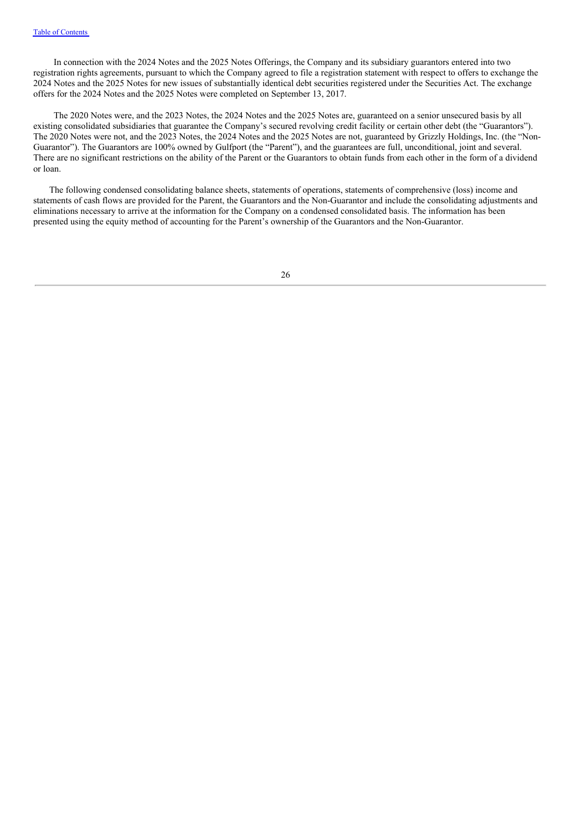In connection with the 2024 Notes and the 2025 Notes Offerings, the Company and its subsidiary guarantors entered into two registration rights agreements, pursuant to which the Company agreed to file a registration statement with respect to offers to exchange the 2024 Notes and the 2025 Notes for new issues of substantially identical debt securities registered under the Securities Act. The exchange offers for the 2024 Notes and the 2025 Notes were completed on September 13, 2017.

The 2020 Notes were, and the 2023 Notes, the 2024 Notes and the 2025 Notes are, guaranteed on a senior unsecured basis by all existing consolidated subsidiaries that guarantee the Company's secured revolving credit facility or certain other debt (the "Guarantors"). The 2020 Notes were not, and the 2023 Notes, the 2024 Notes and the 2025 Notes are not, guaranteed by Grizzly Holdings, Inc. (the "Non-Guarantor"). The Guarantors are 100% owned by Gulfport (the "Parent"), and the guarantees are full, unconditional, joint and several. There are no significant restrictions on the ability of the Parent or the Guarantors to obtain funds from each other in the form of a dividend or loan.

The following condensed consolidating balance sheets, statements of operations, statements of comprehensive (loss) income and statements of cash flows are provided for the Parent, the Guarantors and the Non-Guarantor and include the consolidating adjustments and eliminations necessary to arrive at the information for the Company on a condensed consolidated basis. The information has been presented using the equity method of accounting for the Parent's ownership of the Guarantors and the Non-Guarantor.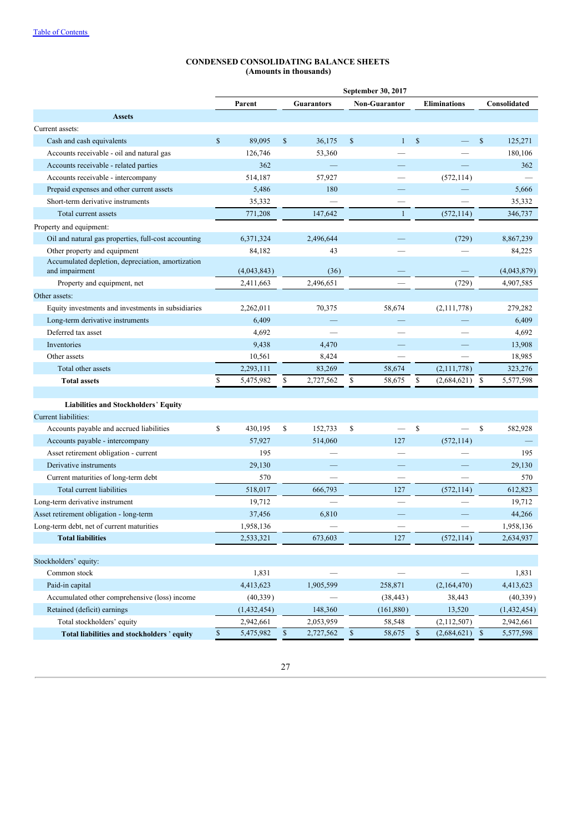# **CONDENSED CONSOLIDATING BALANCE SHEETS (Amounts in thousands)**

| <b>Assets</b><br>Current assets:<br>Cash and cash equivalents<br>Accounts receivable - oil and natural gas<br>Accounts receivable - related parties<br>Accounts receivable - intercompany<br>Prepaid expenses and other current assets<br>Short-term derivative instruments | \$<br>Parent<br>89,095<br>126,746<br>362<br>514,187<br>5,486 | \$           | <b>Guarantors</b><br>36,175<br>53,360 | $\mathbb{S}$ | <b>Non-Guarantor</b><br>$\mathbf{1}$ | $\mathbb{S}$ | <b>Eliminations</b> |              | Consolidated  |
|-----------------------------------------------------------------------------------------------------------------------------------------------------------------------------------------------------------------------------------------------------------------------------|--------------------------------------------------------------|--------------|---------------------------------------|--------------|--------------------------------------|--------------|---------------------|--------------|---------------|
|                                                                                                                                                                                                                                                                             |                                                              |              |                                       |              |                                      |              |                     |              |               |
|                                                                                                                                                                                                                                                                             |                                                              |              |                                       |              |                                      |              |                     |              |               |
|                                                                                                                                                                                                                                                                             |                                                              |              |                                       |              |                                      |              |                     |              |               |
|                                                                                                                                                                                                                                                                             |                                                              |              |                                       |              |                                      |              |                     | $\mathbf S$  | 125,271       |
|                                                                                                                                                                                                                                                                             |                                                              |              |                                       |              |                                      |              |                     |              | 180,106       |
|                                                                                                                                                                                                                                                                             |                                                              |              |                                       |              |                                      |              |                     |              | 362           |
|                                                                                                                                                                                                                                                                             |                                                              |              | 57,927                                |              |                                      |              | (572, 114)          |              |               |
|                                                                                                                                                                                                                                                                             |                                                              |              | 180                                   |              |                                      |              |                     |              | 5,666         |
|                                                                                                                                                                                                                                                                             | 35,332                                                       |              |                                       |              |                                      |              |                     |              | 35,332        |
| Total current assets                                                                                                                                                                                                                                                        | 771,208                                                      |              | 147,642                               |              | 1                                    |              | (572, 114)          |              | 346,737       |
| Property and equipment:                                                                                                                                                                                                                                                     |                                                              |              |                                       |              |                                      |              |                     |              |               |
| Oil and natural gas properties, full-cost accounting                                                                                                                                                                                                                        | 6,371,324                                                    |              | 2,496,644                             |              |                                      |              | (729)               |              | 8,867,239     |
| Other property and equipment                                                                                                                                                                                                                                                | 84,182                                                       |              | 43                                    |              |                                      |              |                     |              | 84,225        |
| Accumulated depletion, depreciation, amortization<br>and impairment                                                                                                                                                                                                         | (4,043,843)                                                  |              | (36)                                  |              |                                      |              |                     |              | (4,043,879)   |
| Property and equipment, net                                                                                                                                                                                                                                                 | 2,411,663                                                    |              | 2,496,651                             |              |                                      |              | (729)               |              | 4,907,585     |
| Other assets:                                                                                                                                                                                                                                                               |                                                              |              |                                       |              |                                      |              |                     |              |               |
| Equity investments and investments in subsidiaries                                                                                                                                                                                                                          | 2,262,011                                                    |              | 70,375                                |              | 58,674                               |              | (2,111,778)         |              | 279,282       |
| Long-term derivative instruments                                                                                                                                                                                                                                            | 6,409                                                        |              |                                       |              |                                      |              |                     |              | 6,409         |
| Deferred tax asset                                                                                                                                                                                                                                                          | 4,692                                                        |              |                                       |              |                                      |              |                     |              | 4,692         |
| Inventories                                                                                                                                                                                                                                                                 | 9,438                                                        |              | 4,470                                 |              |                                      |              |                     |              | 13,908        |
| Other assets                                                                                                                                                                                                                                                                | 10,561                                                       |              | 8,424                                 |              |                                      |              |                     |              | 18,985        |
| Total other assets                                                                                                                                                                                                                                                          | 2,293,111                                                    |              | 83,269                                |              | 58,674                               |              | (2,111,778)         |              | 323,276       |
| <b>Total assets</b>                                                                                                                                                                                                                                                         | \$<br>5,475,982                                              | \$           | 2,727,562                             | \$           | 58,675                               | \$           | (2,684,621)         | \$           | 5,577,598     |
|                                                                                                                                                                                                                                                                             |                                                              |              |                                       |              |                                      |              |                     |              |               |
| Liabilities and Stockholders' Equity                                                                                                                                                                                                                                        |                                                              |              |                                       |              |                                      |              |                     |              |               |
| Current liabilities:                                                                                                                                                                                                                                                        |                                                              |              |                                       |              |                                      |              |                     |              |               |
| Accounts payable and accrued liabilities                                                                                                                                                                                                                                    | \$<br>430,195                                                | \$           | 152,733                               | \$           |                                      | $\mathbb{S}$ |                     | \$           | 582,928       |
| Accounts payable - intercompany                                                                                                                                                                                                                                             | 57,927                                                       |              | 514,060                               |              | 127                                  |              | (572, 114)          |              |               |
| Asset retirement obligation - current                                                                                                                                                                                                                                       | 195                                                          |              |                                       |              |                                      |              |                     |              | 195           |
| Derivative instruments                                                                                                                                                                                                                                                      | 29,130                                                       |              |                                       |              |                                      |              |                     |              | 29,130        |
| Current maturities of long-term debt                                                                                                                                                                                                                                        | 570                                                          |              |                                       |              |                                      |              |                     |              | 570           |
| Total current liabilities                                                                                                                                                                                                                                                   | 518,017                                                      |              | 666,793                               |              | 127                                  |              | (572, 114)          |              | 612,823       |
| Long-term derivative instrument                                                                                                                                                                                                                                             | 19,712                                                       |              |                                       |              |                                      |              |                     |              | 19,712        |
| Asset retirement obligation - long-term                                                                                                                                                                                                                                     | 37,456                                                       |              | 6,810                                 |              |                                      |              |                     |              | 44,266        |
| Long-term debt, net of current maturities                                                                                                                                                                                                                                   | 1,958,136                                                    |              |                                       |              |                                      |              |                     |              | 1,958,136     |
| <b>Total liabilities</b>                                                                                                                                                                                                                                                    | 2,533,321                                                    |              | 673,603                               |              | 127                                  |              | (572, 114)          |              | 2,634,937     |
|                                                                                                                                                                                                                                                                             |                                                              |              |                                       |              |                                      |              |                     |              |               |
| Stockholders' equity:                                                                                                                                                                                                                                                       |                                                              |              |                                       |              |                                      |              |                     |              |               |
| Common stock                                                                                                                                                                                                                                                                | 1,831                                                        |              |                                       |              |                                      |              |                     |              | 1,831         |
| Paid-in capital                                                                                                                                                                                                                                                             | 4,413,623                                                    |              | 1,905,599                             |              | 258,871                              |              | (2,164,470)         |              | 4,413,623     |
| Accumulated other comprehensive (loss) income                                                                                                                                                                                                                               | (40, 339)                                                    |              |                                       |              | (38, 443)                            |              | 38,443              |              | (40, 339)     |
| Retained (deficit) earnings                                                                                                                                                                                                                                                 | (1,432,454)                                                  |              | 148,360                               |              | (161, 880)                           |              | 13,520              |              | (1, 432, 454) |
| Total stockholders' equity                                                                                                                                                                                                                                                  | 2,942,661                                                    |              | 2,053,959                             |              | 58,548                               |              | (2,112,507)         |              | 2,942,661     |
| Total liabilities and stockholders' equity                                                                                                                                                                                                                                  | \$<br>5,475,982                                              | $\mathbb{S}$ | 2,727,562                             | \$           | 58,675                               | $\mathbb{S}$ | (2,684,621)         | $\mathbb{S}$ | 5,577,598     |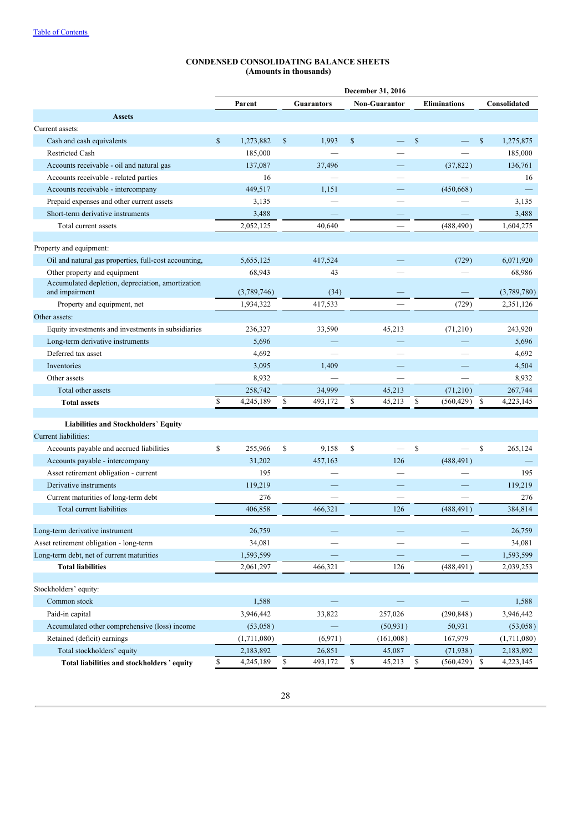# **CONDENSED CONSOLIDATING BALANCE SHEETS (Amounts in thousands)**

|                                                                     |              |             |              |                   |              | December 31, 2016    |              |                     |                 |
|---------------------------------------------------------------------|--------------|-------------|--------------|-------------------|--------------|----------------------|--------------|---------------------|-----------------|
|                                                                     |              | Parent      |              | <b>Guarantors</b> |              | <b>Non-Guarantor</b> |              | <b>Eliminations</b> | Consolidated    |
| <b>Assets</b>                                                       |              |             |              |                   |              |                      |              |                     |                 |
| Current assets:                                                     |              |             |              |                   |              |                      |              |                     |                 |
| Cash and cash equivalents                                           | $\mathbb{S}$ | 1.273.882   | $\mathbb{S}$ | 1,993             | $\mathbb{S}$ |                      | $\mathbb{S}$ |                     | \$<br>1,275,875 |
| <b>Restricted Cash</b>                                              |              | 185,000     |              |                   |              |                      |              |                     | 185,000         |
| Accounts receivable - oil and natural gas                           |              | 137,087     |              | 37,496            |              |                      |              | (37, 822)           | 136,761         |
| Accounts receivable - related parties                               |              | 16          |              |                   |              |                      |              |                     | 16              |
| Accounts receivable - intercompany                                  |              | 449,517     |              | 1,151             |              |                      |              | (450, 668)          |                 |
| Prepaid expenses and other current assets                           |              | 3,135       |              |                   |              |                      |              |                     | 3,135           |
| Short-term derivative instruments                                   |              | 3,488       |              |                   |              |                      |              |                     | 3,488           |
| Total current assets                                                |              | 2,052,125   |              | 40.640            |              |                      |              | (488, 490)          | 1,604,275       |
|                                                                     |              |             |              |                   |              |                      |              |                     |                 |
| Property and equipment:                                             |              |             |              |                   |              |                      |              |                     |                 |
| Oil and natural gas properties, full-cost accounting,               |              | 5,655,125   |              | 417,524           |              |                      |              | (729)               | 6,071,920       |
| Other property and equipment                                        |              | 68,943      |              | 43                |              |                      |              |                     | 68,986          |
| Accumulated depletion, depreciation, amortization<br>and impairment |              | (3,789,746) |              | (34)              |              |                      |              |                     | (3,789,780)     |
| Property and equipment, net                                         |              | 1,934,322   |              | 417,533           |              |                      |              | (729)               | 2,351,126       |
| Other assets:                                                       |              |             |              |                   |              |                      |              |                     |                 |
| Equity investments and investments in subsidiaries                  |              | 236,327     |              | 33,590            |              | 45,213               |              | (71,210)            | 243,920         |
| Long-term derivative instruments                                    |              | 5,696       |              |                   |              |                      |              |                     | 5,696           |
| Deferred tax asset                                                  |              | 4,692       |              |                   |              |                      |              |                     | 4,692           |
| Inventories                                                         |              | 3,095       |              | 1,409             |              |                      |              |                     | 4,504           |
| Other assets                                                        |              | 8,932       |              |                   |              |                      |              |                     | 8,932           |
| Total other assets                                                  |              | 258,742     |              | 34,999            |              | 45,213               |              | (71,210)            | 267,744         |
| <b>Total assets</b>                                                 | \$           | 4,245,189   | \$           | 493,172           | \$           | 45,213               | S            | $(560, 429)$ \$     | 4,223,145       |
|                                                                     |              |             |              |                   |              |                      |              |                     |                 |
| <b>Liabilities and Stockholders' Equity</b>                         |              |             |              |                   |              |                      |              |                     |                 |
| Current liabilities:                                                |              |             |              |                   |              |                      |              |                     |                 |
| Accounts payable and accrued liabilities                            | \$           | 255,966     | \$           | 9,158             | \$           |                      | $\mathbb{S}$ |                     | \$<br>265,124   |
| Accounts payable - intercompany                                     |              | 31,202      |              | 457,163           |              | 126                  |              | (488, 491)          |                 |
| Asset retirement obligation - current                               |              | 195         |              |                   |              |                      |              |                     | 195             |
| Derivative instruments                                              |              | 119,219     |              |                   |              |                      |              |                     | 119,219         |
| Current maturities of long-term debt                                |              | 276         |              |                   |              |                      |              |                     | 276             |
| Total current liabilities                                           |              | 406,858     |              | 466,321           |              | 126                  |              | (488, 491)          | 384,814         |
| Long-term derivative instrument                                     |              | 26,759      |              |                   |              |                      |              |                     | 26,759          |
| Asset retirement obligation - long-term                             |              | 34,081      |              |                   |              |                      |              |                     | 34,081          |
| Long-term debt, net of current maturities                           |              | 1,593,599   |              |                   |              |                      |              |                     | 1,593,599       |
| <b>Total liabilities</b>                                            |              | 2,061,297   |              | 466,321           |              | 126                  |              | (488, 491)          | 2,039,253       |
|                                                                     |              |             |              |                   |              |                      |              |                     |                 |
| Stockholders' equity:                                               |              |             |              |                   |              |                      |              |                     |                 |
| Common stock                                                        |              | 1,588       |              |                   |              |                      |              |                     | 1,588           |
| Paid-in capital                                                     |              | 3,946,442   |              | 33,822            |              | 257,026              |              | (290, 848)          | 3,946,442       |
| Accumulated other comprehensive (loss) income                       |              | (53,058)    |              |                   |              | (50, 931)            |              | 50,931              | (53,058)        |
| Retained (deficit) earnings                                         |              | (1,711,080) |              | (6,971)           |              | (161,008)            |              | 167,979             | (1,711,080)     |
| Total stockholders' equity                                          |              | 2,183,892   |              | 26,851            |              | 45,087               |              | (71, 938)           | 2,183,892       |
| Total liabilities and stockholders' equity                          | \$           | 4,245,189   | \$           | 493,172           | \$           | 45,213               | \$           | $(560, 429)$ \$     | 4,223,145       |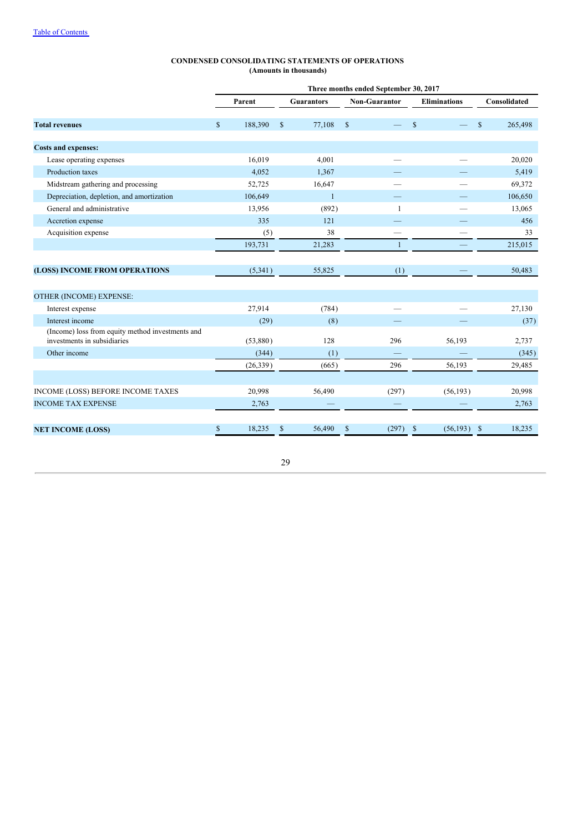|                                                                     | Three months ended September 30, 2017 |           |              |                   |                    |                      |               |                     |             |              |  |
|---------------------------------------------------------------------|---------------------------------------|-----------|--------------|-------------------|--------------------|----------------------|---------------|---------------------|-------------|--------------|--|
|                                                                     |                                       | Parent    |              | <b>Guarantors</b> |                    | <b>Non-Guarantor</b> |               | <b>Eliminations</b> |             | Consolidated |  |
| <b>Total revenues</b>                                               | $\mathcal{S}$                         | 188,390   | $\mathbb{S}$ | 77,108            | $\mathbf{\hat{s}}$ |                      | <sup>\$</sup> |                     | $\mathbf S$ | 265,498      |  |
| <b>Costs and expenses:</b>                                          |                                       |           |              |                   |                    |                      |               |                     |             |              |  |
| Lease operating expenses                                            |                                       | 16,019    |              | 4,001             |                    |                      |               |                     |             | 20,020       |  |
| Production taxes                                                    |                                       | 4,052     |              | 1,367             |                    |                      |               |                     |             | 5,419        |  |
| Midstream gathering and processing                                  |                                       | 52,725    |              | 16,647            |                    |                      |               |                     |             | 69,372       |  |
| Depreciation, depletion, and amortization                           |                                       | 106,649   |              | $\mathbf{1}$      |                    |                      |               |                     |             | 106,650      |  |
| General and administrative                                          |                                       | 13,956    |              | (892)             |                    | $\mathbf{1}$         |               |                     |             | 13,065       |  |
| Accretion expense                                                   |                                       | 335       |              | 121               |                    |                      |               |                     |             | 456          |  |
| Acquisition expense                                                 |                                       | (5)       |              | 38                |                    |                      |               |                     |             | 33           |  |
|                                                                     |                                       | 193,731   |              | 21,283            |                    | $\mathbf{1}$         |               |                     |             | 215,015      |  |
|                                                                     |                                       |           |              |                   |                    |                      |               |                     |             |              |  |
| (LOSS) INCOME FROM OPERATIONS                                       |                                       | (5,341)   |              | 55,825            |                    | (1)                  |               |                     |             | 50,483       |  |
|                                                                     |                                       |           |              |                   |                    |                      |               |                     |             |              |  |
| OTHER (INCOME) EXPENSE:                                             |                                       |           |              |                   |                    |                      |               |                     |             |              |  |
| Interest expense                                                    |                                       | 27,914    |              | (784)             |                    |                      |               |                     |             | 27,130       |  |
| Interest income<br>(Income) loss from equity method investments and |                                       | (29)      |              | (8)               |                    |                      |               |                     |             | (37)         |  |
| investments in subsidiaries                                         |                                       | (53,880)  |              | 128               |                    | 296                  |               | 56,193              |             | 2,737        |  |
| Other income                                                        |                                       | (344)     |              | (1)               |                    |                      |               |                     |             | (345)        |  |
|                                                                     |                                       | (26, 339) |              | (665)             |                    | 296                  |               | 56,193              |             | 29,485       |  |
|                                                                     |                                       |           |              |                   |                    |                      |               |                     |             |              |  |
| INCOME (LOSS) BEFORE INCOME TAXES                                   |                                       | 20,998    |              | 56,490            |                    | (297)                |               | (56, 193)           |             | 20,998       |  |
| <b>INCOME TAX EXPENSE</b>                                           |                                       | 2,763     |              |                   |                    |                      |               |                     |             | 2,763        |  |
|                                                                     | \$                                    | 18,235    | \$           | 56,490            | \$                 | (297)                | \$            | (56, 193)           | -\$         | 18,235       |  |
| <b>NET INCOME (LOSS)</b>                                            |                                       |           |              |                   |                    |                      |               |                     |             |              |  |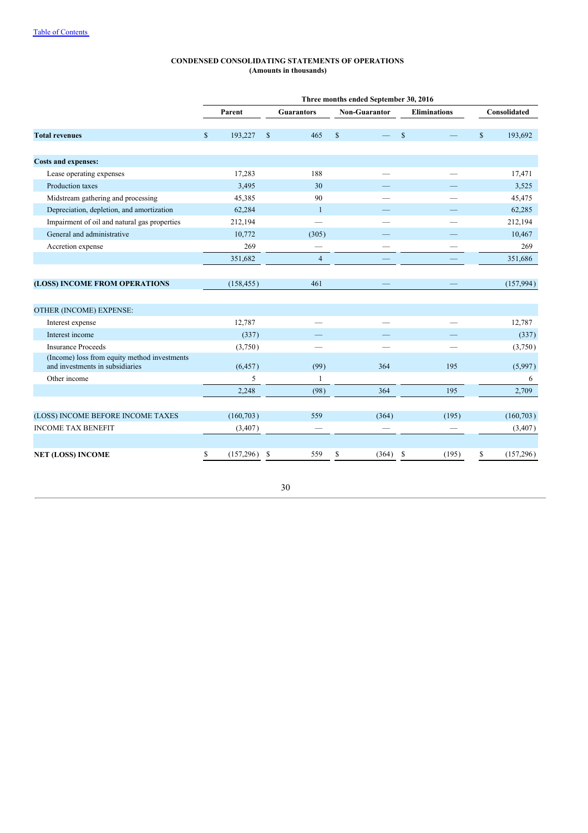|                                                                                 | Three months ended September 30, 2016 |            |               |                   |             |                      |               |                     |              |              |  |  |  |
|---------------------------------------------------------------------------------|---------------------------------------|------------|---------------|-------------------|-------------|----------------------|---------------|---------------------|--------------|--------------|--|--|--|
|                                                                                 |                                       | Parent     |               | <b>Guarantors</b> |             | <b>Non-Guarantor</b> |               | <b>Eliminations</b> |              | Consolidated |  |  |  |
| <b>Total revenues</b>                                                           | $\mathbf S$                           | 193,227    | $\mathsf{\$}$ | 465               | $\mathbf S$ |                      | $\mathbf S$   |                     | $\mathbb{S}$ | 193,692      |  |  |  |
| <b>Costs and expenses:</b>                                                      |                                       |            |               |                   |             |                      |               |                     |              |              |  |  |  |
| Lease operating expenses                                                        |                                       | 17,283     |               | 188               |             |                      |               |                     |              | 17,471       |  |  |  |
| Production taxes                                                                |                                       | 3,495      |               | 30                |             |                      |               |                     |              | 3,525        |  |  |  |
| Midstream gathering and processing                                              |                                       | 45,385     |               | 90                |             |                      |               |                     |              | 45,475       |  |  |  |
| Depreciation, depletion, and amortization                                       |                                       | 62,284     |               | -1                |             |                      |               |                     |              | 62,285       |  |  |  |
| Impairment of oil and natural gas properties                                    |                                       | 212,194    |               |                   |             |                      |               |                     |              | 212,194      |  |  |  |
| General and administrative                                                      |                                       | 10,772     |               | (305)             |             |                      |               |                     |              | 10,467       |  |  |  |
| Accretion expense                                                               |                                       | 269        |               | -                 |             |                      |               |                     |              | 269          |  |  |  |
|                                                                                 |                                       | 351,682    |               | $\overline{4}$    |             |                      |               |                     |              | 351,686      |  |  |  |
|                                                                                 |                                       |            |               |                   |             |                      |               |                     |              |              |  |  |  |
| (LOSS) INCOME FROM OPERATIONS                                                   |                                       | (158, 455) |               | 461               |             |                      |               |                     |              | (157,994)    |  |  |  |
|                                                                                 |                                       |            |               |                   |             |                      |               |                     |              |              |  |  |  |
| OTHER (INCOME) EXPENSE:                                                         |                                       |            |               |                   |             |                      |               |                     |              |              |  |  |  |
| Interest expense                                                                |                                       | 12,787     |               |                   |             |                      |               |                     |              | 12,787       |  |  |  |
| Interest income                                                                 |                                       | (337)      |               |                   |             |                      |               |                     |              | (337)        |  |  |  |
| <b>Insurance Proceeds</b>                                                       |                                       | (3,750)    |               |                   |             |                      |               |                     |              | (3,750)      |  |  |  |
| (Income) loss from equity method investments<br>and investments in subsidiaries |                                       | (6, 457)   |               | (99)              |             | 364                  |               | 195                 |              | (5,997)      |  |  |  |
| Other income                                                                    |                                       | 5          |               | $\mathbf{1}$      |             |                      |               |                     |              | 6            |  |  |  |
|                                                                                 |                                       | 2,248      |               | (98)              |             | 364                  |               | 195                 |              | 2,709        |  |  |  |
| (LOSS) INCOME BEFORE INCOME TAXES                                               |                                       | (160, 703) |               | 559               |             | (364)                |               | (195)               |              | (160, 703)   |  |  |  |
| <b>INCOME TAX BENEFIT</b>                                                       |                                       | (3, 407)   |               |                   |             |                      |               |                     |              | (3, 407)     |  |  |  |
|                                                                                 |                                       |            |               |                   |             |                      |               |                     |              |              |  |  |  |
| <b>NET (LOSS) INCOME</b>                                                        | S                                     | (157, 296) | \$            | 559               | \$          | (364)                | <sup>\$</sup> | (195)               | \$           | (157,296)    |  |  |  |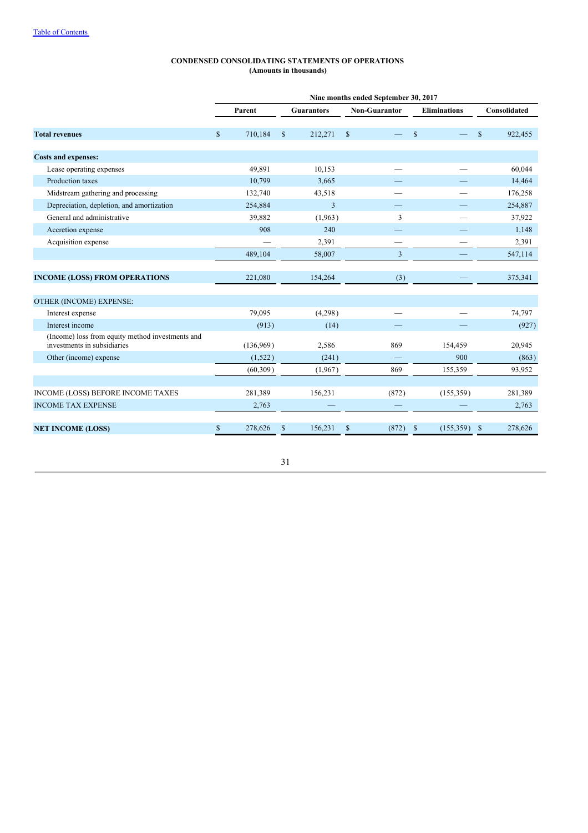|                                                                                 | Nine months ended September 30, 2017 |           |               |                   |               |               |               |                     |             |              |  |
|---------------------------------------------------------------------------------|--------------------------------------|-----------|---------------|-------------------|---------------|---------------|---------------|---------------------|-------------|--------------|--|
|                                                                                 |                                      | Parent    |               | <b>Guarantors</b> |               | Non-Guarantor |               | <b>Eliminations</b> |             | Consolidated |  |
| <b>Total revenues</b>                                                           | $\mathbb{S}$                         | 710,184   | $\mathsf{\$}$ | 212,271           | <sup>\$</sup> |               | <sup>\$</sup> |                     | $\mathbf S$ | 922,455      |  |
| <b>Costs and expenses:</b>                                                      |                                      |           |               |                   |               |               |               |                     |             |              |  |
| Lease operating expenses                                                        |                                      | 49,891    |               | 10,153            |               |               |               |                     |             | 60,044       |  |
| Production taxes                                                                |                                      | 10,799    |               | 3,665             |               |               |               |                     |             | 14,464       |  |
| Midstream gathering and processing                                              |                                      | 132,740   |               | 43,518            |               |               |               |                     |             | 176,258      |  |
| Depreciation, depletion, and amortization                                       |                                      | 254,884   |               | $\overline{3}$    |               |               |               |                     |             | 254,887      |  |
| General and administrative                                                      |                                      | 39,882    |               | (1,963)           |               | 3             |               |                     |             | 37,922       |  |
| Accretion expense                                                               |                                      | 908       |               | 240               |               |               |               |                     |             | 1,148        |  |
| Acquisition expense                                                             |                                      |           |               | 2,391             |               |               |               |                     |             | 2,391        |  |
|                                                                                 |                                      | 489,104   |               | 58,007            |               | 3             |               |                     |             | 547,114      |  |
| <b>INCOME (LOSS) FROM OPERATIONS</b>                                            |                                      | 221,080   |               | 154,264           |               | (3)           |               |                     |             | 375,341      |  |
| OTHER (INCOME) EXPENSE:                                                         |                                      |           |               |                   |               |               |               |                     |             |              |  |
| Interest expense                                                                |                                      | 79,095    |               | (4,298)           |               |               |               |                     |             | 74,797       |  |
| Interest income                                                                 |                                      | (913)     |               | (14)              |               |               |               |                     |             | (927)        |  |
| (Income) loss from equity method investments and<br>investments in subsidiaries |                                      | (136,969) |               | 2,586             |               | 869           |               | 154,459             |             | 20,945       |  |
| Other (income) expense                                                          |                                      | (1,522)   |               | (241)             |               |               |               | 900                 |             | (863)        |  |
|                                                                                 |                                      | (60, 309) |               | (1,967)           |               | 869           |               | 155,359             |             | 93,952       |  |
| INCOME (LOSS) BEFORE INCOME TAXES                                               |                                      | 281,389   |               | 156,231           |               | (872)         |               | (155, 359)          |             | 281,389      |  |
| <b>INCOME TAX EXPENSE</b>                                                       |                                      | 2,763     |               |                   |               |               |               |                     |             | 2,763        |  |
| <b>NET INCOME (LOSS)</b>                                                        | $\mathbf S$                          | 278,626   | \$            | 156,231           | \$            | (872)         | S             | (155, 359)          | S           | 278,626      |  |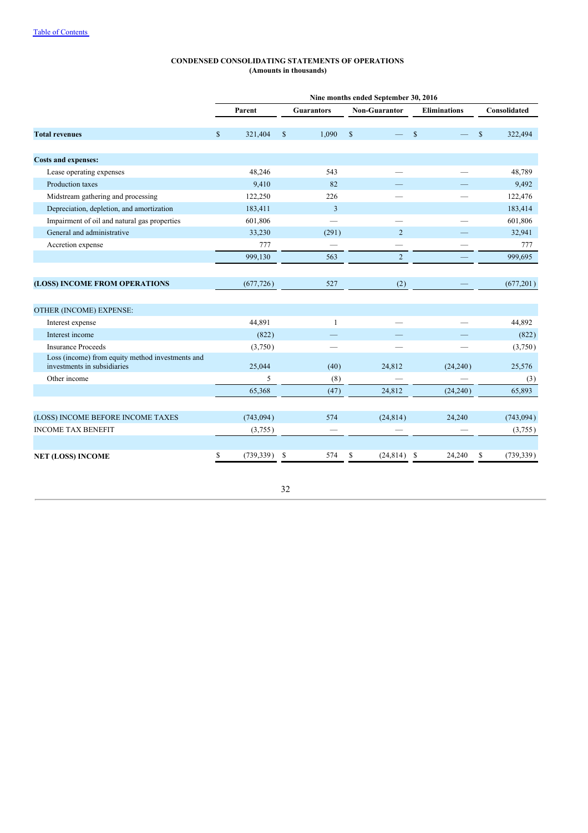|                                                                                 | Nine months ended September 30, 2016 |            |               |                          |              |                      |              |                     |              |              |  |
|---------------------------------------------------------------------------------|--------------------------------------|------------|---------------|--------------------------|--------------|----------------------|--------------|---------------------|--------------|--------------|--|
|                                                                                 |                                      | Parent     |               | <b>Guarantors</b>        |              | <b>Non-Guarantor</b> |              | <b>Eliminations</b> |              | Consolidated |  |
| <b>Total revenues</b>                                                           | $\mathbb{S}$                         | 321,404    | $\mathcal{S}$ | 1,090                    | $\mathbb{S}$ |                      | $\mathbb{S}$ |                     | $\mathbb{S}$ | 322,494      |  |
| <b>Costs and expenses:</b>                                                      |                                      |            |               |                          |              |                      |              |                     |              |              |  |
| Lease operating expenses                                                        |                                      | 48,246     |               | 543                      |              |                      |              |                     |              | 48,789       |  |
| Production taxes                                                                |                                      | 9,410      |               | 82                       |              |                      |              |                     |              | 9,492        |  |
| Midstream gathering and processing                                              |                                      | 122,250    |               | 226                      |              |                      |              |                     |              | 122,476      |  |
| Depreciation, depletion, and amortization                                       |                                      | 183,411    |               | 3                        |              |                      |              |                     |              | 183,414      |  |
| Impairment of oil and natural gas properties                                    |                                      | 601,806    |               | $\overline{\phantom{0}}$ |              |                      |              |                     |              | 601,806      |  |
| General and administrative                                                      |                                      | 33,230     |               | (291)                    |              | $\overline{2}$       |              |                     |              | 32,941       |  |
| Accretion expense                                                               |                                      | 777        |               |                          |              | -                    |              |                     |              | 777          |  |
|                                                                                 |                                      | 999,130    |               | 563                      |              | 2                    |              |                     |              | 999,695      |  |
|                                                                                 |                                      |            |               |                          |              |                      |              |                     |              |              |  |
| (LOSS) INCOME FROM OPERATIONS                                                   |                                      | (677, 726) |               | 527                      |              | (2)                  |              |                     |              | (677, 201)   |  |
| OTHER (INCOME) EXPENSE:                                                         |                                      |            |               |                          |              |                      |              |                     |              |              |  |
| Interest expense                                                                |                                      | 44,891     |               | $\mathbf{1}$             |              |                      |              |                     |              | 44,892       |  |
| Interest income                                                                 |                                      | (822)      |               |                          |              |                      |              |                     |              | (822)        |  |
| <b>Insurance Proceeds</b>                                                       |                                      | (3,750)    |               |                          |              |                      |              |                     |              | (3,750)      |  |
| Loss (income) from equity method investments and<br>investments in subsidiaries |                                      | 25,044     |               | (40)                     |              | 24,812               |              | (24,240)            |              | 25,576       |  |
| Other income                                                                    |                                      | 5          |               | (8)                      |              |                      |              |                     |              | (3)          |  |
|                                                                                 |                                      | 65,368     |               | (47)                     |              | 24,812               |              | (24,240)            |              | 65,893       |  |
|                                                                                 |                                      |            |               |                          |              |                      |              |                     |              |              |  |
| (LOSS) INCOME BEFORE INCOME TAXES                                               |                                      | (743, 094) |               | 574                      |              | (24, 814)            |              | 24,240              |              | (743, 094)   |  |
| <b>INCOME TAX BENEFIT</b>                                                       |                                      | (3,755)    |               |                          |              |                      |              |                     |              | (3,755)      |  |
|                                                                                 |                                      |            |               |                          |              |                      |              |                     |              |              |  |
| <b>NET (LOSS) INCOME</b>                                                        | \$                                   | (739, 339) | \$            | 574                      | \$           | (24, 814)            | -S           | 24,240              | \$           | (739, 339)   |  |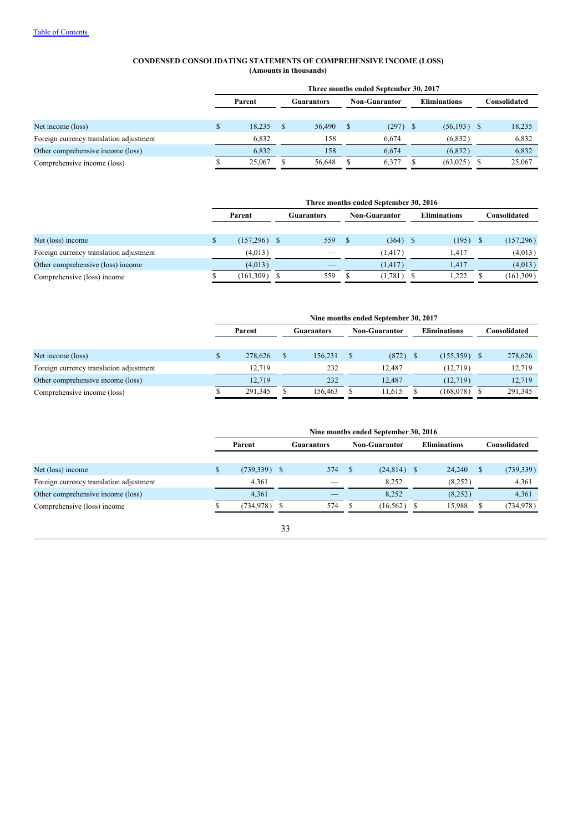#### **CONDENSED CONSOLIDATING STATEMENTS OF COMPREHENSIVE INCOME (LOSS) (Amounts in thousands)**

|                                         | Three months ended September 30, 2017 |        |            |        |                      |            |                     |               |  |              |
|-----------------------------------------|---------------------------------------|--------|------------|--------|----------------------|------------|---------------------|---------------|--|--------------|
|                                         | Parent                                |        | Guarantors |        | <b>Non-Guarantor</b> |            | <b>Eliminations</b> |               |  | Consolidated |
|                                         |                                       |        |            |        |                      |            |                     |               |  |              |
| Net income (loss)                       |                                       | 18.235 |            | 56,490 |                      | $(297)$ \$ |                     | $(56,193)$ \$ |  | 18,235       |
| Foreign currency translation adjustment |                                       | 6.832  |            | 158    |                      | 6.674      |                     | (6,832)       |  | 6,832        |
| Other comprehensive income (loss)       |                                       | 6.832  |            | 158    |                      | 6,674      |                     | (6,832)       |  | 6,832        |
| Comprehensive income (loss)             |                                       | 25,067 |            | 56,648 |                      | 6,377      |                     | (63,025)      |  | 25,067       |

|                                         | Three months ended September 30, 2016 |  |                          |  |                      |  |                     |  |              |
|-----------------------------------------|---------------------------------------|--|--------------------------|--|----------------------|--|---------------------|--|--------------|
|                                         | Parent                                |  | <b>Guarantors</b>        |  | <b>Non-Guarantor</b> |  | <b>Eliminations</b> |  | Consolidated |
|                                         |                                       |  |                          |  |                      |  |                     |  |              |
| Net (loss) income                       | $(157,296)$ \$                        |  | 559                      |  | $(364)$ \$           |  | (195)               |  | (157,296)    |
| Foreign currency translation adjustment | (4,013)                               |  | $\overline{\phantom{a}}$ |  | (1, 417)             |  | 1.417               |  | (4,013)      |
| Other comprehensive (loss) income       | (4,013)                               |  | _                        |  | (1, 417)             |  | 1.417               |  | (4,013)      |
| Comprehensive (loss) income             | (161, 309)                            |  | 559                      |  | (1,781)              |  | 1.222               |  | (161, 309)   |

|                                         | Nine months ended September 30, 2017 |  |            |  |                      |  |                     |  |              |
|-----------------------------------------|--------------------------------------|--|------------|--|----------------------|--|---------------------|--|--------------|
|                                         | Parent                               |  | Guarantors |  | <b>Non-Guarantor</b> |  | <b>Eliminations</b> |  | Consolidated |
|                                         |                                      |  |            |  |                      |  |                     |  |              |
| Net income (loss)                       | 278,626                              |  | 156.231    |  | $(872)$ \$           |  | $(155,359)$ \$      |  | 278,626      |
| Foreign currency translation adjustment | 12.719                               |  | 232        |  | 12.487               |  | (12,719)            |  | 12.719       |
| Other comprehensive income (loss)       | 12.719                               |  | 232        |  | 12.487               |  | (12,719)            |  | 12.719       |
| Comprehensive income (loss)             | 291,345                              |  | 156,463    |  | 11.615               |  | (168,078)           |  | 291,345      |

|                                         | Nine months ended September 30, 2016 |                 |  |                          |  |                      |  |                     |   |                      |
|-----------------------------------------|--------------------------------------|-----------------|--|--------------------------|--|----------------------|--|---------------------|---|----------------------|
|                                         |                                      | Parent          |  | Guarantors               |  | <b>Non-Guarantor</b> |  | <b>Eliminations</b> |   | C <b>onsolidated</b> |
|                                         |                                      |                 |  |                          |  |                      |  |                     |   |                      |
| Net (loss) income                       |                                      | $(739,339)$ \$  |  | 574                      |  | $(24,814)$ \$        |  | 24.240              | S | (739, 339)           |
| Foreign currency translation adjustment |                                      | 4.361           |  | $\overline{\phantom{a}}$ |  | 8.252                |  | (8,252)             |   | 4,361                |
| Other comprehensive income (loss)       |                                      | 4,361           |  | $\overline{\phantom{a}}$ |  | 8.252                |  | (8,252)             |   | 4,361                |
| Comprehensive (loss) income             |                                      | $(734, 978)$ \$ |  | 574                      |  | (16, 562)            |  | 15,988              |   | (734, 978)           |
|                                         |                                      |                 |  |                          |  |                      |  |                     |   |                      |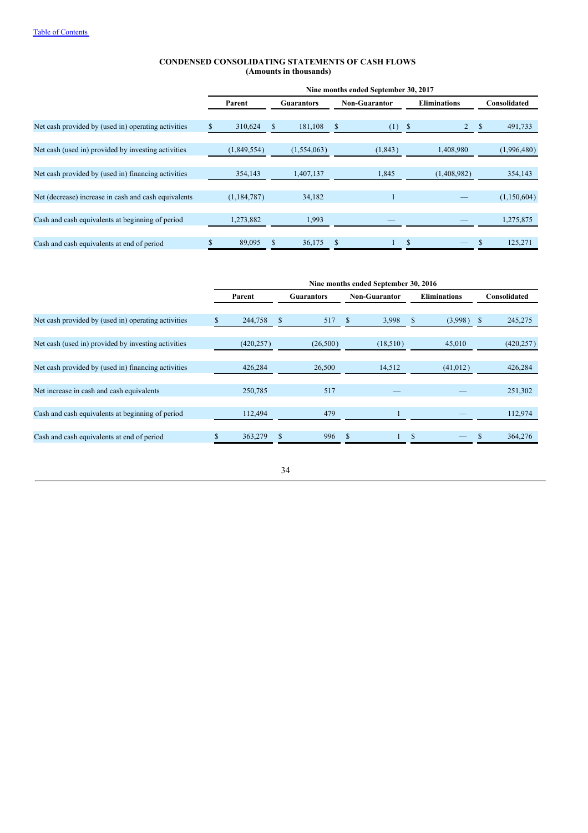#### **CONDENSED CONSOLIDATING STATEMENTS OF CASH FLOWS (Amounts in thousands)**

|                                                      |     |               |   |                   |    | Nine months ended September 30, 2017 |               |                     |   |              |
|------------------------------------------------------|-----|---------------|---|-------------------|----|--------------------------------------|---------------|---------------------|---|--------------|
|                                                      |     | Parent        |   | <b>Guarantors</b> |    | <b>Non-Guarantor</b>                 |               | <b>Eliminations</b> |   | Consolidated |
|                                                      |     |               |   |                   |    |                                      |               |                     |   |              |
| Net cash provided by (used in) operating activities  | \$. | 310,624       | S | 181,108           | S. | (1)                                  | -S            |                     | S | 491,733      |
|                                                      |     |               |   |                   |    |                                      |               |                     |   |              |
| Net cash (used in) provided by investing activities  |     | (1,849,554)   |   | (1,554,063)       |    | (1, 843)                             |               | 1,408,980           |   | (1,996,480)  |
|                                                      |     |               |   |                   |    |                                      |               |                     |   |              |
| Net cash provided by (used in) financing activities  |     | 354,143       |   | 1,407,137         |    | 1,845                                |               | (1,408,982)         |   | 354,143      |
|                                                      |     |               |   |                   |    |                                      |               |                     |   |              |
| Net (decrease) increase in cash and cash equivalents |     | (1, 184, 787) |   | 34,182            |    | $\mathbf{1}$                         |               |                     |   | (1,150,604)  |
|                                                      |     |               |   |                   |    |                                      |               |                     |   |              |
| Cash and cash equivalents at beginning of period     |     | 1,273,882     |   | 1,993             |    |                                      |               |                     |   | 1,275,875    |
|                                                      |     |               |   |                   |    |                                      |               |                     |   |              |
| Cash and cash equivalents at end of period           |     | 89,095        |   | 36,175            |    |                                      | <sup>\$</sup> |                     | S | 125,271      |

|                                                     |            |               |                   |               | Nine months ended September 30, 2016 |               |                     |               |
|-----------------------------------------------------|------------|---------------|-------------------|---------------|--------------------------------------|---------------|---------------------|---------------|
|                                                     | Parent     |               | <b>Guarantors</b> |               | <b>Non-Guarantor</b>                 |               | <b>Eliminations</b> | Consolidated  |
|                                                     |            |               |                   |               |                                      |               |                     |               |
| Net cash provided by (used in) operating activities | 244,758    | <sup>\$</sup> | 517               | <sup>\$</sup> | 3,998                                | $\mathbb{S}$  | (3,998)             | \$<br>245,275 |
| Net cash (used in) provided by investing activities | (420, 257) |               | (26,500)          |               | (18,510)                             |               | 45,010              | (420, 257)    |
| Net cash provided by (used in) financing activities | 426,284    |               | 26,500            |               | 14,512                               |               | (41, 012)           | 426,284       |
| Net increase in cash and cash equivalents           | 250,785    |               | 517               |               |                                      |               |                     | 251,302       |
|                                                     |            |               |                   |               |                                      |               |                     |               |
| Cash and cash equivalents at beginning of period    | 112,494    |               | 479               |               |                                      |               |                     | 112,974       |
|                                                     |            |               |                   |               |                                      |               |                     |               |
| Cash and cash equivalents at end of period          | 363,279    | \$            | 996               |               |                                      | <sup>\$</sup> |                     | \$<br>364,276 |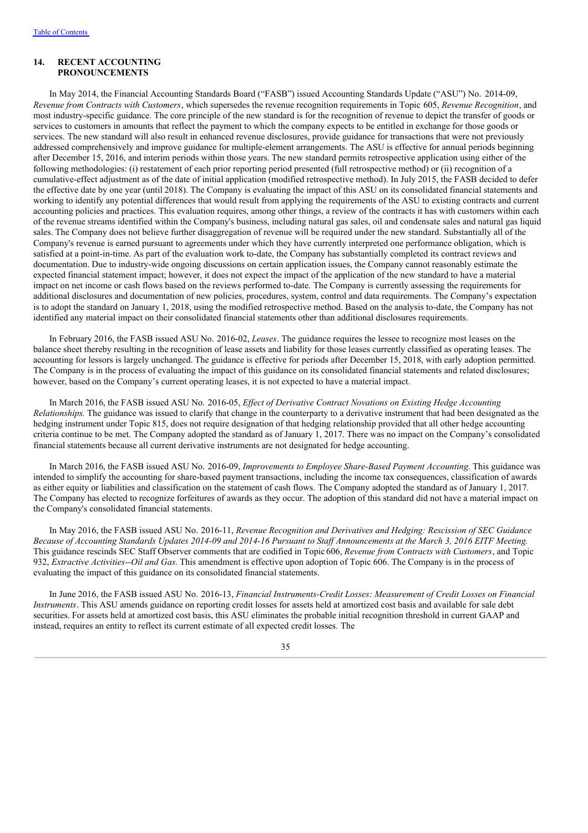#### **14. RECENT ACCOUNTING PRONOUNCEMENTS**

In May 2014, the Financial Accounting Standards Board ("FASB") issued Accounting Standards Update ("ASU") No. 2014-09, *Revenue from Contracts with Customers*, which supersedes the revenue recognition requirements in Topic 605, *Revenue Recognition*, and most industry-specific guidance. The core principle of the new standard is for the recognition of revenue to depict the transfer of goods or services to customers in amounts that reflect the payment to which the company expects to be entitled in exchange for those goods or services. The new standard will also result in enhanced revenue disclosures, provide guidance for transactions that were not previously addressed comprehensively and improve guidance for multiple-element arrangements. The ASU is effective for annual periods beginning after December 15, 2016, and interim periods within those years. The new standard permits retrospective application using either of the following methodologies: (i) restatement of each prior reporting period presented (full retrospective method) or (ii) recognition of a cumulative-effect adjustment as of the date of initial application (modified retrospective method). In July 2015, the FASB decided to defer the effective date by one year (until 2018). The Company is evaluating the impact of this ASU on its consolidated financial statements and working to identify any potential differences that would result from applying the requirements of the ASU to existing contracts and current accounting policies and practices. This evaluation requires, among other things, a review of the contracts it has with customers within each of the revenue streams identified within the Company's business, including natural gas sales, oil and condensate sales and natural gas liquid sales. The Company does not believe further disaggregation of revenue will be required under the new standard. Substantially all of the Company's revenue is earned pursuant to agreements under which they have currently interpreted one performance obligation, which is satisfied at a point-in-time. As part of the evaluation work to-date, the Company has substantially completed its contract reviews and documentation. Due to industry-wide ongoing discussions on certain application issues, the Company cannot reasonably estimate the expected financial statement impact; however, it does not expect the impact of the application of the new standard to have a material impact on net income or cash flows based on the reviews performed to-date. The Company is currently assessing the requirements for additional disclosures and documentation of new policies, procedures, system, control and data requirements. The Company's expectation is to adopt the standard on January 1, 2018, using the modified retrospective method. Based on the analysis to-date, the Company has not identified any material impact on their consolidated financial statements other than additional disclosures requirements.

In February 2016, the FASB issued ASU No. 2016-02, *Leases*. The guidance requires the lessee to recognize most leases on the balance sheet thereby resulting in the recognition of lease assets and liability for those leases currently classified as operating leases. The accounting for lessors is largely unchanged. The guidance is effective for periods after December 15, 2018, with early adoption permitted. The Company is in the process of evaluating the impact of this guidance on its consolidated financial statements and related disclosures; however, based on the Company's current operating leases, it is not expected to have a material impact.

In March 2016, the FASB issued ASU No. 2016-05, *Ef ect of Derivative Contract Novations on Existing Hedge Accounting Relationships.* The guidance was issued to clarify that change in the counterparty to a derivative instrument that had been designated as the hedging instrument under Topic 815, does not require designation of that hedging relationship provided that all other hedge accounting criteria continue to be met. The Company adopted the standard as of January 1, 2017. There was no impact on the Company's consolidated financial statements because all current derivative instruments are not designated for hedge accounting.

In March 2016, the FASB issued ASU No. 2016-09, *Improvements to Employee Share-Based Payment Accounting*. This guidance was intended to simplify the accounting for share-based payment transactions, including the income tax consequences, classification of awards as either equity or liabilities and classification on the statement of cash flows. The Company adopted the standard as of January 1, 2017. The Company has elected to recognize forfeitures of awards as they occur. The adoption of this standard did not have a material impact on the Company's consolidated financial statements.

In May 2016, the FASB issued ASU No. 2016-11, *Revenue Recognition and Derivatives and Hedging: Rescission of SEC Guidance* Because of Accounting Standards Updates 2014-09 and 2014-16 Pursuant to Staff Announcements at the March 3, 2016 EITF Meeting. This guidance rescinds SEC Staff Observer comments that are codified in Topic606, *Revenue from Contracts with Customers*, and Topic 932, *Extractive Activities--Oil and Gas*. This amendment is effective upon adoption of Topic 606. The Company is in the process of evaluating the impact of this guidance on its consolidated financial statements.

In June 2016, the FASB issued ASU No. 2016-13, *Financial Instruments-Credit Losses: Measurement of Credit Losses on Financial Instruments*. This ASU amends guidance on reporting credit losses for assets held at amortized cost basis and available for sale debt securities. For assets held at amortized cost basis, this ASU eliminates the probable initial recognition threshold in current GAAP and instead, requires an entity to reflect its current estimate of all expected credit losses. The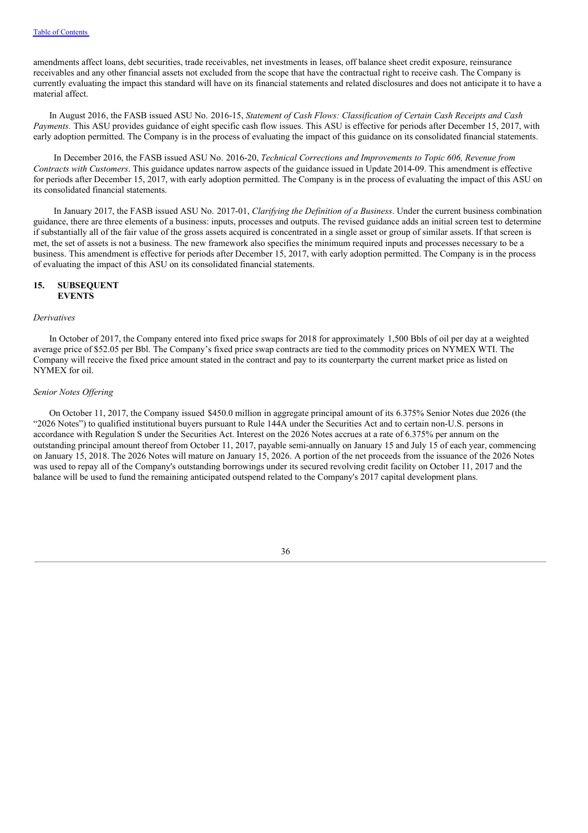amendments affect loans, debt securities, trade receivables, net investments in leases, off balance sheet credit exposure, reinsurance receivables and any other financial assets not excluded from the scope that have the contractual right to receive cash. The Company is currently evaluating the impact this standard will have on its financial statements and related disclosures and does not anticipate it to have a material affect.

In August 2016, the FASB issued ASU No. 2016-15, *Statement of Cash Flows: Classification of Certain Cash Receipts and Cash Payments.* This ASU provides guidance of eight specific cash flow issues. This ASU is effective for periods after December 15, 2017, with early adoption permitted. The Company is in the process of evaluating the impact of this guidance on its consolidated financial statements.

In December 2016, the FASB issued ASU No. 2016-20, *Technical Corrections and Improvements to Topic 606, Revenue from Contracts with Customers*. This guidance updates narrow aspects of the guidance issued in Update 2014-09. This amendment is effective for periods after December 15, 2017, with early adoption permitted. The Company is in the process of evaluating the impact of this ASU on its consolidated financial statements.

In January 2017, the FASB issued ASU No. 2017-01, *Clarifying the Definition of a Business*. Under the current business combination guidance, there are three elements of a business: inputs, processes and outputs. The revised guidance adds an initial screen test to determine if substantially all of the fair value of the gross assets acquired is concentrated in a single asset or group of similar assets. If that screen is met, the set of assets is not a business. The new framework also specifies the minimum required inputs and processes necessary to be a business. This amendment is effective for periods after December 15, 2017, with early adoption permitted. The Company is in the process of evaluating the impact of this ASU on its consolidated financial statements.

### **15. SUBSEQUENT EVENTS**

#### *Derivatives*

In October of 2017, the Company entered into fixed price swaps for 2018 for approximately 1,500 Bbls of oil per day at a weighted average price of \$52.05 per Bbl. The Company's fixed price swap contracts are tied to the commodity prices on NYMEX WTI. The Company will receive the fixed price amount stated in the contract and pay to its counterparty the current market price as listed on NYMEX for oil.

#### *Senior Notes Of ering*

On October 11, 2017, the Company issued \$450.0 million in aggregate principal amount of its 6.375% Senior Notes due 2026 (the "2026 Notes") to qualified institutional buyers pursuant to Rule 144A under the Securities Act and to certain non-U.S. persons in accordance with Regulation S under the Securities Act. Interest on the 2026 Notes accrues at a rate of 6.375% per annum on the outstanding principal amount thereof from October 11, 2017, payable semi-annually on January 15 and July 15 of each year, commencing on January 15, 2018. The 2026 Notes will mature on January 15, 2026. A portion of the net proceeds from the issuance of the 2026 Notes was used to repay all of the Company's outstanding borrowings under its secured revolving credit facility on October 11, 2017 and the balance will be used to fund the remaining anticipated outspend related to the Company's 2017 capital development plans.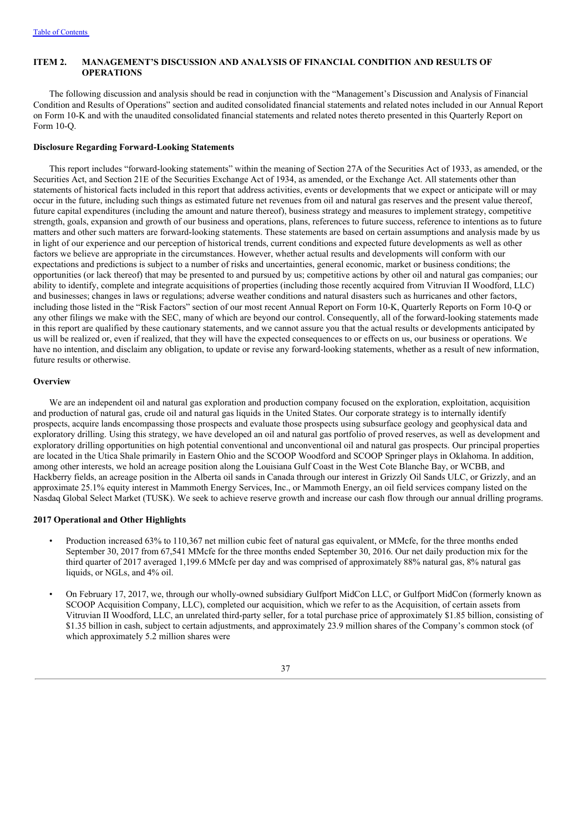# **ITEM 2. MANAGEMENT'S DISCUSSION AND ANALYSIS OF FINANCIAL CONDITION AND RESULTS OF OPERATIONS**

The following discussion and analysis should be read in conjunction with the "Management's Discussion and Analysis of Financial Condition and Results of Operations" section and audited consolidated financial statements and related notes included in our Annual Report on Form 10-K and with the unaudited consolidated financial statements and related notes thereto presented in this Quarterly Report on Form 10-Q.

#### **Disclosure Regarding Forward-Looking Statements**

This report includes "forward-looking statements" within the meaning of Section 27A of the Securities Act of 1933, as amended, or the Securities Act, and Section 21E of the Securities Exchange Act of 1934, as amended, or the Exchange Act. All statements other than statements of historical facts included in this report that address activities, events or developments that we expect or anticipate will or may occur in the future, including such things as estimated future net revenues from oil and natural gas reserves and the present value thereof, future capital expenditures (including the amount and nature thereof), business strategy and measures to implement strategy, competitive strength, goals, expansion and growth of our business and operations, plans, references to future success, reference to intentions as to future matters and other such matters are forward-looking statements. These statements are based on certain assumptions and analysis made by us in light of our experience and our perception of historical trends, current conditions and expected future developments as well as other factors we believe are appropriate in the circumstances. However, whether actual results and developments will conform with our expectations and predictions is subject to a number of risks and uncertainties, general economic, market or business conditions; the opportunities (or lack thereof) that may be presented to and pursued by us; competitive actions by other oil and natural gas companies; our ability to identify, complete and integrate acquisitions of properties (including those recently acquired from Vitruvian II Woodford, LLC) and businesses; changes in laws or regulations; adverse weather conditions and natural disasters such as hurricanes and other factors, including those listed in the "Risk Factors" section of our most recent Annual Report on Form 10-K, Quarterly Reports on Form 10-Q or any other filings we make with the SEC, many of which are beyond our control. Consequently, all of the forward-looking statements made in this report are qualified by these cautionary statements, and we cannot assure you that the actual results or developments anticipated by us will be realized or, even if realized, that they will have the expected consequences to or effects on us, our business or operations. We have no intention, and disclaim any obligation, to update or revise any forward-looking statements, whether as a result of new information, future results or otherwise.

#### **Overview**

We are an independent oil and natural gas exploration and production company focused on the exploration, exploitation, acquisition and production of natural gas, crude oil and natural gas liquids in the United States. Our corporate strategy is to internally identify prospects, acquire lands encompassing those prospects and evaluate those prospects using subsurface geology and geophysical data and exploratory drilling. Using this strategy, we have developed an oil and natural gas portfolio of proved reserves, as well as development and exploratory drilling opportunities on high potential conventional and unconventional oil and natural gas prospects. Our principal properties are located in the Utica Shale primarily in Eastern Ohio and the SCOOP Woodford and SCOOP Springer plays in Oklahoma. In addition, among other interests, we hold an acreage position along the Louisiana Gulf Coast in the West Cote Blanche Bay, or WCBB, and Hackberry fields, an acreage position in the Alberta oil sands in Canada through our interest in Grizzly Oil Sands ULC, or Grizzly, and an approximate 25.1% equity interest in Mammoth Energy Services, Inc., or Mammoth Energy, an oil field services company listed on the Nasdaq Global Select Market (TUSK). We seek to achieve reserve growth and increase our cash flow through our annual drilling programs.

#### **2017 Operational and Other Highlights**

- Production increased 63% to 110,367 net million cubic feet of natural gas equivalent, or MMcfe, for the three months ended September 30, 2017 from 67,541 MMcfe for the three months ended September 30, 2016. Our net daily production mix for the third quarter of 2017 averaged 1,199.6 MMcfe per day and was comprised of approximately 88% natural gas, 8% natural gas liquids, or NGLs, and 4% oil.
- On February 17, 2017, we, through our wholly-owned subsidiary Gulfport MidCon LLC, or Gulfport MidCon (formerly known as SCOOP Acquisition Company, LLC), completed our acquisition, which we refer to as the Acquisition, of certain assets from Vitruvian II Woodford, LLC, an unrelated third-party seller, for a total purchase price of approximately \$1.85 billion, consisting of \$1.35 billion in cash, subject to certain adjustments, and approximately 23.9 million shares of the Company's common stock (of which approximately 5.2 million shares were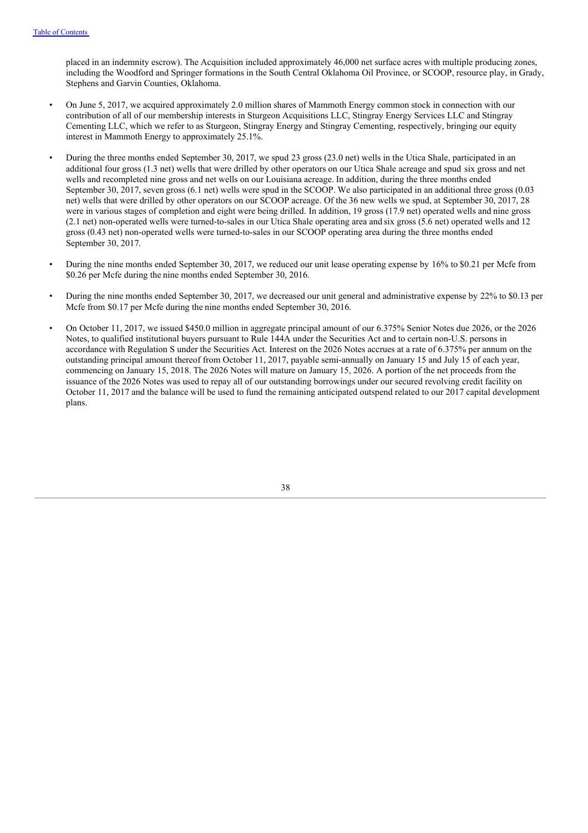placed in an indemnity escrow). The Acquisition included approximately 46,000 net surface acres with multiple producing zones, including the Woodford and Springer formations in the South Central Oklahoma Oil Province, or SCOOP, resource play, in Grady, Stephens and Garvin Counties, Oklahoma.

- On June 5, 2017, we acquired approximately 2.0 million shares of Mammoth Energy common stock in connection with our contribution of all of our membership interests in Sturgeon Acquisitions LLC, Stingray Energy Services LLC and Stingray Cementing LLC, which we refer to as Sturgeon, Stingray Energy and Stingray Cementing, respectively, bringing our equity interest in Mammoth Energy to approximately 25.1%.
- During the three months ended September 30, 2017, we spud 23 gross (23.0 net) wells in the Utica Shale, participated in an additional four gross (1.3 net) wells that were drilled by other operators on our Utica Shale acreage and spud six gross and net wells and recompleted nine gross and net wells on our Louisiana acreage. In addition, during the three months ended September 30, 2017, seven gross (6.1 net) wells were spud in the SCOOP. We also participated in an additional three gross (0.03 net) wells that were drilled by other operators on our SCOOP acreage. Of the 36 new wells we spud, at September 30, 2017, 28 were in various stages of completion and eight were being drilled. In addition, 19 gross (17.9 net) operated wells and nine gross (2.1 net) non-operated wells were turned-to-sales in our Utica Shale operating area andsix gross (5.6 net) operated wells and 12 gross (0.43 net) non-operated wells were turned-to-sales in our SCOOP operating area during the three months ended September 30, 2017.
- During the nine months ended September 30, 2017, we reduced our unit lease operating expense by 16% to \$0.21 per Mcfe from \$0.26 per Mcfe during the nine months ended September 30, 2016.
- During the nine months ended September 30, 2017, we decreased our unit general and administrative expense by 22% to \$0.13 per Mcfe from \$0.17 per Mcfe during the nine months ended September 30, 2016.
- On October 11, 2017, we issued \$450.0 million in aggregate principal amount of our 6.375% Senior Notes due 2026, or the 2026 Notes, to qualified institutional buyers pursuant to Rule 144A under the Securities Act and to certain non-U.S. persons in accordance with Regulation S under the Securities Act. Interest on the 2026 Notes accrues at a rate of 6.375% per annum on the outstanding principal amount thereof from October 11, 2017, payable semi-annually on January 15 and July 15 of each year, commencing on January 15, 2018. The 2026 Notes will mature on January 15, 2026. A portion of the net proceeds from the issuance of the 2026 Notes was used to repay all of our outstanding borrowings under our secured revolving credit facility on October 11, 2017 and the balance will be used to fund the remaining anticipated outspend related to our 2017 capital development plans.

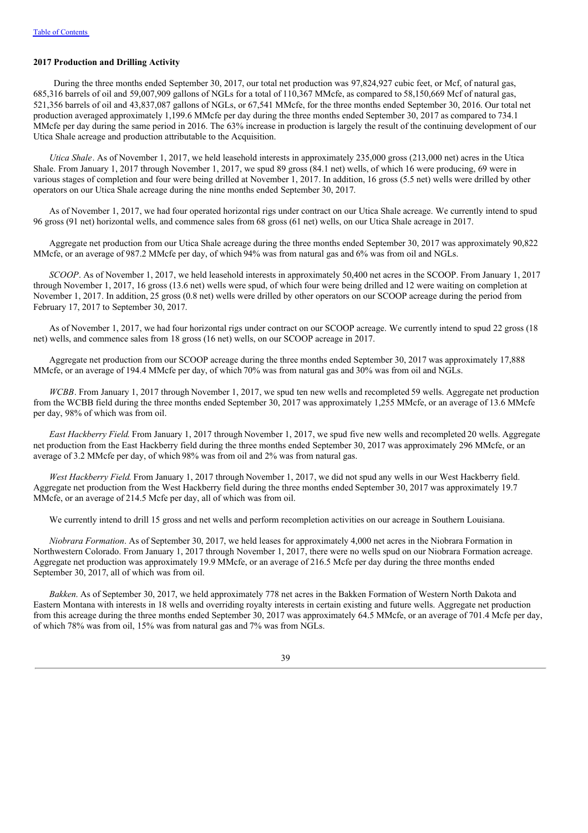#### **2017 Production and Drilling Activity**

During the three months ended September 30, 2017, our total net production was 97,824,927 cubic feet, or Mcf, of natural gas, 685,316 barrels of oil and 59,007,909 gallons of NGLs for a total of 110,367 MMcfe, as compared to 58,150,669 Mcf of natural gas, 521,356 barrels of oil and 43,837,087 gallons of NGLs, or 67,541 MMcfe, for the three months ended September 30, 2016. Our total net production averaged approximately 1,199.6 MMcfe per day during the three months ended September 30, 2017 as compared to 734.1 MMcfe per day during the same period in 2016. The 63% increase in production is largely the result of the continuing development of our Utica Shale acreage and production attributable to the Acquisition.

*Utica Shale*. As of November 1, 2017, we held leasehold interests in approximately 235,000 gross (213,000 net) acres in the Utica Shale. From January 1, 2017 through November 1, 2017, we spud 89 gross (84.1 net) wells, of which 16 were producing, 69 were in various stages of completion and four were being drilled at November 1, 2017. In addition, 16 gross (5.5 net) wells were drilled by other operators on our Utica Shale acreage during the nine months ended September 30, 2017.

As of November 1, 2017, we had four operated horizontal rigs under contract on our Utica Shale acreage. We currently intend to spud 96 gross (91 net) horizontal wells, and commence sales from 68 gross (61 net) wells, on our Utica Shale acreage in 2017.

Aggregate net production from our Utica Shale acreage during the three months ended September 30, 2017 was approximately 90,822 MMcfe, or an average of 987.2 MMcfe per day, of which 94% was from natural gas and 6% was from oil and NGLs.

*SCOOP*. As of November 1, 2017, we held leasehold interests in approximately 50,400 net acres in the SCOOP. From January 1, 2017 through November 1, 2017, 16 gross (13.6 net) wells were spud, of which four were being drilled and 12 were waiting on completion at November 1, 2017. In addition, 25 gross (0.8 net) wells were drilled by other operators on our SCOOP acreage during the period from February 17, 2017 to September 30, 2017.

As of November 1, 2017, we had four horizontal rigs under contract on our SCOOP acreage. We currently intend to spud 22 gross (18 net) wells, and commence sales from 18 gross (16 net) wells, on our SCOOP acreage in 2017.

Aggregate net production from our SCOOP acreage during the three months ended September 30, 2017 was approximately 17,888 MMcfe, or an average of 194.4 MMcfe per day, of which 70% was from natural gas and 30% was from oil and NGLs.

*WCBB*. From January 1, 2017 through November 1, 2017, we spud ten new wells and recompleted 59 wells. Aggregate net production from the WCBB field during the three months ended September 30, 2017 was approximately 1,255 MMcfe, or an average of 13.6 MMcfe per day, 98% of which was from oil.

*East Hackberry Field*. From January 1, 2017 through November 1, 2017, we spud five new wells and recompleted 20 wells. Aggregate net production from the East Hackberry field during the three months ended September 30, 2017 was approximately 296 MMcfe, or an average of 3.2 MMcfe per day, of which 98% was from oil and 2% was from natural gas.

*West Hackberry Field*. From January 1, 2017 through November 1, 2017, we did not spud any wells in our West Hackberry field. Aggregate net production from the West Hackberry field during the three months ended September 30, 2017 was approximately 19.7 MMcfe, or an average of 214.5 Mcfe per day, all of which was from oil.

We currently intend to drill 15 gross and net wells and perform recompletion activities on our acreage in Southern Louisiana.

*Niobrara Formation*. As of September 30, 2017, we held leases for approximately 4,000 net acres in the Niobrara Formation in Northwestern Colorado. From January 1, 2017 through November 1, 2017, there were no wells spud on our Niobrara Formation acreage. Aggregate net production was approximately 19.9 MMcfe, or an average of 216.5 Mcfe per day during the three months ended September 30, 2017, all of which was from oil.

*Bakken*. As of September 30, 2017, we held approximately 778 net acres in the Bakken Formation of Western North Dakota and Eastern Montana with interests in 18 wells and overriding royalty interests in certain existing and future wells. Aggregate net production from this acreage during the three months ended September 30, 2017 was approximately 64.5 MMcfe, or an average of 701.4 Mcfe per day, of which 78% was from oil, 15% was from natural gas and 7% was from NGLs.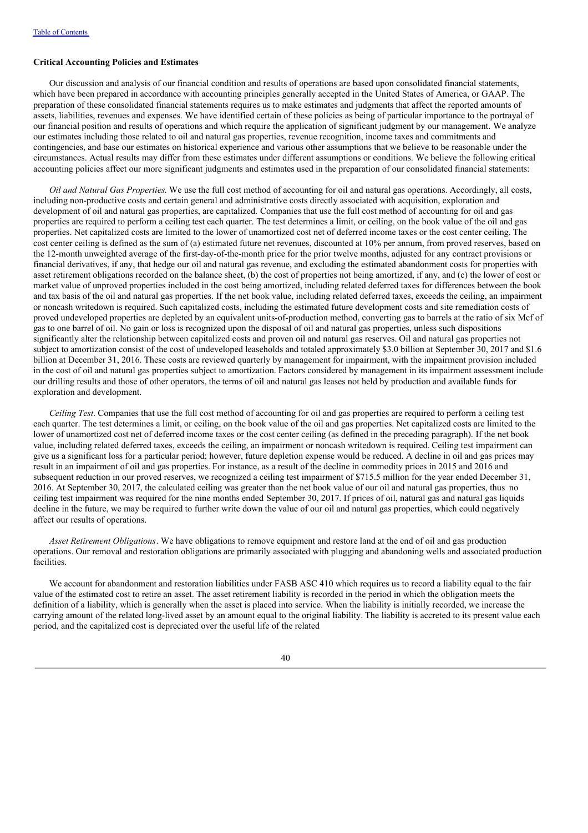#### **Critical Accounting Policies and Estimates**

Our discussion and analysis of our financial condition and results of operations are based upon consolidated financial statements, which have been prepared in accordance with accounting principles generally accepted in the United States of America, or GAAP. The preparation of these consolidated financial statements requires us to make estimates and judgments that affect the reported amounts of assets, liabilities, revenues and expenses. We have identified certain of these policies as being of particular importance to the portrayal of our financial position and results of operations and which require the application of significant judgment by our management. We analyze our estimates including those related to oil and natural gas properties, revenue recognition, income taxes and commitments and contingencies, and base our estimates on historical experience and various other assumptions that we believe to be reasonable under the circumstances. Actual results may differ from these estimates under different assumptions or conditions. We believe the following critical accounting policies affect our more significant judgments and estimates used in the preparation of our consolidated financial statements:

*Oil and Natural Gas Properties*. We use the full cost method of accounting for oil and natural gas operations. Accordingly, all costs, including non-productive costs and certain general and administrative costs directly associated with acquisition, exploration and development of oil and natural gas properties, are capitalized. Companies that use the full cost method of accounting for oil and gas properties are required to perform a ceiling test each quarter. The test determines a limit, or ceiling, on the book value of the oil and gas properties. Net capitalized costs are limited to the lower of unamortized cost net of deferred income taxes or the cost center ceiling. The cost center ceiling is defined as the sum of (a) estimated future net revenues, discounted at 10% per annum, from proved reserves, based on the 12-month unweighted average of the first-day-of-the-month price for the prior twelve months, adjusted for any contract provisions or financial derivatives, if any, that hedge our oil and natural gas revenue, and excluding the estimated abandonment costs for properties with asset retirement obligations recorded on the balance sheet, (b) the cost of properties not being amortized, if any, and (c) the lower of cost or market value of unproved properties included in the cost being amortized, including related deferred taxes for differences between the book and tax basis of the oil and natural gas properties. If the net book value, including related deferred taxes, exceeds the ceiling, an impairment or noncash writedown is required. Such capitalized costs, including the estimated future development costs and site remediation costs of proved undeveloped properties are depleted by an equivalent units-of-production method, converting gas to barrels at the ratio of six Mcf of gas to one barrel of oil. No gain or loss is recognized upon the disposal of oil and natural gas properties, unless such dispositions significantly alter the relationship between capitalized costs and proven oil and natural gas reserves. Oil and natural gas properties not subject to amortization consist of the cost of undeveloped leaseholds and totaled approximately \$3.0 billion at September 30, 2017 and \$1.6 billion at December 31, 2016. These costs are reviewed quarterly by management for impairment, with the impairment provision included in the cost of oil and natural gas properties subject to amortization. Factors considered by management in its impairment assessment include our drilling results and those of other operators, the terms of oil and natural gas leases not held by production and available funds for exploration and development.

*Ceiling Test*. Companies that use the full cost method of accounting for oil and gas properties are required to perform a ceiling test each quarter. The test determines a limit, or ceiling, on the book value of the oil and gas properties. Net capitalized costs are limited to the lower of unamortized cost net of deferred income taxes or the cost center ceiling (as defined in the preceding paragraph). If the net book value, including related deferred taxes, exceeds the ceiling, an impairment or noncash writedown is required. Ceiling test impairment can give us a significant loss for a particular period; however, future depletion expense would be reduced. A decline in oil and gas prices may result in an impairment of oil and gas properties. For instance, as a result of the decline in commodity prices in 2015 and 2016 and subsequent reduction in our proved reserves, we recognized a ceiling test impairment of \$715.5 million for the year ended December 31, 2016. At September 30, 2017, the calculated ceiling was greater than the net book value of our oil and natural gas properties, thus no ceiling test impairment was required for the nine months ended September 30, 2017. If prices of oil, natural gas and natural gas liquids decline in the future, we may be required to further write down the value of our oil and natural gas properties, which could negatively affect our results of operations.

*Asset Retirement Obligations*. We have obligations to remove equipment and restore land at the end of oil and gas production operations. Our removal and restoration obligations are primarily associated with plugging and abandoning wells and associated production facilities.

We account for abandonment and restoration liabilities under FASB ASC 410 which requires us to record a liability equal to the fair value of the estimated cost to retire an asset. The asset retirement liability is recorded in the period in which the obligation meets the definition of a liability, which is generally when the asset is placed into service. When the liability is initially recorded, we increase the carrying amount of the related long-lived asset by an amount equal to the original liability. The liability is accreted to its present value each period, and the capitalized cost is depreciated over the useful life of the related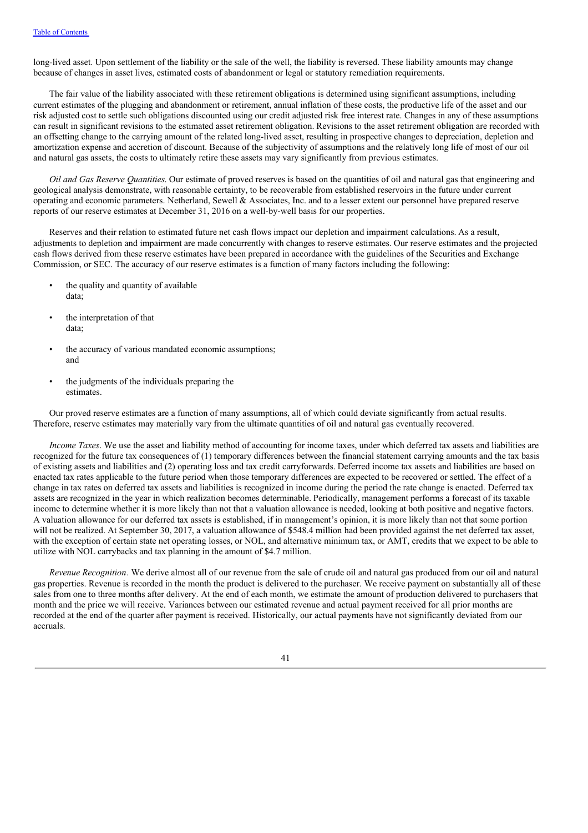long-lived asset. Upon settlement of the liability or the sale of the well, the liability is reversed. These liability amounts may change because of changes in asset lives, estimated costs of abandonment or legal or statutory remediation requirements.

The fair value of the liability associated with these retirement obligations is determined using significant assumptions, including current estimates of the plugging and abandonment or retirement, annual inflation of these costs, the productive life of the asset and our risk adjusted cost to settle such obligations discounted using our credit adjusted risk free interest rate. Changes in any of these assumptions can result in significant revisions to the estimated asset retirement obligation. Revisions to the asset retirement obligation are recorded with an offsetting change to the carrying amount of the related long-lived asset, resulting in prospective changes to depreciation, depletion and amortization expense and accretion of discount. Because of the subjectivity of assumptions and the relatively long life of most of our oil and natural gas assets, the costs to ultimately retire these assets may vary significantly from previous estimates.

*Oil and Gas Reserve Quantities*. Our estimate of proved reserves is based on the quantities of oil and natural gas that engineering and geological analysis demonstrate, with reasonable certainty, to be recoverable from established reservoirs in the future under current operating and economic parameters. Netherland, Sewell & Associates, Inc. and to a lesser extent our personnel have prepared reserve reports of our reserve estimates at December 31, 2016 on a well-by-well basis for our properties.

Reserves and their relation to estimated future net cash flows impact our depletion and impairment calculations. As a result, adjustments to depletion and impairment are made concurrently with changes to reserve estimates. Our reserve estimates and the projected cash flows derived from these reserve estimates have been prepared in accordance with the guidelines of the Securities and Exchange Commission, or SEC. The accuracy of our reserve estimates is a function of many factors including the following:

- the quality and quantity of available data;
- the interpretation of that data;
- the accuracy of various mandated economic assumptions; and
- the judgments of the individuals preparing the estimates.

Our proved reserve estimates are a function of many assumptions, all of which could deviate significantly from actual results. Therefore, reserve estimates may materially vary from the ultimate quantities of oil and natural gas eventually recovered.

*Income Taxes*. We use the asset and liability method of accounting for income taxes, under which deferred tax assets and liabilities are recognized for the future tax consequences of (1) temporary differences between the financial statement carrying amounts and the tax basis of existing assets and liabilities and (2) operating loss and tax credit carryforwards. Deferred income tax assets and liabilities are based on enacted tax rates applicable to the future period when those temporary differences are expected to be recovered or settled. The effect of a change in tax rates on deferred tax assets and liabilities is recognized in income during the period the rate change is enacted. Deferred tax assets are recognized in the year in which realization becomes determinable. Periodically, management performs a forecast of its taxable income to determine whether it is more likely than not that a valuation allowance is needed, looking at both positive and negative factors. A valuation allowance for our deferred tax assets is established, if in management's opinion, it is more likely than not that some portion will not be realized. At September 30, 2017, a valuation allowance of \$548.4 million had been provided against the net deferred tax asset, with the exception of certain state net operating losses, or NOL, and alternative minimum tax, or AMT, credits that we expect to be able to utilize with NOL carrybacks and tax planning in the amount of \$4.7 million.

*Revenue Recognition*. We derive almost all of our revenue from the sale of crude oil and natural gas produced from our oil and natural gas properties. Revenue is recorded in the month the product is delivered to the purchaser. We receive payment on substantially all of these sales from one to three months after delivery. At the end of each month, we estimate the amount of production delivered to purchasers that month and the price we will receive. Variances between our estimated revenue and actual payment received for all prior months are recorded at the end of the quarter after payment is received. Historically, our actual payments have not significantly deviated from our accruals.

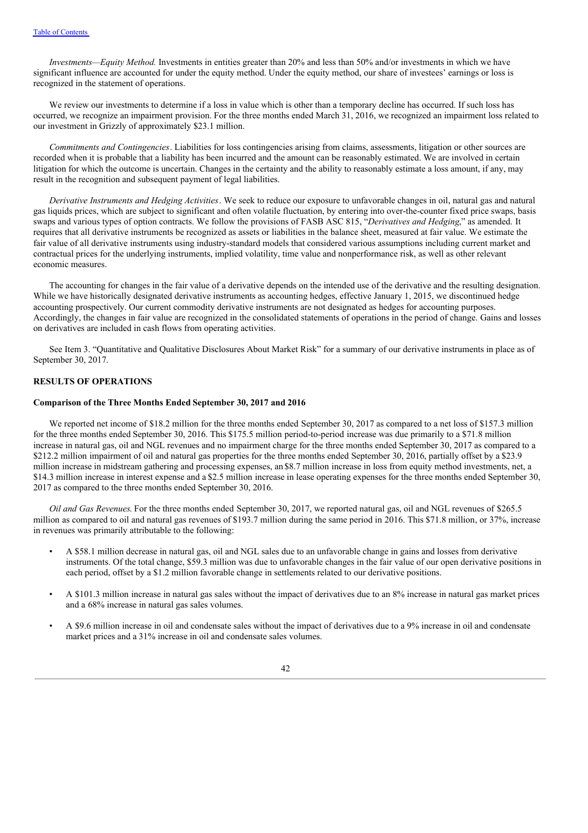*Investments—Equity Method.* Investments in entities greater than 20% and less than 50% and/or investments in which we have significant influence are accounted for under the equity method. Under the equity method, our share of investees' earnings or loss is recognized in the statement of operations.

We review our investments to determine if a loss in value which is other than a temporary decline has occurred. If such loss has occurred, we recognize an impairment provision. For the three months ended March 31, 2016, we recognized an impairment loss related to our investment in Grizzly of approximately \$23.1 million.

*Commitments and Contingencies*. Liabilities for loss contingencies arising from claims, assessments, litigation or other sources are recorded when it is probable that a liability has been incurred and the amount can be reasonably estimated. We are involved in certain litigation for which the outcome is uncertain. Changes in the certainty and the ability to reasonably estimate a loss amount, if any, may result in the recognition and subsequent payment of legal liabilities.

*Derivative Instruments and Hedging Activities*. We seek to reduce our exposure to unfavorable changes in oil, natural gas and natural gas liquids prices, which are subject to significant and often volatile fluctuation, by entering into over-the-counter fixed price swaps, basis swaps and various types of option contracts. We follow the provisions of FASB ASC 815, "*Derivatives and Hedging*," as amended. It requires that all derivative instruments be recognized as assets or liabilities in the balance sheet, measured at fair value. We estimate the fair value of all derivative instruments using industry-standard models that considered various assumptions including current market and contractual prices for the underlying instruments, implied volatility, time value and nonperformance risk, as well as other relevant economic measures.

The accounting for changes in the fair value of a derivative depends on the intended use of the derivative and the resulting designation. While we have historically designated derivative instruments as accounting hedges, effective January 1, 2015, we discontinued hedge accounting prospectively. Our current commodity derivative instruments are not designated as hedges for accounting purposes. Accordingly, the changes in fair value are recognized in the consolidated statements of operations in the period of change. Gains and losses on derivatives are included in cash flows from operating activities.

See Item 3. "Quantitative and Qualitative Disclosures About Market Risk" for a summary of our derivative instruments in place as of September 30, 2017.

#### **RESULTS OF OPERATIONS**

# **Comparison of the Three Months Ended September 30, 2017 and 2016**

We reported net income of \$18.2 million for the three months ended September 30, 2017 as compared to a net loss of \$157.3 million for the three months ended September 30, 2016. This \$175.5 million period-to-period increase was due primarily to a \$71.8 million increase in natural gas, oil and NGL revenues and no impairment charge for the three months ended September 30, 2017 as compared to a \$212.2 million impairment of oil and natural gas properties for the three months ended September 30, 2016, partially offset by a \$23.9 million increase in midstream gathering and processing expenses, an\$8.7 million increase in loss from equity method investments, net, a \$14.3 million increase in interest expense and a \$2.5 million increase in lease operating expenses for the three months ended September 30, 2017 as compared to the three months ended September 30, 2016.

*Oil and Gas Revenues*. For the three months ended September 30, 2017, we reported natural gas, oil and NGL revenues of \$265.5 million as compared to oil and natural gas revenues of \$193.7 million during the same period in 2016. This \$71.8 million, or 37%, increase in revenues was primarily attributable to the following:

- A \$58.1 million decrease in natural gas, oil and NGL sales due to an unfavorable change in gains and losses from derivative instruments. Of the total change, \$59.3 million was due to unfavorable changes in the fair value of our open derivative positions in each period, offset by a \$1.2 million favorable change in settlements related to our derivative positions.
- A \$101.3 million increase in natural gas sales without the impact of derivatives due to an 8% increase in natural gas market prices and a 68% increase in natural gas sales volumes.
- A \$9.6 million increase in oil and condensate sales without the impact of derivatives due to a 9% increase in oil and condensate market prices and a 31% increase in oil and condensate sales volumes.

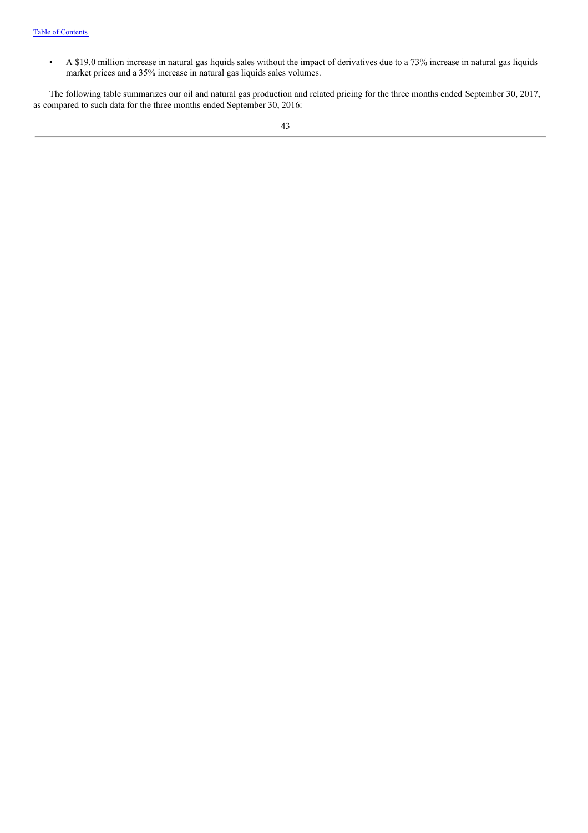• A \$19.0 million increase in natural gas liquids sales without the impact of derivatives due to a 73% increase in natural gas liquids market prices and a 35% increase in natural gas liquids sales volumes.

The following table summarizes our oil and natural gas production and related pricing for the three months ended September 30, 2017, as compared to such data for the three months ended September 30, 2016: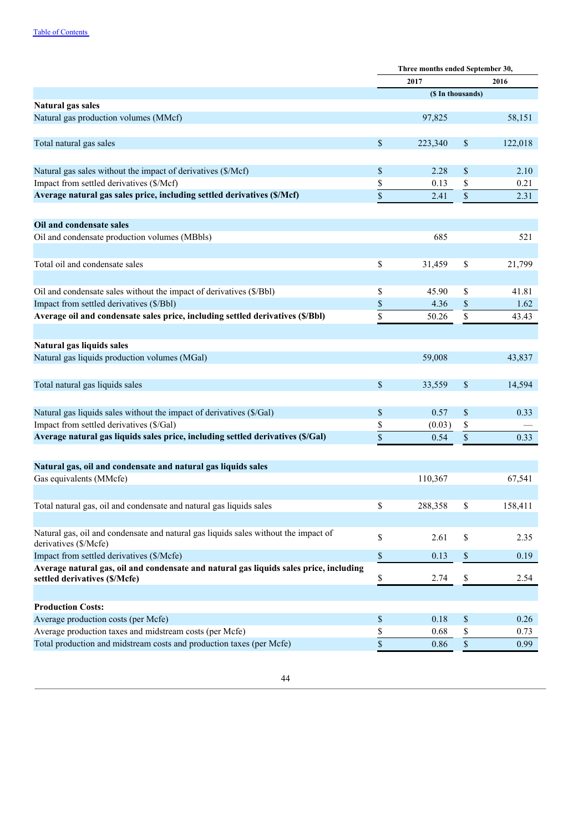|                                                                                        |             | Three months ended September 30, |                                                                       |         |
|----------------------------------------------------------------------------------------|-------------|----------------------------------|-----------------------------------------------------------------------|---------|
|                                                                                        |             | 2017                             |                                                                       | 2016    |
|                                                                                        |             | (\$ In thousands)                |                                                                       |         |
| Natural gas sales                                                                      |             |                                  |                                                                       |         |
| Natural gas production volumes (MMcf)                                                  |             | 97,825                           |                                                                       | 58,151  |
| Total natural gas sales                                                                | \$          | 223,340                          | \$                                                                    | 122,018 |
| Natural gas sales without the impact of derivatives (\$/Mcf)                           | \$          | 2.28                             | \$                                                                    | 2.10    |
| Impact from settled derivatives (\$/Mcf)                                               | \$          | 0.13                             | \$                                                                    | 0.21    |
| Average natural gas sales price, including settled derivatives (\$/Mcf)                | \$          | 2.41                             | \$                                                                    | 2.31    |
| Oil and condensate sales                                                               |             |                                  |                                                                       |         |
| Oil and condensate production volumes (MBbls)                                          |             | 685                              |                                                                       | 521     |
| Total oil and condensate sales                                                         | \$          | 31,459                           | \$                                                                    | 21,799  |
| Oil and condensate sales without the impact of derivatives (\$/Bbl)                    | \$          | 45.90                            | \$                                                                    | 41.81   |
| Impact from settled derivatives (\$/Bbl)                                               | \$          | 4.36                             | \$                                                                    | 1.62    |
| Average oil and condensate sales price, including settled derivatives (\$/Bbl)         | \$          | 50.26                            | \$                                                                    | 43.43   |
| Natural gas liquids sales                                                              |             |                                  |                                                                       |         |
| Natural gas liquids production volumes (MGal)                                          |             | 59,008                           |                                                                       | 43,837  |
| Total natural gas liquids sales                                                        | \$          | 33,559                           | \$                                                                    | 14,594  |
| Natural gas liquids sales without the impact of derivatives (\$/Gal)                   | \$          | 0.57                             | \$                                                                    | 0.33    |
| Impact from settled derivatives (\$/Gal)                                               | \$          | (0.03)                           | \$                                                                    |         |
| Average natural gas liquids sales price, including settled derivatives (\$/Gal)        | \$          | 0.54                             | $\mathbb S$                                                           | 0.33    |
| Natural gas, oil and condensate and natural gas liquids sales                          |             |                                  |                                                                       |         |
| Gas equivalents (MMcfe)                                                                |             | 110,367                          |                                                                       | 67,541  |
| Total natural gas, oil and condensate and natural gas liquids sales                    | \$          | 288,358                          | \$                                                                    | 158,411 |
| Natural gas, oil and condensate and natural gas liquids sales without the impact of    | \$          | 2.61                             | \$                                                                    | 2.35    |
| derivatives (\$/Mcfe)<br>Impact from settled derivatives (\$/Mcfe)                     |             | 0.13                             |                                                                       |         |
| Average natural gas, oil and condensate and natural gas liquids sales price, including | \$          |                                  | $\$$                                                                  | 0.19    |
| settled derivatives (\$/Mcfe)                                                          | \$          | 2.74                             | \$                                                                    | 2.54    |
| <b>Production Costs:</b>                                                               |             |                                  |                                                                       |         |
| Average production costs (per Mcfe)                                                    | \$          | 0.18                             | $\boldsymbol{\$}$                                                     | 0.26    |
| Average production taxes and midstream costs (per Mcfe)                                | \$          | 0.68                             | \$                                                                    | 0.73    |
| Total production and midstream costs and production taxes (per Mcfe)                   | $\mathbb S$ | 0.86                             | $\mathbb{S}% _{t}\left( t\right) \equiv\mathbb{S}_{t}\left( t\right)$ | 0.99    |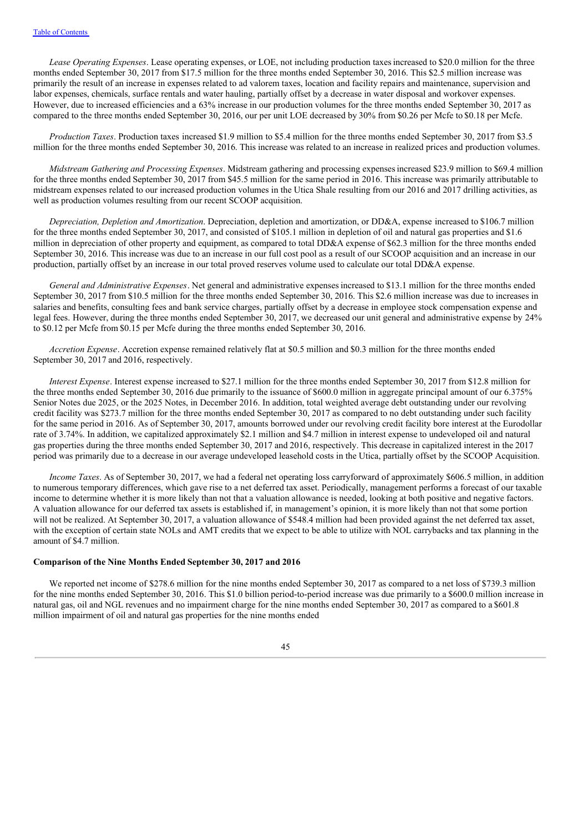*Lease Operating Expenses*. Lease operating expenses, or LOE, not including production taxesincreased to \$20.0 million for the three months ended September 30, 2017 from \$17.5 million for the three months ended September 30, 2016. This \$2.5 million increase was primarily the result of an increase in expenses related to ad valorem taxes, location and facility repairs and maintenance, supervision and labor expenses, chemicals, surface rentals and water hauling, partially offset by a decrease in water disposal and workover expenses. However, due to increased efficiencies and a 63% increase in our production volumes for the three months ended September 30, 2017 as compared to the three months ended September 30, 2016, our per unit LOE decreased by 30% from \$0.26 per Mcfe to \$0.18 per Mcfe.

*Production Taxes*. Production taxes increased \$1.9 million to \$5.4 million for the three months ended September 30, 2017 from \$3.5 million for the three months ended September 30, 2016. This increase was related to an increase in realized prices and production volumes.

*Midstream Gathering and Processing Expenses*. Midstream gathering and processing expensesincreased \$23.9 million to \$69.4 million for the three months ended September 30, 2017 from \$45.5 million for the same period in 2016. This increase was primarily attributable to midstream expenses related to our increased production volumes in the Utica Shale resulting from our 2016 and 2017 drilling activities, as well as production volumes resulting from our recent SCOOP acquisition.

*Depreciation, Depletion and Amortization*. Depreciation, depletion and amortization, or DD&A, expense increased to \$106.7 million for the three months ended September 30, 2017, and consisted of \$105.1 million in depletion of oil and natural gas properties and \$1.6 million in depreciation of other property and equipment, as compared to total DD&A expense of \$62.3 million for the three months ended September 30, 2016. This increase was due to an increase in our full cost pool as a result of our SCOOP acquisition and an increase in our production, partially offset by an increase in our total proved reserves volume used to calculate our total DD&A expense.

*General and Administrative Expenses*. Net general and administrative expenses increased to \$13.1 million for the three months ended September 30, 2017 from \$10.5 million for the three months ended September 30, 2016. This \$2.6 million increase was due to increases in salaries and benefits, consulting fees and bank service charges, partially offset by a decrease in employee stock compensation expense and legal fees. However, during the three months ended September 30, 2017, we decreased our unit general and administrative expense by 24% to \$0.12 per Mcfe from \$0.15 per Mcfe during the three months ended September 30, 2016.

*Accretion Expense*. Accretion expense remained relatively flat at \$0.5 million and \$0.3 million for the three months ended September 30, 2017 and 2016, respectively.

*Interest Expense*. Interest expense increased to \$27.1 million for the three months ended September 30, 2017 from \$12.8 million for the three months ended September 30, 2016 due primarily to the issuance of \$600.0 million in aggregate principal amount of our 6.375% Senior Notes due 2025, or the 2025 Notes, in December 2016. In addition, total weighted average debt outstanding under our revolving credit facility was \$273.7 million for the three months ended September 30, 2017 as compared to no debt outstanding under such facility for the same period in 2016. As of September 30, 2017, amounts borrowed under our revolving credit facility bore interest at the Eurodollar rate of 3.74%. In addition, we capitalized approximately \$2.1 million and \$4.7 million in interest expense to undeveloped oil and natural gas properties during the three months ended September 30, 2017 and 2016, respectively. This decrease in capitalized interest in the 2017 period was primarily due to a decrease in our average undeveloped leasehold costs in the Utica, partially offset by the SCOOP Acquisition.

*Income Taxes*. As of September 30, 2017, we had a federal net operating loss carryforward of approximately \$606.5 million, in addition to numerous temporary differences, which gave rise to a net deferred tax asset. Periodically, management performs a forecast of our taxable income to determine whether it is more likely than not that a valuation allowance is needed, looking at both positive and negative factors. A valuation allowance for our deferred tax assets is established if, in management's opinion, it is more likely than not that some portion will not be realized. At September 30, 2017, a valuation allowance of \$548.4 million had been provided against the net deferred tax asset, with the exception of certain state NOLs and AMT credits that we expect to be able to utilize with NOL carrybacks and tax planning in the amount of \$4.7 million.

#### **Comparison of the Nine Months Ended September 30, 2017 and 2016**

We reported net income of \$278.6 million for the nine months ended September 30, 2017 as compared to a net loss of \$739.3 million for the nine months ended September 30, 2016. This \$1.0 billion period-to-period increase was due primarily to a \$600.0 million increase in natural gas, oil and NGL revenues and no impairment charge for the nine months ended September 30, 2017 as compared to a\$601.8 million impairment of oil and natural gas properties for the nine months ended

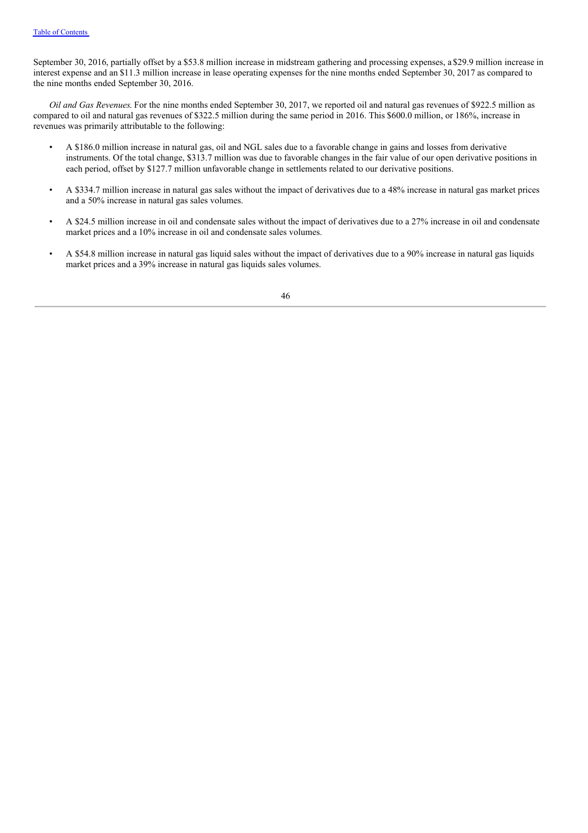September 30, 2016, partially offset by a \$53.8 million increase in midstream gathering and processing expenses, a\$29.9 million increase in interest expense and an \$11.3 million increase in lease operating expenses for the nine months ended September 30, 2017 as compared to the nine months ended September 30, 2016.

*Oil and Gas Revenues*. For the nine months ended September 30, 2017, we reported oil and natural gas revenues of \$922.5 million as compared to oil and natural gas revenues of \$322.5 million during the same period in 2016. This \$600.0 million, or 186%, increase in revenues was primarily attributable to the following:

- A \$186.0 million increase in natural gas, oil and NGL sales due to a favorable change in gains and losses from derivative instruments. Of the total change, \$313.7 million was due to favorable changes in the fair value of our open derivative positions in each period, offset by \$127.7 million unfavorable change in settlements related to our derivative positions.
- A \$334.7 million increase in natural gas sales without the impact of derivatives due to a 48% increase in natural gas market prices and a 50% increase in natural gas sales volumes.
- A \$24.5 million increase in oil and condensate sales without the impact of derivatives due to a 27% increase in oil and condensate market prices and a 10% increase in oil and condensate sales volumes.
- A \$54.8 million increase in natural gas liquid sales without the impact of derivatives due to a 90% increase in natural gas liquids market prices and a 39% increase in natural gas liquids sales volumes.

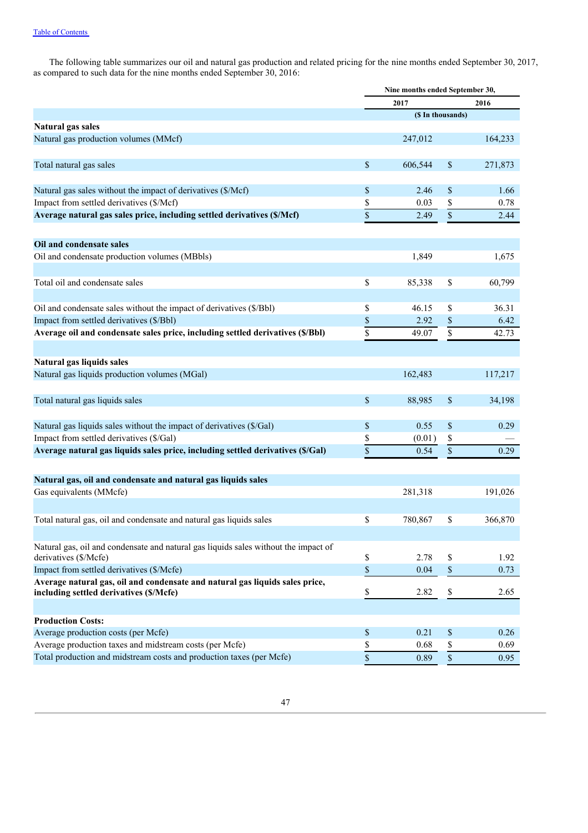The following table summarizes our oil and natural gas production and related pricing for the nine months ended September 30, 2017, as compared to such data for the nine months ended September 30, 2016:

|                                                                                                                           | Nine months ended September 30, |                   |             |         |
|---------------------------------------------------------------------------------------------------------------------------|---------------------------------|-------------------|-------------|---------|
|                                                                                                                           |                                 | 2017              |             | 2016    |
|                                                                                                                           |                                 | (\$ In thousands) |             |         |
| Natural gas sales                                                                                                         |                                 |                   |             |         |
| Natural gas production volumes (MMcf)                                                                                     |                                 | 247,012           |             | 164,233 |
| Total natural gas sales                                                                                                   | \$                              | 606,544           | \$          | 271,873 |
| Natural gas sales without the impact of derivatives (\$/Mcf)                                                              | \$                              | 2.46              | \$          | 1.66    |
| Impact from settled derivatives (\$/Mcf)                                                                                  | \$                              | 0.03              | \$          | 0.78    |
| Average natural gas sales price, including settled derivatives (\$/Mcf)                                                   | \$                              | 2.49              | \$          | 2.44    |
| Oil and condensate sales                                                                                                  |                                 |                   |             |         |
| Oil and condensate production volumes (MBbls)                                                                             |                                 | 1,849             |             | 1,675   |
|                                                                                                                           |                                 |                   |             |         |
| Total oil and condensate sales                                                                                            | \$                              | 85,338            | \$          | 60,799  |
| Oil and condensate sales without the impact of derivatives (\$/Bbl)                                                       | \$                              | 46.15             | \$          | 36.31   |
| Impact from settled derivatives (\$/Bbl)                                                                                  | \$                              | 2.92              | \$          | 6.42    |
| Average oil and condensate sales price, including settled derivatives (\$/Bbl)                                            | \$                              | 49.07             | \$          | 42.73   |
| Natural gas liquids sales                                                                                                 |                                 |                   |             |         |
| Natural gas liquids production volumes (MGal)                                                                             |                                 | 162,483           |             | 117,217 |
| Total natural gas liquids sales                                                                                           | \$                              | 88,985            | \$          | 34,198  |
|                                                                                                                           |                                 |                   |             |         |
| Natural gas liquids sales without the impact of derivatives (\$/Gal)<br>Impact from settled derivatives (\$/Gal)          | \$                              | 0.55              | \$          | 0.29    |
| Average natural gas liquids sales price, including settled derivatives (\$/Gal)                                           | \$<br>$\overline{\mathbb{S}}$   | (0.01)<br>0.54    | \$          |         |
|                                                                                                                           |                                 |                   | \$          | 0.29    |
| Natural gas, oil and condensate and natural gas liquids sales                                                             |                                 |                   |             |         |
| Gas equivalents (MMcfe)                                                                                                   |                                 | 281,318           |             | 191,026 |
|                                                                                                                           |                                 |                   |             |         |
| Total natural gas, oil and condensate and natural gas liquids sales                                                       | \$                              | 780,867           | \$          | 366,870 |
| Natural gas, oil and condensate and natural gas liquids sales without the impact of                                       |                                 |                   |             |         |
| derivatives (\$/Mcfe)                                                                                                     | \$                              | 2.78              | \$          | 1.92    |
| Impact from settled derivatives (\$/Mcfe)<br>Average natural gas, oil and condensate and natural gas liquids sales price, | \$                              | 0.04              | $\mathbb S$ | 0.73    |
| including settled derivatives (\$/Mcfe)                                                                                   | \$                              | 2.82              | \$          | 2.65    |
|                                                                                                                           |                                 |                   |             |         |
| <b>Production Costs:</b><br>Average production costs (per Mcfe)                                                           | \$                              | 0.21              | \$          | 0.26    |
| Average production taxes and midstream costs (per Mcfe)                                                                   | \$                              | 0.68              | \$          | 0.69    |
| Total production and midstream costs and production taxes (per Mcfe)                                                      | \$                              | 0.89              | $\mathbb S$ | 0.95    |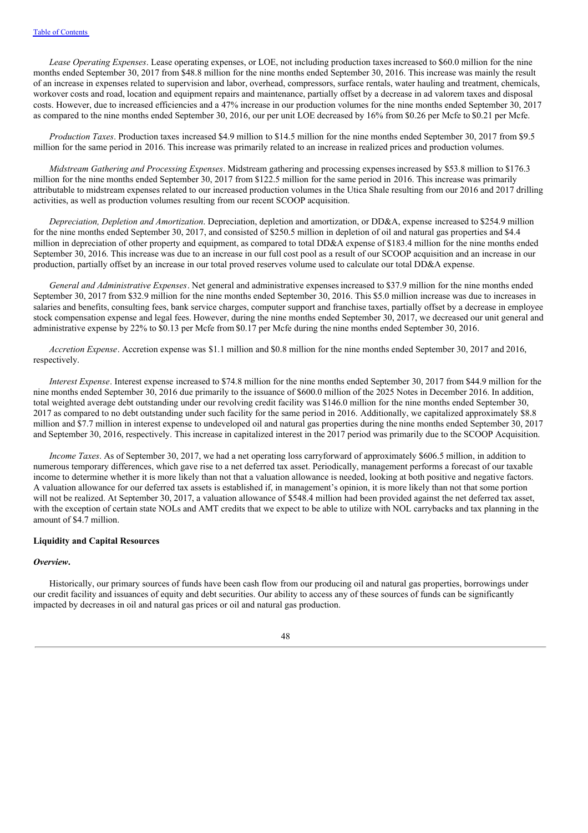*Lease Operating Expenses*. Lease operating expenses, or LOE, not including production taxesincreased to \$60.0 million for the nine months ended September 30, 2017 from \$48.8 million for the nine months ended September 30, 2016. This increase was mainly the result of an increase in expenses related to supervision and labor, overhead, compressors, surface rentals, water hauling and treatment, chemicals, workover costs and road, location and equipment repairs and maintenance, partially offset by a decrease in ad valorem taxes and disposal costs. However, due to increased efficiencies and a 47% increase in our production volumes for the nine months ended September 30, 2017 as compared to the nine months ended September 30, 2016, our per unit LOE decreased by 16% from \$0.26 per Mcfe to \$0.21 per Mcfe.

*Production Taxes*. Production taxes increased \$4.9 million to \$14.5 million for the nine months ended September 30, 2017 from \$9.5 million for the same period in 2016. This increase was primarily related to an increase in realized prices and production volumes.

*Midstream Gathering and Processing Expenses*. Midstream gathering and processing expensesincreased by \$53.8 million to \$176.3 million for the nine months ended September 30, 2017 from \$122.5 million for the same period in 2016. This increase was primarily attributable to midstream expenses related to our increased production volumes in the Utica Shale resulting from our 2016 and 2017 drilling activities, as well as production volumes resulting from our recent SCOOP acquisition.

*Depreciation, Depletion and Amortization*. Depreciation, depletion and amortization, or DD&A, expense increased to \$254.9 million for the nine months ended September 30, 2017, and consisted of \$250.5 million in depletion of oil and natural gas properties and \$4.4 million in depreciation of other property and equipment, as compared to total DD&A expense of \$183.4 million for the nine months ended September 30, 2016. This increase was due to an increase in our full cost pool as a result of our SCOOP acquisition and an increase in our production, partially offset by an increase in our total proved reserves volume used to calculate our total DD&A expense.

*General and Administrative Expenses*. Net general and administrative expenses increased to \$37.9 million for the nine months ended September 30, 2017 from \$32.9 million for the nine months ended September 30, 2016. This \$5.0 million increase was due to increases in salaries and benefits, consulting fees, bank service charges, computer support and franchise taxes, partially offset by a decrease in employee stock compensation expense and legal fees. However, during the nine months ended September 30, 2017, we decreased our unit general and administrative expense by 22% to \$0.13 per Mcfe from \$0.17 per Mcfe during the nine months ended September 30, 2016.

*Accretion Expense*. Accretion expense was \$1.1 million and \$0.8 million for the nine months ended September 30, 2017 and 2016, respectively.

*Interest Expense*. Interest expense increased to \$74.8 million for the nine months ended September 30, 2017 from \$44.9 million for the nine months ended September 30, 2016 due primarily to the issuance of \$600.0 million of the 2025 Notes in December 2016. In addition, total weighted average debt outstanding under our revolving credit facility was \$146.0 million for the nine months ended September 30, 2017 as compared to no debt outstanding under such facility for the same period in 2016. Additionally, we capitalized approximately \$8.8 million and \$7.7 million in interest expense to undeveloped oil and natural gas properties during thenine months ended September 30, 2017 and September 30, 2016, respectively. This increase in capitalized interest in the 2017 period was primarily due to the SCOOP Acquisition.

*Income Taxes*. As of September 30, 2017, we had a net operating loss carryforward of approximately \$606.5 million, in addition to numerous temporary differences, which gave rise to a net deferred tax asset. Periodically, management performs a forecast of our taxable income to determine whether it is more likely than not that a valuation allowance is needed, looking at both positive and negative factors. A valuation allowance for our deferred tax assets is established if, in management's opinion, it is more likely than not that some portion will not be realized. At September 30, 2017, a valuation allowance of \$548.4 million had been provided against the net deferred tax asset, with the exception of certain state NOLs and AMT credits that we expect to be able to utilize with NOL carrybacks and tax planning in the amount of \$4.7 million.

#### **Liquidity and Capital Resources**

#### *Overview***.**

Historically, our primary sources of funds have been cash flow from our producing oil and natural gas properties, borrowings under our credit facility and issuances of equity and debt securities. Our ability to access any of these sources of funds can be significantly impacted by decreases in oil and natural gas prices or oil and natural gas production.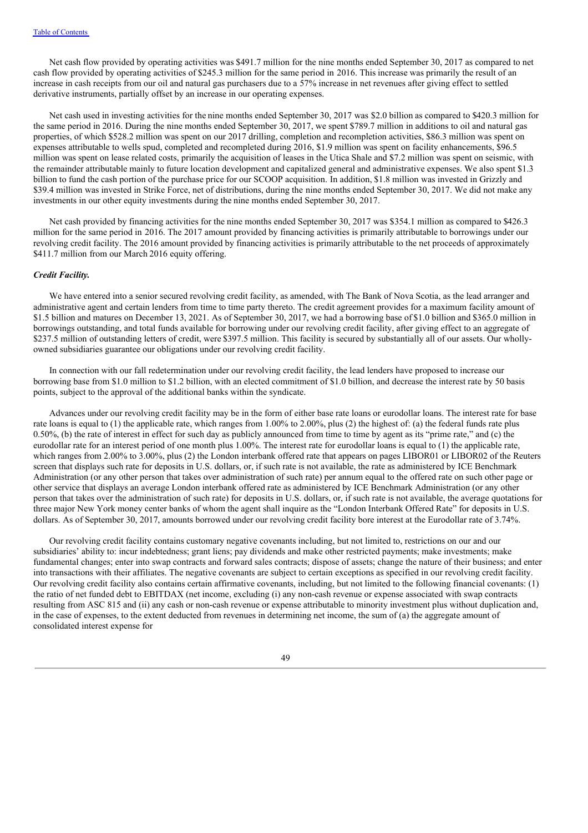Net cash flow provided by operating activities was \$491.7 million for the nine months ended September 30, 2017 as compared to net cash flow provided by operating activities of \$245.3 million for the same period in 2016. This increase was primarily the result of an increase in cash receipts from our oil and natural gas purchasers due to a 57% increase in net revenues after giving effect to settled derivative instruments, partially offset by an increase in our operating expenses.

Net cash used in investing activities for the nine months ended September 30, 2017 was \$2.0 billion as compared to \$420.3 million for the same period in 2016. During the nine months ended September 30, 2017, we spent \$789.7 million in additions to oil and natural gas properties, of which \$528.2 million was spent on our 2017 drilling, completion and recompletion activities, \$86.3 million was spent on expenses attributable to wells spud, completed and recompleted during 2016, \$1.9 million was spent on facility enhancements, \$96.5 million was spent on lease related costs, primarily the acquisition of leases in the Utica Shale and \$7.2 million was spent on seismic, with the remainder attributable mainly to future location development and capitalized general and administrative expenses. We also spent \$1.3 billion to fund the cash portion of the purchase price for our SCOOP acquisition. In addition, \$1.8 million was invested in Grizzly and \$39.4 million was invested in Strike Force, net of distributions, during the nine months ended September 30, 2017. We did not make any investments in our other equity investments during the nine months ended September 30, 2017.

Net cash provided by financing activities for the nine months ended September 30, 2017 was \$354.1 million as compared to \$426.3 million for the same period in 2016. The 2017 amount provided by financing activities is primarily attributable to borrowings under our revolving credit facility. The 2016 amount provided by financing activities is primarily attributable to the net proceeds of approximately \$411.7 million from our March 2016 equity offering.

#### *Credit Facility.*

We have entered into a senior secured revolving credit facility, as amended, with The Bank of Nova Scotia, as the lead arranger and administrative agent and certain lenders from time to time party thereto. The credit agreement provides for a maximum facility amount of \$1.5 billion and matures on December 13, 2021. As of September 30, 2017, we had a borrowing base of\$1.0 billion and \$365.0 million in borrowings outstanding, and total funds available for borrowing under our revolving credit facility, after giving effect to an aggregate of \$237.5 million of outstanding letters of credit, were \$397.5 million. This facility is secured by substantially all of our assets. Our whollyowned subsidiaries guarantee our obligations under our revolving credit facility.

In connection with our fall redetermination under our revolving credit facility, the lead lenders have proposed to increase our borrowing base from \$1.0 million to \$1.2 billion, with an elected commitment of \$1.0 billion, and decrease the interest rate by 50 basis points, subject to the approval of the additional banks within the syndicate.

Advances under our revolving credit facility may be in the form of either base rate loans or eurodollar loans. The interest rate for base rate loans is equal to (1) the applicable rate, which ranges from 1.00% to 2.00%, plus (2) the highest of: (a) the federal funds rate plus 0.50%, (b) the rate of interest in effect for such day as publicly announced from time to time by agent as its "prime rate," and (c) the eurodollar rate for an interest period of one month plus 1.00%. The interest rate for eurodollar loans is equal to (1) the applicable rate, which ranges from 2.00% to 3.00%, plus (2) the London interbank offered rate that appears on pages LIBOR01 or LIBOR02 of the Reuters screen that displays such rate for deposits in U.S. dollars, or, if such rate is not available, the rate as administered by ICE Benchmark Administration (or any other person that takes over administration of such rate) per annum equal to the offered rate on such other page or other service that displays an average London interbank offered rate as administered by ICE Benchmark Administration (or any other person that takes over the administration of such rate) for deposits in U.S. dollars, or, if such rate is not available, the average quotations for three major New York money center banks of whom the agent shall inquire as the "London Interbank Offered Rate" for deposits in U.S. dollars. As of September 30, 2017, amounts borrowed under our revolving credit facility bore interest at the Eurodollar rate of 3.74%.

Our revolving credit facility contains customary negative covenants including, but not limited to, restrictions on our and our subsidiaries' ability to: incur indebtedness; grant liens; pay dividends and make other restricted payments; make investments; make fundamental changes; enter into swap contracts and forward sales contracts; dispose of assets; change the nature of their business; and enter into transactions with their affiliates. The negative covenants are subject to certain exceptions as specified in our revolving credit facility. Our revolving credit facility also contains certain affirmative covenants, including, but not limited to the following financial covenants: (1) the ratio of net funded debt to EBITDAX (net income, excluding (i) any non-cash revenue or expense associated with swap contracts resulting from ASC 815 and (ii) any cash or non-cash revenue or expense attributable to minority investment plus without duplication and, in the case of expenses, to the extent deducted from revenues in determining net income, the sum of (a) the aggregate amount of consolidated interest expense for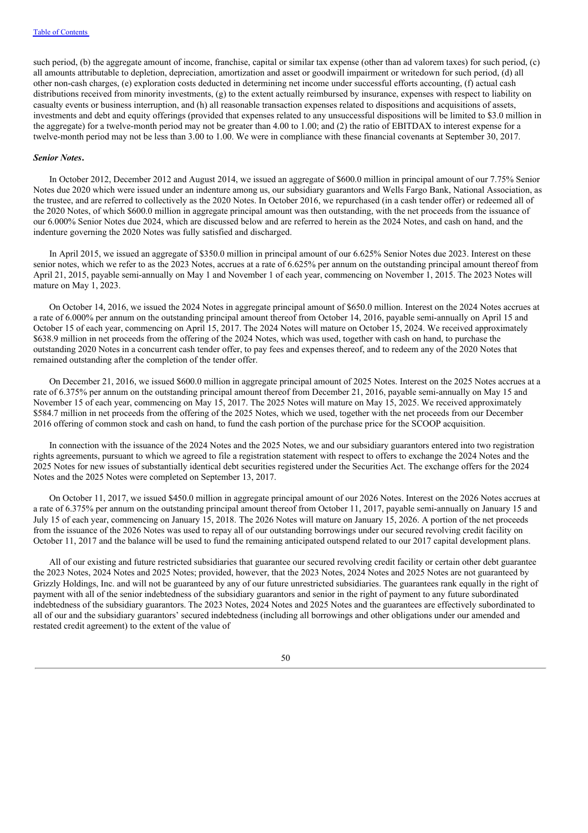such period, (b) the aggregate amount of income, franchise, capital or similar tax expense (other than ad valorem taxes) for such period, (c) all amounts attributable to depletion, depreciation, amortization and asset or goodwill impairment or writedown for such period, (d) all other non-cash charges, (e) exploration costs deducted in determining net income under successful efforts accounting, (f) actual cash distributions received from minority investments, (g) to the extent actually reimbursed by insurance, expenses with respect to liability on casualty events or business interruption, and (h) all reasonable transaction expenses related to dispositions and acquisitions of assets, investments and debt and equity offerings (provided that expenses related to any unsuccessful dispositions will be limited to \$3.0 million in the aggregate) for a twelve-month period may not be greater than 4.00 to 1.00; and (2) the ratio of EBITDAX to interest expense for a twelve-month period may not be less than 3.00 to 1.00. We were in compliance with these financial covenants at September 30, 2017.

#### *Senior Notes***.**

In October 2012, December 2012 and August 2014, we issued an aggregate of \$600.0 million in principal amount of our 7.75% Senior Notes due 2020 which were issued under an indenture among us, our subsidiary guarantors and Wells Fargo Bank, National Association, as the trustee, and are referred to collectively as the 2020 Notes. In October 2016, we repurchased (in a cash tender offer) or redeemed all of the 2020 Notes, of which \$600.0 million in aggregate principal amount was then outstanding, with the net proceeds from the issuance of our 6.000% Senior Notes due 2024, which are discussed below and are referred to herein as the 2024 Notes, and cash on hand, and the indenture governing the 2020 Notes was fully satisfied and discharged.

In April 2015, we issued an aggregate of \$350.0 million in principal amount of our 6.625% Senior Notes due 2023. Interest on these senior notes, which we refer to as the 2023 Notes, accrues at a rate of 6.625% per annum on the outstanding principal amount thereof from April 21, 2015, payable semi-annually on May 1 and November 1 of each year, commencing on November 1, 2015. The 2023 Notes will mature on May 1, 2023.

On October 14, 2016, we issued the 2024 Notes in aggregate principal amount of \$650.0 million. Interest on the 2024 Notes accrues at a rate of 6.000% per annum on the outstanding principal amount thereof from October 14, 2016, payable semi-annually on April 15 and October 15 of each year, commencing on April 15, 2017. The 2024 Notes will mature on October 15, 2024. We received approximately \$638.9 million in net proceeds from the offering of the 2024 Notes, which was used, together with cash on hand, to purchase the outstanding 2020 Notes in a concurrent cash tender offer, to pay fees and expenses thereof, and to redeem any of the 2020 Notes that remained outstanding after the completion of the tender offer.

On December 21, 2016, we issued \$600.0 million in aggregate principal amount of 2025 Notes. Interest on the 2025 Notes accrues at a rate of 6.375% per annum on the outstanding principal amount thereof from December 21, 2016, payable semi-annually on May 15 and November 15 of each year, commencing on May 15, 2017. The 2025 Notes will mature on May 15, 2025. We received approximately \$584.7 million in net proceeds from the offering of the 2025 Notes, which we used, together with the net proceeds from our December 2016 offering of common stock and cash on hand, to fund the cash portion of the purchase price for the SCOOP acquisition.

In connection with the issuance of the 2024 Notes and the 2025 Notes, we and our subsidiary guarantors entered into two registration rights agreements, pursuant to which we agreed to file a registration statement with respect to offers to exchange the 2024 Notes and the 2025 Notes for new issues of substantially identical debt securities registered under the Securities Act. The exchange offers for the 2024 Notes and the 2025 Notes were completed on September 13, 2017.

On October 11, 2017, we issued \$450.0 million in aggregate principal amount of our 2026 Notes. Interest on the 2026 Notes accrues at a rate of 6.375% per annum on the outstanding principal amount thereof from October 11, 2017, payable semi-annually on January 15 and July 15 of each year, commencing on January 15, 2018. The 2026 Notes will mature on January 15, 2026. A portion of the net proceeds from the issuance of the 2026 Notes was used to repay all of our outstanding borrowings under our secured revolving credit facility on October 11, 2017 and the balance will be used to fund the remaining anticipated outspend related to our 2017 capital development plans.

All of our existing and future restricted subsidiaries that guarantee our secured revolving credit facility or certain other debt guarantee the 2023 Notes, 2024 Notes and 2025 Notes; provided, however, that the 2023 Notes, 2024 Notes and 2025 Notes are not guaranteed by Grizzly Holdings, Inc. and will not be guaranteed by any of our future unrestricted subsidiaries. The guarantees rank equally in the right of payment with all of the senior indebtedness of the subsidiary guarantors and senior in the right of payment to any future subordinated indebtedness of the subsidiary guarantors. The 2023 Notes, 2024 Notes and 2025 Notes and the guarantees are effectively subordinated to all of our and the subsidiary guarantors' secured indebtedness (including all borrowings and other obligations under our amended and restated credit agreement) to the extent of the value of

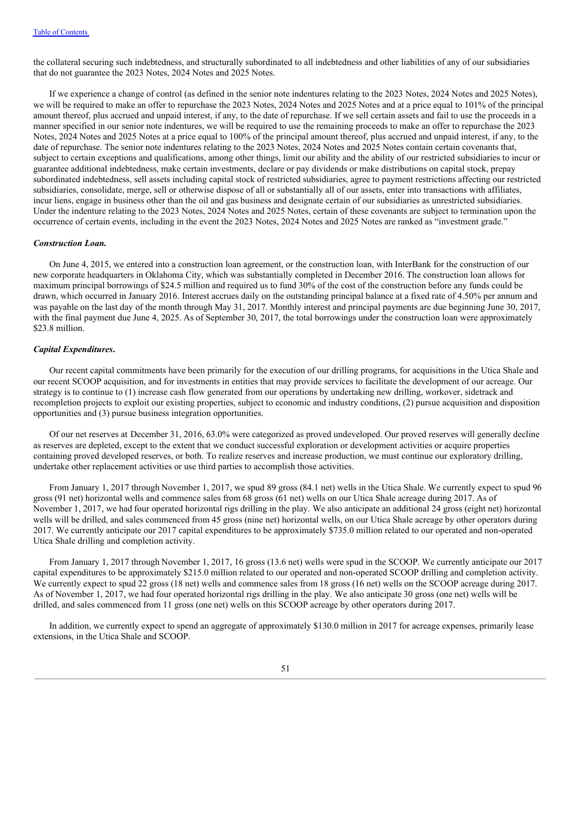the collateral securing such indebtedness, and structurally subordinated to all indebtedness and other liabilities of any of our subsidiaries that do not guarantee the 2023 Notes, 2024 Notes and 2025 Notes.

If we experience a change of control (as defined in the senior note indentures relating to the 2023 Notes, 2024 Notes and 2025 Notes), we will be required to make an offer to repurchase the 2023 Notes, 2024 Notes and 2025 Notes and at a price equal to 101% of the principal amount thereof, plus accrued and unpaid interest, if any, to the date of repurchase. If we sell certain assets and fail to use the proceeds in a manner specified in our senior note indentures, we will be required to use the remaining proceeds to make an offer to repurchase the 2023 Notes, 2024 Notes and 2025 Notes at a price equal to 100% of the principal amount thereof, plus accrued and unpaid interest, if any, to the date of repurchase. The senior note indentures relating to the 2023 Notes, 2024 Notes and 2025 Notes contain certain covenants that, subject to certain exceptions and qualifications, among other things, limit our ability and the ability of our restricted subsidiaries to incur or guarantee additional indebtedness, make certain investments, declare or pay dividends or make distributions on capital stock, prepay subordinated indebtedness, sell assets including capital stock of restricted subsidiaries, agree to payment restrictions affecting our restricted subsidiaries, consolidate, merge, sell or otherwise dispose of all or substantially all of our assets, enter into transactions with affiliates, incur liens, engage in business other than the oil and gas business and designate certain of our subsidiaries as unrestricted subsidiaries. Under the indenture relating to the 2023 Notes, 2024 Notes and 2025 Notes, certain of these covenants are subject to termination upon the occurrence of certain events, including in the event the 2023 Notes, 2024 Notes and 2025 Notes are ranked as "investment grade."

#### *Construction Loan.*

On June 4, 2015, we entered into a construction loan agreement, or the construction loan, with InterBank for the construction of our new corporate headquarters in Oklahoma City, which was substantially completed in December 2016. The construction loan allows for maximum principal borrowings of \$24.5 million and required us to fund 30% of the cost of the construction before any funds could be drawn, which occurred in January 2016. Interest accrues daily on the outstanding principal balance at a fixed rate of 4.50% per annum and was payable on the last day of the month through May 31, 2017. Monthly interest and principal payments are due beginning June 30, 2017, with the final payment due June 4, 2025. As of September 30, 2017, the total borrowings under the construction loan were approximately \$23.8 million.

#### *Capital Expenditures***.**

Our recent capital commitments have been primarily for the execution of our drilling programs, for acquisitions in the Utica Shale and our recent SCOOP acquisition, and for investments in entities that may provide services to facilitate the development of our acreage. Our strategy is to continue to (1) increase cash flow generated from our operations by undertaking new drilling, workover, sidetrack and recompletion projects to exploit our existing properties, subject to economic and industry conditions, (2) pursue acquisition and disposition opportunities and (3) pursue business integration opportunities.

Of our net reserves at December 31, 2016, 63.0% were categorized as proved undeveloped. Our proved reserves will generally decline as reserves are depleted, except to the extent that we conduct successful exploration or development activities or acquire properties containing proved developed reserves, or both. To realize reserves and increase production, we must continue our exploratory drilling, undertake other replacement activities or use third parties to accomplish those activities.

From January 1, 2017 through November 1, 2017, we spud 89 gross (84.1 net) wells in the Utica Shale. We currently expect to spud 96 gross (91 net) horizontal wells and commence sales from 68 gross (61 net) wells on our Utica Shale acreage during 2017. As of November 1, 2017, we had four operated horizontal rigs drilling in the play. We also anticipate an additional 24 gross (eight net) horizontal wells will be drilled, and sales commenced from 45 gross (nine net) horizontal wells, on our Utica Shale acreage by other operators during 2017. We currently anticipate our 2017 capital expenditures to be approximately \$735.0 million related to our operated and non-operated Utica Shale drilling and completion activity.

From January 1, 2017 through November 1, 2017, 16 gross (13.6 net) wells were spud in the SCOOP. We currently anticipate our 2017 capital expenditures to be approximately \$215.0 million related to our operated and non-operated SCOOP drilling and completion activity. We currently expect to spud 22 gross (18 net) wells and commence sales from 18 gross (16 net) wells on the SCOOP acreage during 2017. As of November 1, 2017, we had four operated horizontal rigs drilling in the play. We also anticipate 30 gross (one net) wells will be drilled, and sales commenced from 11 gross (one net) wells on this SCOOP acreage by other operators during 2017.

In addition, we currently expect to spend an aggregate of approximately \$130.0 million in 2017 for acreage expenses, primarily lease extensions, in the Utica Shale and SCOOP.

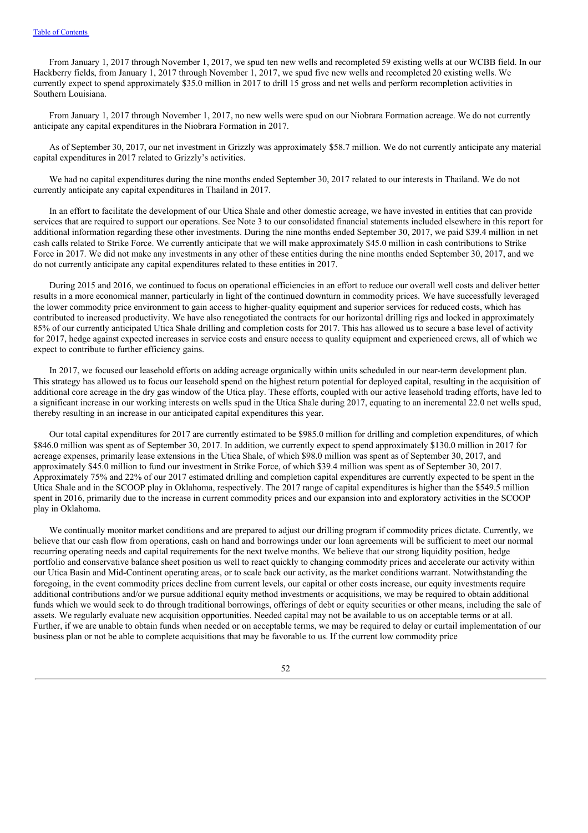From January 1, 2017 through November 1, 2017, we spud ten new wells and recompleted 59 existing wells at our WCBB field. In our Hackberry fields, from January 1, 2017 through November 1, 2017, we spud five new wells and recompleted 20 existing wells. We currently expect to spend approximately \$35.0 million in 2017 to drill 15 gross and net wells and perform recompletion activities in Southern Louisiana.

From January 1, 2017 through November 1, 2017, no new wells were spud on our Niobrara Formation acreage. We do not currently anticipate any capital expenditures in the Niobrara Formation in 2017.

As of September 30, 2017, our net investment in Grizzly was approximately \$58.7 million. We do not currently anticipate any material capital expenditures in 2017 related to Grizzly's activities.

We had no capital expenditures during the nine months ended September 30, 2017 related to our interests in Thailand. We do not currently anticipate any capital expenditures in Thailand in 2017.

In an effort to facilitate the development of our Utica Shale and other domestic acreage, we have invested in entities that can provide services that are required to support our operations. See Note 3 to our consolidated financial statements included elsewhere in this report for additional information regarding these other investments. During the nine months ended September 30, 2017, we paid \$39.4 million in net cash calls related to Strike Force. We currently anticipate that we will make approximately \$45.0 million in cash contributions to Strike Force in 2017. We did not make any investments in any other of these entities during the nine months ended September 30, 2017, and we do not currently anticipate any capital expenditures related to these entities in 2017.

During 2015 and 2016, we continued to focus on operational efficiencies in an effort to reduce our overall well costs and deliver better results in a more economical manner, particularly in light of the continued downturn in commodity prices. We have successfully leveraged the lower commodity price environment to gain access to higher-quality equipment and superior services for reduced costs, which has contributed to increased productivity. We have also renegotiated the contracts for our horizontal drilling rigs and locked in approximately 85% of our currently anticipated Utica Shale drilling and completion costs for 2017. This has allowed us to secure a base level of activity for 2017, hedge against expected increases in service costs and ensure access to quality equipment and experienced crews, all of which we expect to contribute to further efficiency gains.

In 2017, we focused our leasehold efforts on adding acreage organically within units scheduled in our near-term development plan. This strategy has allowed us to focus our leasehold spend on the highest return potential for deployed capital, resulting in the acquisition of additional core acreage in the dry gas window of the Utica play. These efforts, coupled with our active leasehold trading efforts, have led to a significant increase in our working interests on wells spud in the Utica Shale during 2017, equating to an incremental 22.0 net wells spud, thereby resulting in an increase in our anticipated capital expenditures this year.

Our total capital expenditures for 2017 are currently estimated to be \$985.0 million for drilling and completion expenditures, of which \$846.0 million was spent as of September 30, 2017. In addition, we currently expect to spend approximately \$130.0 million in 2017 for acreage expenses, primarily lease extensions in the Utica Shale, of which \$98.0 million was spent as of September 30, 2017, and approximately \$45.0 million to fund our investment in Strike Force, of which \$39.4 million was spent as of September 30, 2017. Approximately 75% and 22% of our 2017 estimated drilling and completion capital expenditures are currently expected to be spent in the Utica Shale and in the SCOOP play in Oklahoma, respectively. The 2017 range of capital expenditures is higher than the \$549.5 million spent in 2016, primarily due to the increase in current commodity prices and our expansion into and exploratory activities in the SCOOP play in Oklahoma.

We continually monitor market conditions and are prepared to adjust our drilling program if commodity prices dictate. Currently, we believe that our cash flow from operations, cash on hand and borrowings under our loan agreements will be sufficient to meet our normal recurring operating needs and capital requirements for the next twelve months. We believe that our strong liquidity position, hedge portfolio and conservative balance sheet position us well to react quickly to changing commodity prices and accelerate our activity within our Utica Basin and Mid-Continent operating areas, or to scale back our activity, as the market conditions warrant. Notwithstanding the foregoing, in the event commodity prices decline from current levels, our capital or other costs increase, our equity investments require additional contributions and/or we pursue additional equity method investments or acquisitions, we may be required to obtain additional funds which we would seek to do through traditional borrowings, offerings of debt or equity securities or other means, including the sale of assets. We regularly evaluate new acquisition opportunities. Needed capital may not be available to us on acceptable terms or at all. Further, if we are unable to obtain funds when needed or on acceptable terms, we may be required to delay or curtail implementation of our business plan or not be able to complete acquisitions that may be favorable to us. If the current low commodity price

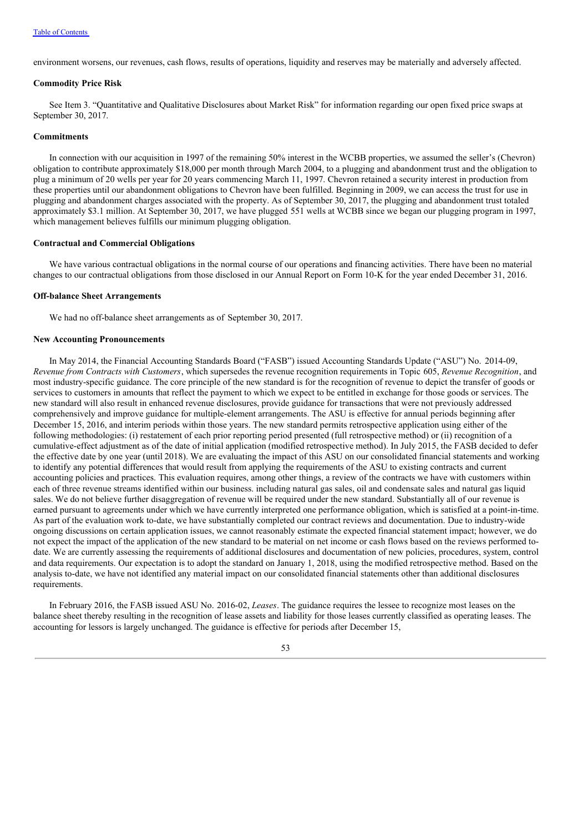environment worsens, our revenues, cash flows, results of operations, liquidity and reserves may be materially and adversely affected.

#### **Commodity Price Risk**

See Item 3. "Quantitative and Qualitative Disclosures about Market Risk" for information regarding our open fixed price swaps at September 30, 2017.

#### **Commitments**

In connection with our acquisition in 1997 of the remaining 50% interest in the WCBB properties, we assumed the seller's (Chevron) obligation to contribute approximately \$18,000 per month through March 2004, to a plugging and abandonment trust and the obligation to plug a minimum of 20 wells per year for 20 years commencing March 11, 1997. Chevron retained a security interest in production from these properties until our abandonment obligations to Chevron have been fulfilled. Beginning in 2009, we can access the trust for use in plugging and abandonment charges associated with the property. As of September 30, 2017, the plugging and abandonment trust totaled approximately \$3.1 million. At September 30, 2017, we have plugged 551 wells at WCBB since we began our plugging program in 1997, which management believes fulfills our minimum plugging obligation.

#### **Contractual and Commercial Obligations**

We have various contractual obligations in the normal course of our operations and financing activities. There have been no material changes to our contractual obligations from those disclosed in our Annual Report on Form 10-K for the year ended December 31, 2016.

#### **Off-balance Sheet Arrangements**

We had no off-balance sheet arrangements as of September 30, 2017.

#### **New Accounting Pronouncements**

In May 2014, the Financial Accounting Standards Board ("FASB") issued Accounting Standards Update ("ASU") No. 2014-09, *Revenue from Contracts with Customers*, which supersedes the revenue recognition requirements in Topic 605, *Revenue Recognition*, and most industry-specific guidance. The core principle of the new standard is for the recognition of revenue to depict the transfer of goods or services to customers in amounts that reflect the payment to which we expect to be entitled in exchange for those goods or services. The new standard will also result in enhanced revenue disclosures, provide guidance for transactions that were not previously addressed comprehensively and improve guidance for multiple-element arrangements. The ASU is effective for annual periods beginning after December 15, 2016, and interim periods within those years. The new standard permits retrospective application using either of the following methodologies: (i) restatement of each prior reporting period presented (full retrospective method) or (ii) recognition of a cumulative-effect adjustment as of the date of initial application (modified retrospective method). In July 2015, the FASB decided to defer the effective date by one year (until 2018). We are evaluating the impact of this ASU on our consolidated financial statements and working to identify any potential differences that would result from applying the requirements of the ASU to existing contracts and current accounting policies and practices. This evaluation requires, among other things, a review of the contracts we have with customers within each of three revenue streams identified within our business. including natural gas sales, oil and condensate sales and natural gas liquid sales. We do not believe further disaggregation of revenue will be required under the new standard. Substantially all of our revenue is earned pursuant to agreements under which we have currently interpreted one performance obligation, which is satisfied at a point-in-time. As part of the evaluation work to-date, we have substantially completed our contract reviews and documentation. Due to industry-wide ongoing discussions on certain application issues, we cannot reasonably estimate the expected financial statement impact; however, we do not expect the impact of the application of the new standard to be material on net income or cash flows based on the reviews performed todate. We are currently assessing the requirements of additional disclosures and documentation of new policies, procedures, system, control and data requirements. Our expectation is to adopt the standard on January 1, 2018, using the modified retrospective method. Based on the analysis to-date, we have not identified any material impact on our consolidated financial statements other than additional disclosures requirements.

In February 2016, the FASB issued ASU No. 2016-02, *Leases*. The guidance requires the lessee to recognize most leases on the balance sheet thereby resulting in the recognition of lease assets and liability for those leases currently classified as operating leases. The accounting for lessors is largely unchanged. The guidance is effective for periods after December 15,

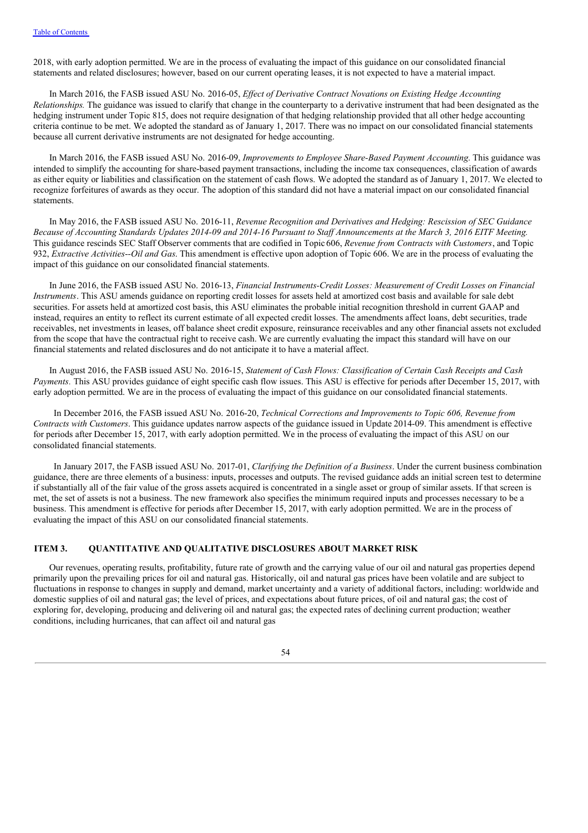2018, with early adoption permitted. We are in the process of evaluating the impact of this guidance on our consolidated financial statements and related disclosures; however, based on our current operating leases, it is not expected to have a material impact.

In March 2016, the FASB issued ASU No. 2016-05, *Ef ect of Derivative Contract Novations on Existing Hedge Accounting Relationships.* The guidance was issued to clarify that change in the counterparty to a derivative instrument that had been designated as the hedging instrument under Topic 815, does not require designation of that hedging relationship provided that all other hedge accounting criteria continue to be met. We adopted the standard as of January 1, 2017. There was no impact on our consolidated financial statements because all current derivative instruments are not designated for hedge accounting.

In March 2016, the FASB issued ASU No. 2016-09, *Improvements to Employee Share-Based Payment Accounting*. This guidance was intended to simplify the accounting for share-based payment transactions, including the income tax consequences, classification of awards as either equity or liabilities and classification on the statement of cash flows. We adopted the standard as of January 1, 2017. We elected to recognize forfeitures of awards as they occur. The adoption of this standard did not have a material impact on our consolidated financial statements.

In May 2016, the FASB issued ASU No. 2016-11, *Revenue Recognition and Derivatives and Hedging: Rescission of SEC Guidance* Because of Accounting Standards Updates 2014-09 and 2014-16 Pursuant to Staff Announcements at the March 3, 2016 EITF Meeting. This guidance rescinds SEC Staff Observer comments that are codified in Topic606, *Revenue from Contracts with Customers*, and Topic 932, *Extractive Activities--Oil and Gas*. This amendment is effective upon adoption of Topic 606. We are in the process of evaluating the impact of this guidance on our consolidated financial statements.

In June 2016, the FASB issued ASU No. 2016-13, *Financial Instruments-Credit Losses: Measurement of Credit Losses on Financial Instruments*. This ASU amends guidance on reporting credit losses for assets held at amortized cost basis and available for sale debt securities. For assets held at amortized cost basis, this ASU eliminates the probable initial recognition threshold in current GAAP and instead, requires an entity to reflect its current estimate of all expected credit losses. The amendments affect loans, debt securities, trade receivables, net investments in leases, off balance sheet credit exposure, reinsurance receivables and any other financial assets not excluded from the scope that have the contractual right to receive cash. We are currently evaluating the impact this standard will have on our financial statements and related disclosures and do not anticipate it to have a material affect.

In August 2016, the FASB issued ASU No. 2016-15, *Statement of Cash Flows: Classification of Certain Cash Receipts and Cash Payments.* This ASU provides guidance of eight specific cash flow issues. This ASU is effective for periods after December 15, 2017, with early adoption permitted. We are in the process of evaluating the impact of this guidance on our consolidated financial statements.

In December 2016, the FASB issued ASU No. 2016-20, *Technical Corrections and Improvements to Topic 606, Revenue from Contracts with Customers*. This guidance updates narrow aspects of the guidance issued in Update 2014-09. This amendment is effective for periods after December 15, 2017, with early adoption permitted. We in the process of evaluating the impact of this ASU on our consolidated financial statements.

In January 2017, the FASB issued ASU No. 2017-01, *Clarifying the Definition of a Business*. Under the current business combination guidance, there are three elements of a business: inputs, processes and outputs. The revised guidance adds an initial screen test to determine if substantially all of the fair value of the gross assets acquired is concentrated in a single asset or group of similar assets. If that screen is met, the set of assets is not a business. The new framework also specifies the minimum required inputs and processes necessary to be a business. This amendment is effective for periods after December 15, 2017, with early adoption permitted. We are in the process of evaluating the impact of this ASU on our consolidated financial statements.

# **ITEM 3. QUANTITATIVE AND QUALITATIVE DISCLOSURES ABOUT MARKET RISK**

Our revenues, operating results, profitability, future rate of growth and the carrying value of our oil and natural gas properties depend primarily upon the prevailing prices for oil and natural gas. Historically, oil and natural gas prices have been volatile and are subject to fluctuations in response to changes in supply and demand, market uncertainty and a variety of additional factors, including: worldwide and domestic supplies of oil and natural gas; the level of prices, and expectations about future prices, of oil and natural gas; the cost of exploring for, developing, producing and delivering oil and natural gas; the expected rates of declining current production; weather conditions, including hurricanes, that can affect oil and natural gas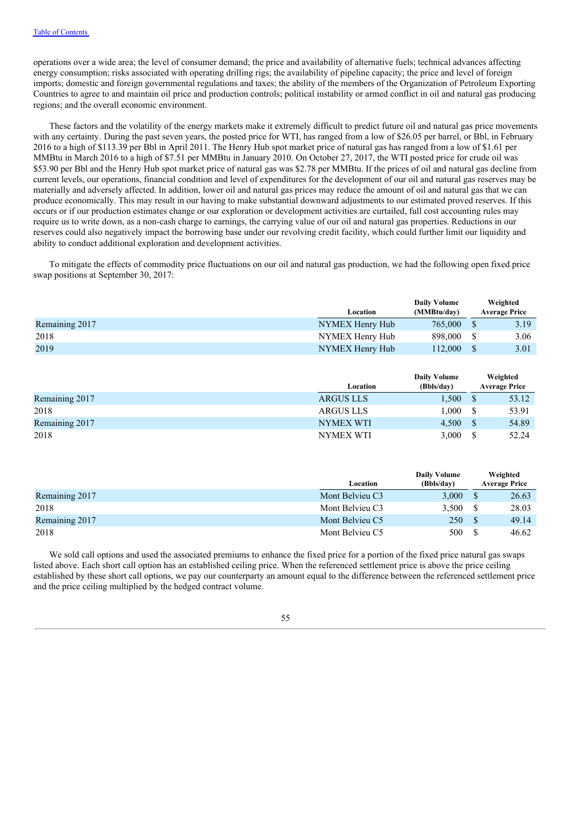operations over a wide area; the level of consumer demand; the price and availability of alternative fuels; technical advances affecting energy consumption; risks associated with operating drilling rigs; the availability of pipeline capacity; the price and level of foreign imports; domestic and foreign governmental regulations and taxes; the ability of the members of the Organization of Petroleum Exporting Countries to agree to and maintain oil price and production controls; political instability or armed conflict in oil and natural gas producing regions; and the overall economic environment.

These factors and the volatility of the energy markets make it extremely difficult to predict future oil and natural gas price movements with any certainty. During the past seven years, the posted price for WTI, has ranged from a low of \$26.05 per barrel, or Bbl, in February 2016 to a high of \$113.39 per Bbl in April 2011. The Henry Hub spot market price of natural gas has ranged from a low of \$1.61 per MMBtu in March 2016 to a high of \$7.51 per MMBtu in January 2010. On October 27, 2017, the WTI posted price for crude oil was \$53.90 per Bbl and the Henry Hub spot market price of natural gas was \$2.78 per MMBtu. If the prices of oil and natural gas decline from current levels, our operations, financial condition and level of expenditures for the development of our oil and natural gas reserves may be materially and adversely affected. In addition, lower oil and natural gas prices may reduce the amount of oil and natural gas that we can produce economically. This may result in our having to make substantial downward adjustments to our estimated proved reserves. If this occurs or if our production estimates change or our exploration or development activities are curtailed, full cost accounting rules may require us to write down, as a non-cash charge to earnings, the carrying value of our oil and natural gas properties. Reductions in our reserves could also negatively impact the borrowing base under our revolving credit facility, which could further limit our liquidity and ability to conduct additional exploration and development activities.

To mitigate the effects of commodity price fluctuations on our oil and natural gas production, we had the following open fixed price swap positions at September 30, 2017:

|                |                 | <b>Daily Volume</b> | Weighted             |
|----------------|-----------------|---------------------|----------------------|
|                | Location        | (MMBtu/day)         | <b>Average Price</b> |
| Remaining 2017 | NYMEX Henry Hub | 765,000             | 3.19                 |
| 2018           | NYMEX Henry Hub | 898,000             | 3.06                 |
| 2019           | NYMEX Henry Hub | 112.000             | 3.01                 |

|                |                  | Daily Volume |               | Weighted             |
|----------------|------------------|--------------|---------------|----------------------|
|                | Location         | (Bbls/day)   |               | <b>Average Price</b> |
| Remaining 2017 | <b>ARGUS LLS</b> | 1.500        |               | 53.12                |
| 2018           | <b>ARGUS LLS</b> | 1.000        | -S            | 53.91                |
| Remaining 2017 | NYMEX WTI        | 4.500        | -S            | 54.89                |
| 2018           | NYMEX WTI        | 3.000        | <sup>\$</sup> | 52.24                |

|                |                 | <b>Daily Volume</b> |          | Weighted             |
|----------------|-----------------|---------------------|----------|----------------------|
|                | Location        | (Bbls/day)          |          | <b>Average Price</b> |
| Remaining 2017 | Mont Belvieu C3 | 3.000               |          | 26.63                |
| 2018           | Mont Belvieu C3 | 3.500               | -S       | 28.03                |
| Remaining 2017 | Mont Belvieu C5 | 250                 | <b>S</b> | 49.14                |
| 2018           | Mont Belvieu C5 | 500                 | -S       | 46.62                |

We sold call options and used the associated premiums to enhance the fixed price for a portion of the fixed price natural gas swaps listed above. Each short call option has an established ceiling price. When the referenced settlement price is above the price ceiling established by these short call options, we pay our counterparty an amount equal to the difference between the referenced settlement price and the price ceiling multiplied by the hedged contract volume.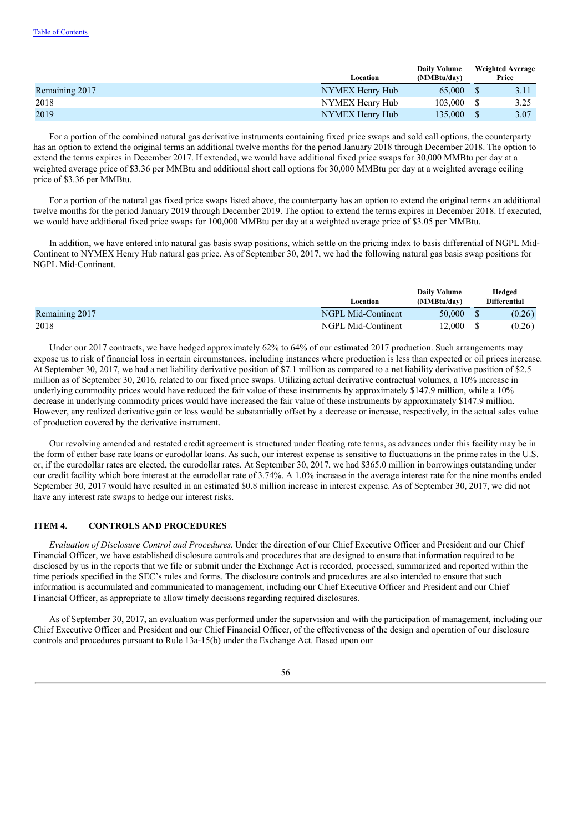|                |                 | <b>Daily Volume</b> |              | <b>Weighted Average</b> |
|----------------|-----------------|---------------------|--------------|-------------------------|
|                | Location        | (MMBtu/day)         |              | Price                   |
| Remaining 2017 | NYMEX Henry Hub | 65,000              |              | 3.11                    |
| 2018           | NYMEX Henry Hub | $103,000 \quad$ \$  |              | 3.25                    |
| 2019           | NYMEX Henry Hub | 135,000             | <sup>S</sup> | 3.07                    |

For a portion of the combined natural gas derivative instruments containing fixed price swaps and sold call options, the counterparty has an option to extend the original terms an additional twelve months for the period January 2018 through December 2018. The option to extend the terms expires in December 2017. If extended, we would have additional fixed price swaps for 30,000 MMBtu per day at a weighted average price of \$3.36 per MMBtu and additional short call options for 30,000 MMBtu per day at a weighted average ceiling price of \$3.36 per MMBtu.

For a portion of the natural gas fixed price swaps listed above, the counterparty has an option to extend the original terms an additional twelve months for the period January 2019 through December 2019. The option to extend the terms expires in December 2018. If executed, we would have additional fixed price swaps for 100,000 MMBtu per day at a weighted average price of \$3.05 per MMBtu.

In addition, we have entered into natural gas basis swap positions, which settle on the pricing index to basis differential of NGPL Mid-Continent to NYMEX Henry Hub natural gas price. As of September 30, 2017, we had the following natural gas basis swap positions for NGPL Mid-Continent.

|                | Location           | <b>Daily Volume</b><br>(MMBtu/dav) | Hedged<br><b>Differential</b> |
|----------------|--------------------|------------------------------------|-------------------------------|
| Remaining 2017 | NGPL Mid-Continent | 50,000                             | (0.26)                        |
| 2018           | NGPL Mid-Continent | 12.000                             | (0.26)                        |

Under our 2017 contracts, we have hedged approximately 62% to 64% of our estimated 2017 production. Such arrangements may expose us to risk of financial loss in certain circumstances, including instances where production is less than expected or oil prices increase. At September 30, 2017, we had a net liability derivative position of \$7.1 million as compared to a net liability derivative position of \$2.5 million as of September 30, 2016, related to our fixed price swaps. Utilizing actual derivative contractual volumes, a 10% increase in underlying commodity prices would have reduced the fair value of these instruments by approximately \$147.9 million, while a 10% decrease in underlying commodity prices would have increased the fair value of these instruments by approximately \$147.9 million. However, any realized derivative gain or loss would be substantially offset by a decrease or increase, respectively, in the actual sales value of production covered by the derivative instrument.

Our revolving amended and restated credit agreement is structured under floating rate terms, as advances under this facility may be in the form of either base rate loans or eurodollar loans. As such, our interest expense is sensitive to fluctuations in the prime rates in the U.S. or, if the eurodollar rates are elected, the eurodollar rates. At September 30, 2017, we had \$365.0 million in borrowings outstanding under our credit facility which bore interest at the eurodollar rate of 3.74%. A 1.0% increase in the average interest rate for the nine months ended September 30, 2017 would have resulted in an estimated \$0.8 million increase in interest expense. As of September 30, 2017, we did not have any interest rate swaps to hedge our interest risks.

# **ITEM 4. CONTROLS AND PROCEDURES**

*Evaluation of Disclosure Control and Procedures*. Under the direction of our Chief Executive Officer and President and our Chief Financial Officer, we have established disclosure controls and procedures that are designed to ensure that information required to be disclosed by us in the reports that we file or submit under the Exchange Act is recorded, processed, summarized and reported within the time periods specified in the SEC's rules and forms. The disclosure controls and procedures are also intended to ensure that such information is accumulated and communicated to management, including our Chief Executive Officer and President and our Chief Financial Officer, as appropriate to allow timely decisions regarding required disclosures.

As of September 30, 2017, an evaluation was performed under the supervision and with the participation of management, including our Chief Executive Officer and President and our Chief Financial Officer, of the effectiveness of the design and operation of our disclosure controls and procedures pursuant to Rule 13a-15(b) under the Exchange Act. Based upon our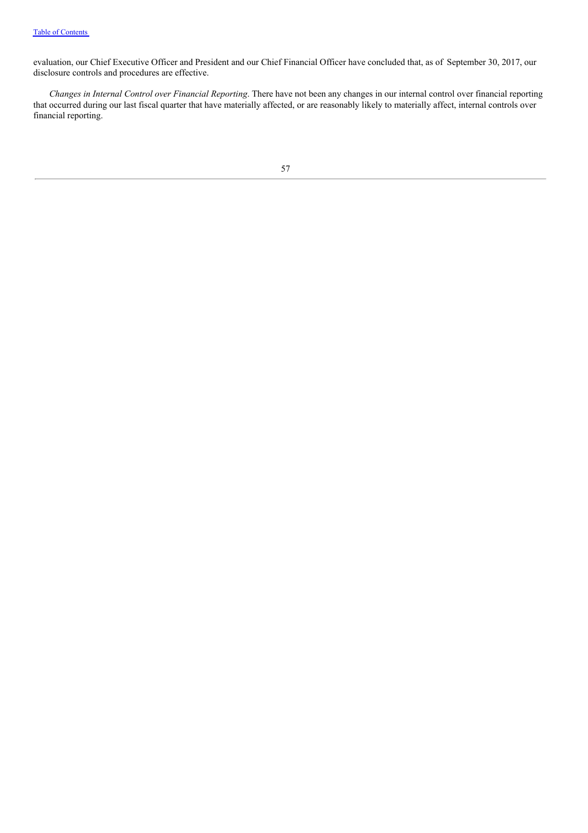evaluation, our Chief Executive Officer and President and our Chief Financial Officer have concluded that, as of September 30, 2017, our disclosure controls and procedures are effective.

*Changes in Internal Control over Financial Reporting*. There have not been any changes in our internal control over financial reporting that occurred during our last fiscal quarter that have materially affected, or are reasonably likely to materially affect, internal controls over financial reporting.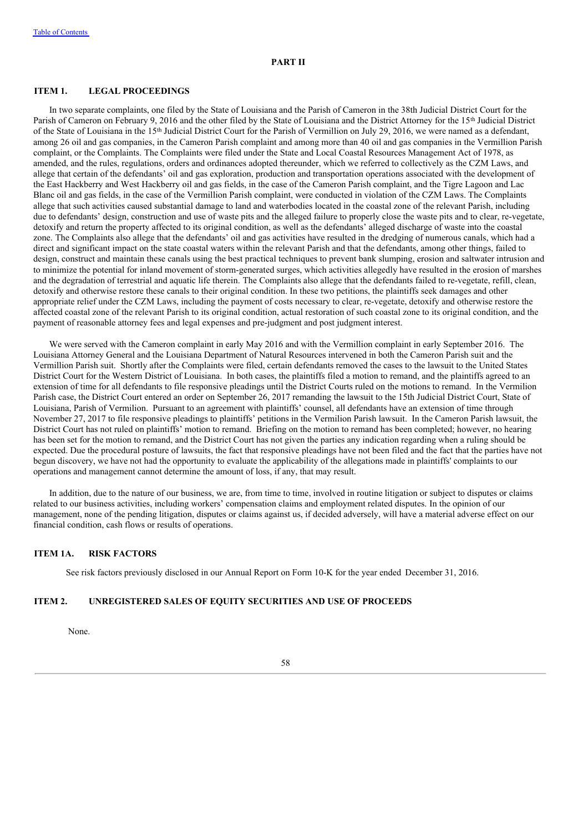### **PART II**

#### **ITEM 1. LEGAL PROCEEDINGS**

In two separate complaints, one filed by the State of Louisiana and the Parish of Cameron in the 38th Judicial District Court for the Parish of Cameron on February 9, 2016 and the other filed by the State of Louisiana and the District Attorney for the 15<sup>th</sup> Judicial District of the State of Louisiana in the 15<sup>th</sup> Judicial District Court for the Parish of Vermillion on July 29, 2016, we were named as a defendant, among 26 oil and gas companies, in the Cameron Parish complaint and among more than 40 oil and gas companies in the Vermillion Parish complaint, or the Complaints. The Complaints were filed under the State and Local Coastal Resources Management Act of 1978, as amended, and the rules, regulations, orders and ordinances adopted thereunder, which we referred to collectively as the CZM Laws, and allege that certain of the defendants' oil and gas exploration, production and transportation operations associated with the development of the East Hackberry and West Hackberry oil and gas fields, in the case of the Cameron Parish complaint, and the Tigre Lagoon and Lac Blanc oil and gas fields, in the case of the Vermillion Parish complaint, were conducted in violation of the CZM Laws. The Complaints allege that such activities caused substantial damage to land and waterbodies located in the coastal zone of the relevant Parish, including due to defendants' design, construction and use of waste pits and the alleged failure to properly close the waste pits and to clear, re-vegetate, detoxify and return the property affected to its original condition, as well as the defendants' alleged discharge of waste into the coastal zone. The Complaints also allege that the defendants' oil and gas activities have resulted in the dredging of numerous canals, which had a direct and significant impact on the state coastal waters within the relevant Parish and that the defendants, among other things, failed to design, construct and maintain these canals using the best practical techniques to prevent bank slumping, erosion and saltwater intrusion and to minimize the potential for inland movement of storm-generated surges, which activities allegedly have resulted in the erosion of marshes and the degradation of terrestrial and aquatic life therein. The Complaints also allege that the defendants failed to re-vegetate, refill, clean, detoxify and otherwise restore these canals to their original condition. In these two petitions, the plaintiffs seek damages and other appropriate relief under the CZM Laws, including the payment of costs necessary to clear, re-vegetate, detoxify and otherwise restore the affected coastal zone of the relevant Parish to its original condition, actual restoration of such coastal zone to its original condition, and the payment of reasonable attorney fees and legal expenses and pre-judgment and post judgment interest.

We were served with the Cameron complaint in early May 2016 and with the Vermillion complaint in early September 2016. The Louisiana Attorney General and the Louisiana Department of Natural Resources intervened in both the Cameron Parish suit and the Vermillion Parish suit. Shortly after the Complaints were filed, certain defendants removed the cases to the lawsuit to the United States District Court for the Western District of Louisiana. In both cases, the plaintiffs filed a motion to remand, and the plaintiffs agreed to an extension of time for all defendants to file responsive pleadings until the District Courts ruled on the motions to remand. In the Vermilion Parish case, the District Court entered an order on September 26, 2017 remanding the lawsuit to the 15th Judicial District Court, State of Louisiana, Parish of Vermilion. Pursuant to an agreement with plaintiffs' counsel, all defendants have an extension of time through November 27, 2017 to file responsive pleadings to plaintiffs' petitions in the Vermilion Parish lawsuit. In the Cameron Parish lawsuit, the District Court has not ruled on plaintiffs' motion to remand. Briefing on the motion to remand has been completed; however, no hearing has been set for the motion to remand, and the District Court has not given the parties any indication regarding when a ruling should be expected. Due the procedural posture of lawsuits, the fact that responsive pleadings have not been filed and the fact that the parties have not begun discovery, we have not had the opportunity to evaluate the applicability of the allegations made in plaintiffs' complaints to our operations and management cannot determine the amount of loss, if any, that may result.

In addition, due to the nature of our business, we are, from time to time, involved in routine litigation or subject to disputes or claims related to our business activities, including workers' compensation claims and employment related disputes. In the opinion of our management, none of the pending litigation, disputes or claims against us, if decided adversely, will have a material adverse effect on our financial condition, cash flows or results of operations.

## **ITEM 1A. RISK FACTORS**

See risk factors previously disclosed in our Annual Report on Form 10-K for the year ended December 31, 2016.

# **ITEM 2. UNREGISTERED SALES OF EQUITY SECURITIES AND USE OF PROCEEDS**

None.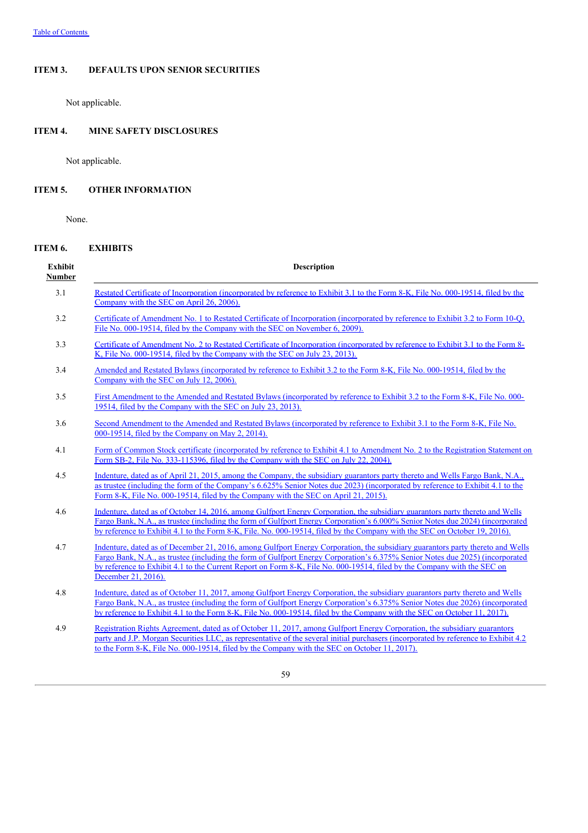### **ITEM 3. DEFAULTS UPON SENIOR SECURITIES**

Not applicable.

# **ITEM 4. MINE SAFETY DISCLOSURES**

Not applicable.

# **ITEM 5. OTHER INFORMATION**

None.

# **ITEM 6. EXHIBITS**

| <b>Exhibit</b><br><b>Number</b> | <b>Description</b>                                                                                                                                                                                                                                                                                                                                                                                                |
|---------------------------------|-------------------------------------------------------------------------------------------------------------------------------------------------------------------------------------------------------------------------------------------------------------------------------------------------------------------------------------------------------------------------------------------------------------------|
| 3.1                             | Restated Certificate of Incorporation (incorporated by reference to Exhibit 3.1 to the Form 8-K, File No. 000-19514, filed by the<br>Company with the SEC on April 26, 2006).                                                                                                                                                                                                                                     |
| 3.2                             | Certificate of Amendment No. 1 to Restated Certificate of Incorporation (incorporated by reference to Exhibit 3.2 to Form 10-Q,<br>File No. 000-19514, filed by the Company with the SEC on November 6, 2009).                                                                                                                                                                                                    |
| 3.3                             | Certificate of Amendment No. 2 to Restated Certificate of Incorporation (incorporated by reference to Exhibit 3.1 to the Form 8-<br>K, File No. 000-19514, filed by the Company with the SEC on July 23, 2013).                                                                                                                                                                                                   |
| 3.4                             | Amended and Restated Bylaws (incorporated by reference to Exhibit 3.2 to the Form 8-K, File No. 000-19514, filed by the<br>Company with the SEC on July 12, 2006).                                                                                                                                                                                                                                                |
| 3.5                             | First Amendment to the Amended and Restated Bylaws (incorporated by reference to Exhibit 3.2 to the Form 8-K, File No. 000-<br>19514, filed by the Company with the SEC on July 23, 2013).                                                                                                                                                                                                                        |
|                                 | Second Amendment to the Amended and Restated Bylaws (incorporated by reference to Exhibit 3.1 to the Form 8-K, File No.<br>000-19514, filed by the Company on May 2, 2014).                                                                                                                                                                                                                                       |
|                                 | Form of Common Stock certificate (incorporated by reference to Exhibit 4.1 to Amendment No. 2 to the Registration Statement on<br>Form SB-2, File No. 333-115396, filed by the Company with the SEC on July 22, 2004).                                                                                                                                                                                            |
|                                 | Indenture, dated as of April 21, 2015, among the Company, the subsidiary guarantors party thereto and Wells Fargo Bank, N.A.,<br>as trustee (including the form of the Company's 6.625% Senior Notes due 2023) (incorporated by reference to Exhibit 4.1 to the<br>Form 8-K, File No. 000-19514, filed by the Company with the SEC on April 21, 2015).                                                            |
|                                 | Indenture, dated as of October 14, 2016, among Gulfport Energy Corporation, the subsidiary guarantors party thereto and Wells<br>Fargo Bank, N.A., as trustee (including the form of Gulfport Energy Corporation's 6.000% Senior Notes due 2024) (incorporated<br>by reference to Exhibit 4.1 to the Form 8-K, File. No. 000-19514, filed by the Company with the SEC on October 19, 2016).                       |
|                                 | Indenture, dated as of December 21, 2016, among Gulfport Energy Corporation, the subsidiary guarantors party thereto and Wells<br>Fargo Bank, N.A., as trustee (including the form of Gulfport Energy Corporation's 6.375% Senior Notes due 2025) (incorporated<br>by reference to Exhibit 4.1 to the Current Report on Form 8-K, File No. 000-19514, filed by the Company with the SEC on<br>December 21, 2016). |
|                                 | Indenture, dated as of October 11, 2017, among Gulfport Energy Corporation, the subsidiary guarantors party thereto and Wells<br>Fargo Bank, N.A., as trustee (including the form of Gulfport Energy Corporation's 6.375% Senior Notes due 2026) (incorporated<br>by reference to Exhibit 4.1 to the Form 8-K, File No. 000-19514, filed by the Company with the SEC on October 11, 2017).                        |
|                                 | Registration Rights Agreement, dated as of October 11, 2017, among Gulfport Energy Corporation, the subsidiary guarantors<br>party and J.P. Morgan Securities LLC, as representative of the several initial purchasers (incorporated by reference to Exhibit 4.2)<br>to the Form 8-K, File No. 000-19514, filed by the Company with the SEC on October 11, 2017).                                                 |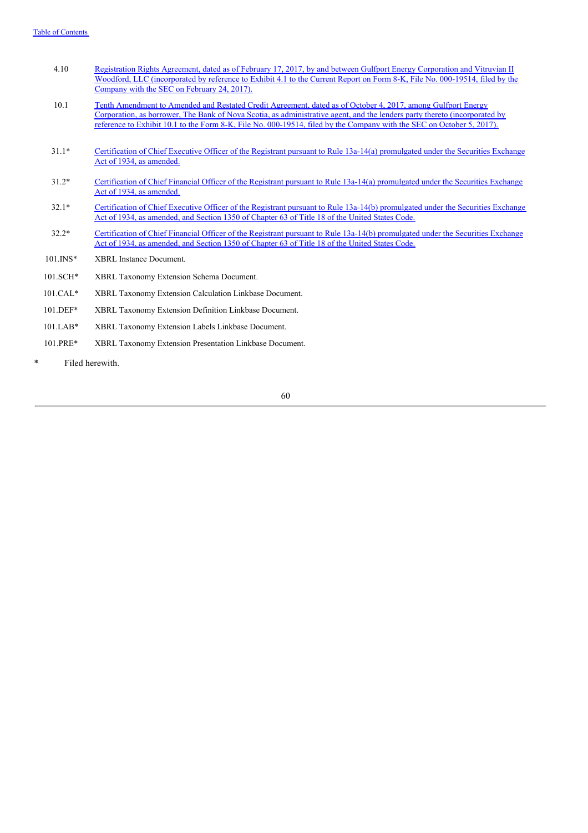| 4.10 | Registration Rights Agreement, dated as of February 17, 2017, by and between Gulfport Energy Corporation and Vitruvian II   |
|------|-----------------------------------------------------------------------------------------------------------------------------|
|      | Woodford, LLC (incorporated by reference to Exhibit 4.1 to the Current Report on Form 8-K, File No. 000-19514, filed by the |
|      | Company with the SEC on February 24, 2017).                                                                                 |

- 10.1 Tenth Amendment to Amended and Restated Credit Agreement, dated as of October 4, 2017, among Gulfport Energy Corporation, as borrower, The Bank of Nova Scotia, as [administrative](http://www.sec.gov/Archives/edgar/data/874499/000119312517303877/d467491dex101.htm) agent, and the lenders party thereto (incorporated by reference to Exhibit 10.1 to the Form 8-K, File No. 000-19514, filed by the Company with the SEC on October 5, 2017).
- 31.1\* Certification of Chief Executive Officer of the Registrant pursuant to Rule 13a-14(a) promulgated under the Securities Exchange Act of 1934, as amended.
- 31.2\* Certification of Chief Financial Officer of the Registrant pursuant to Rule 13a-14(a) promulgated under the Securities Exchange Act of 1934, as amended.
- 32.1\* Certification of Chief Executive Officer of the Registrant pursuant to Rule 13a-14(b) promulgated under the Securities Exchange Act of 1934, as amended, and Section 1350 of Chapter 63 of Title 18 of the United States Code.
- 32.2\* Certification of Chief Financial Officer of the Registrant pursuant to Rule 13a-14(b) promulgated under the Securities Exchange Act of 1934, as amended, and Section 1350 of Chapter 63 of Title 18 of the United States Code.
- 101.INS\* XBRL Instance Document.
- 101.SCH\* XBRL Taxonomy Extension Schema Document.
- 101.CAL\* XBRL Taxonomy Extension Calculation Linkbase Document.
- 101.DEF\* XBRL Taxonomy Extension Definition Linkbase Document.
- 101.LAB\* XBRL Taxonomy Extension Labels Linkbase Document.
- 101.PRE\* XBRL Taxonomy Extension Presentation Linkbase Document.
- \* Filed herewith.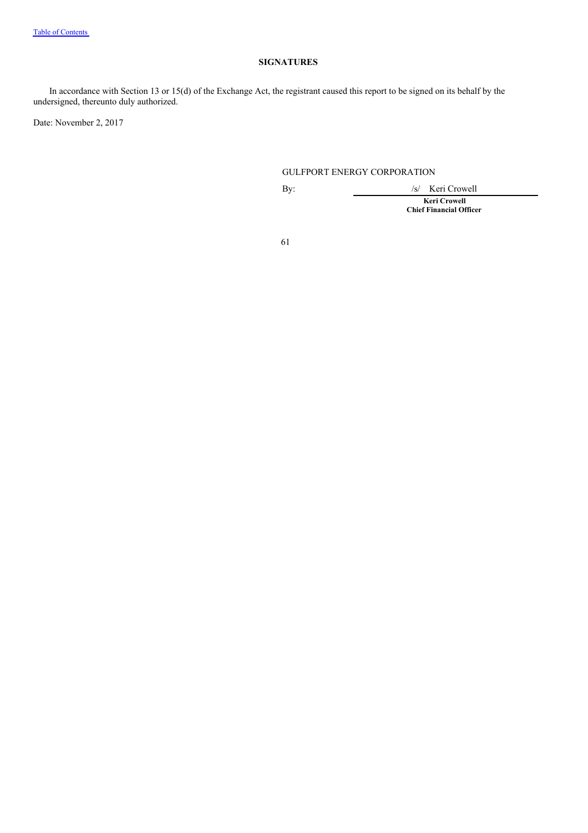# **SIGNATURES**

In accordance with Section 13 or 15(d) of the Exchange Act, the registrant caused this report to be signed on its behalf by the undersigned, thereunto duly authorized.

Date: November 2, 2017

# GULFPORT ENERGY CORPORATION

By: /s/ Keri Crowell **Keri Crowell Chief Financial Officer**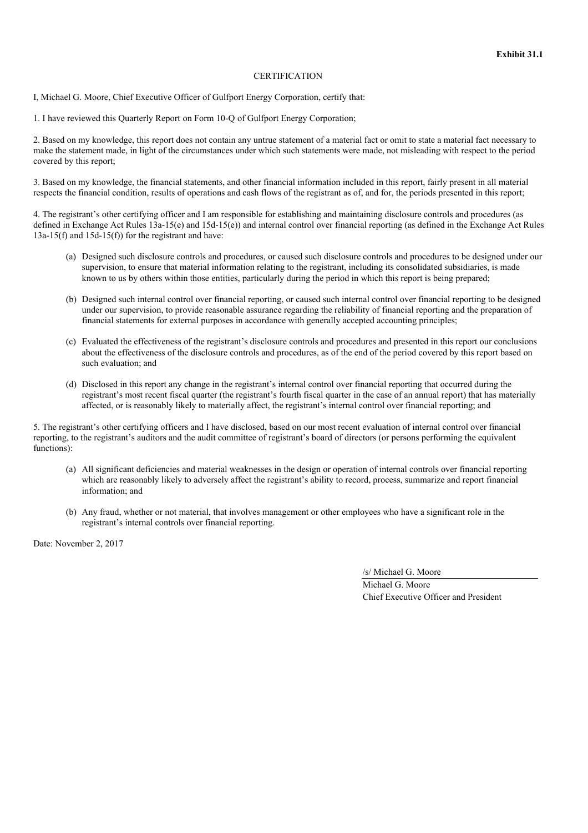#### **CERTIFICATION**

I, Michael G. Moore, Chief Executive Officer of Gulfport Energy Corporation, certify that:

1. I have reviewed this Quarterly Report on Form 10-Q of Gulfport Energy Corporation;

2. Based on my knowledge, this report does not contain any untrue statement of a material fact or omit to state a material fact necessary to make the statement made, in light of the circumstances under which such statements were made, not misleading with respect to the period covered by this report;

3. Based on my knowledge, the financial statements, and other financial information included in this report, fairly present in all material respects the financial condition, results of operations and cash flows of the registrant as of, and for, the periods presented in this report;

4. The registrant's other certifying officer and I am responsible for establishing and maintaining disclosure controls and procedures (as defined in Exchange Act Rules 13a-15(e) and 15d-15(e)) and internal control over financial reporting (as defined in the Exchange Act Rules  $13a-15(f)$  and  $15d-15(f)$  for the registrant and have:

- (a) Designed such disclosure controls and procedures, or caused such disclosure controls and procedures to be designed under our supervision, to ensure that material information relating to the registrant, including its consolidated subsidiaries, is made known to us by others within those entities, particularly during the period in which this report is being prepared;
- (b) Designed such internal control over financial reporting, or caused such internal control over financial reporting to be designed under our supervision, to provide reasonable assurance regarding the reliability of financial reporting and the preparation of financial statements for external purposes in accordance with generally accepted accounting principles;
- (c) Evaluated the effectiveness of the registrant's disclosure controls and procedures and presented in this report our conclusions about the effectiveness of the disclosure controls and procedures, as of the end of the period covered by this report based on such evaluation; and
- (d) Disclosed in this report any change in the registrant's internal control over financial reporting that occurred during the registrant's most recent fiscal quarter (the registrant's fourth fiscal quarter in the case of an annual report) that has materially affected, or is reasonably likely to materially affect, the registrant's internal control over financial reporting; and

5. The registrant's other certifying officers and I have disclosed, based on our most recent evaluation of internal control over financial reporting, to the registrant's auditors and the audit committee of registrant's board of directors (or persons performing the equivalent functions):

- (a) All significant deficiencies and material weaknesses in the design or operation of internal controls over financial reporting which are reasonably likely to adversely affect the registrant's ability to record, process, summarize and report financial information; and
- (b) Any fraud, whether or not material, that involves management or other employees who have a significant role in the registrant's internal controls over financial reporting.

Date: November 2, 2017

/s/ Michael G. Moore

Michael G. Moore Chief Executive Officer and President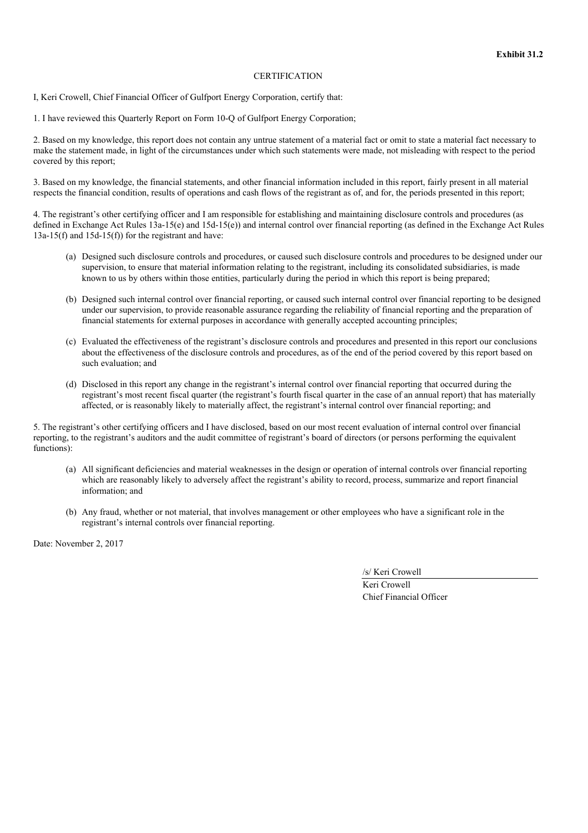#### **CERTIFICATION**

I, Keri Crowell, Chief Financial Officer of Gulfport Energy Corporation, certify that:

1. I have reviewed this Quarterly Report on Form 10-Q of Gulfport Energy Corporation;

2. Based on my knowledge, this report does not contain any untrue statement of a material fact or omit to state a material fact necessary to make the statement made, in light of the circumstances under which such statements were made, not misleading with respect to the period covered by this report;

3. Based on my knowledge, the financial statements, and other financial information included in this report, fairly present in all material respects the financial condition, results of operations and cash flows of the registrant as of, and for, the periods presented in this report;

4. The registrant's other certifying officer and I am responsible for establishing and maintaining disclosure controls and procedures (as defined in Exchange Act Rules 13a-15(e) and 15d-15(e)) and internal control over financial reporting (as defined in the Exchange Act Rules  $13a-15(f)$  and  $15d-15(f)$  for the registrant and have:

- (a) Designed such disclosure controls and procedures, or caused such disclosure controls and procedures to be designed under our supervision, to ensure that material information relating to the registrant, including its consolidated subsidiaries, is made known to us by others within those entities, particularly during the period in which this report is being prepared;
- (b) Designed such internal control over financial reporting, or caused such internal control over financial reporting to be designed under our supervision, to provide reasonable assurance regarding the reliability of financial reporting and the preparation of financial statements for external purposes in accordance with generally accepted accounting principles;
- (c) Evaluated the effectiveness of the registrant's disclosure controls and procedures and presented in this report our conclusions about the effectiveness of the disclosure controls and procedures, as of the end of the period covered by this report based on such evaluation; and
- (d) Disclosed in this report any change in the registrant's internal control over financial reporting that occurred during the registrant's most recent fiscal quarter (the registrant's fourth fiscal quarter in the case of an annual report) that has materially affected, or is reasonably likely to materially affect, the registrant's internal control over financial reporting; and

5. The registrant's other certifying officers and I have disclosed, based on our most recent evaluation of internal control over financial reporting, to the registrant's auditors and the audit committee of registrant's board of directors (or persons performing the equivalent functions):

- (a) All significant deficiencies and material weaknesses in the design or operation of internal controls over financial reporting which are reasonably likely to adversely affect the registrant's ability to record, process, summarize and report financial information; and
- (b) Any fraud, whether or not material, that involves management or other employees who have a significant role in the registrant's internal controls over financial reporting.

Date: November 2, 2017

/s/ Keri Crowell

Keri Crowell Chief Financial Officer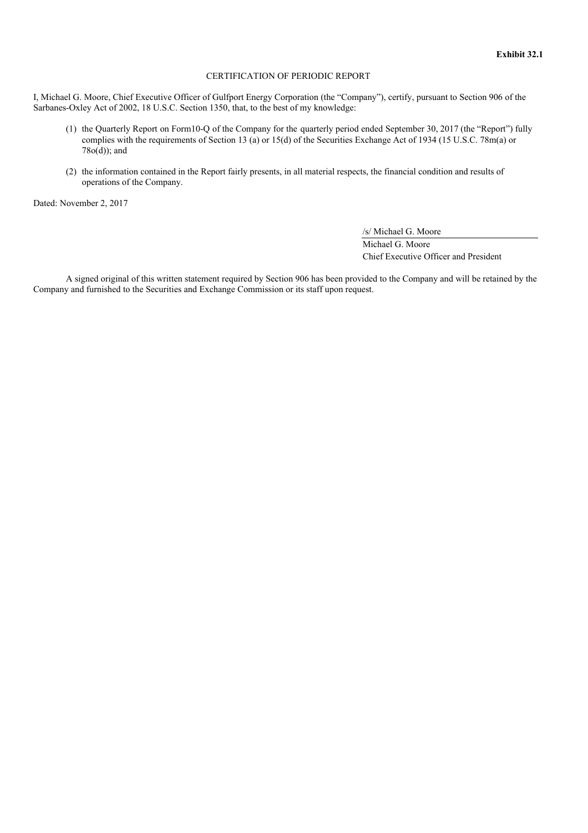#### CERTIFICATION OF PERIODIC REPORT

I, Michael G. Moore, Chief Executive Officer of Gulfport Energy Corporation (the "Company"), certify, pursuant to Section 906 of the Sarbanes-Oxley Act of 2002, 18 U.S.C. Section 1350, that, to the best of my knowledge:

- (1) the Quarterly Report on Form10-Q of the Company for the quarterly period ended September 30, 2017 (the "Report") fully complies with the requirements of Section 13 (a) or 15(d) of the Securities Exchange Act of 1934 (15 U.S.C. 78m(a) or 78o(d)); and
- (2) the information contained in the Report fairly presents, in all material respects, the financial condition and results of operations of the Company.

Dated: November 2, 2017

/s/ Michael G. Moore

Michael G. Moore Chief Executive Officer and President

A signed original of this written statement required by Section 906 has been provided to the Company and will be retained by the Company and furnished to the Securities and Exchange Commission or its staff upon request.